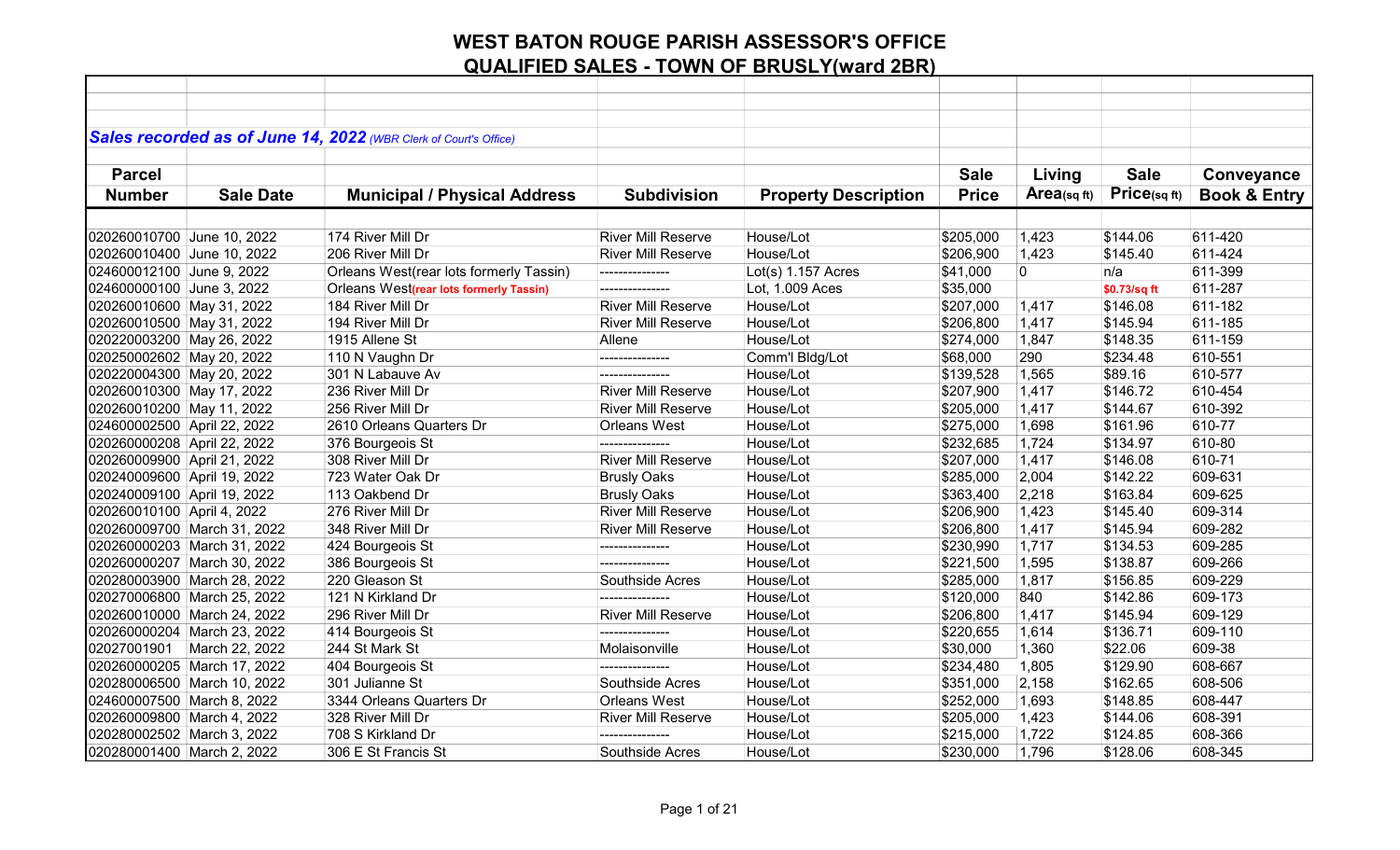|                             |                             | Sales recorded as of June 14, 2022 (WBR Clerk of Court's Office) |                           |                             |              |             |              |                         |
|-----------------------------|-----------------------------|------------------------------------------------------------------|---------------------------|-----------------------------|--------------|-------------|--------------|-------------------------|
| <b>Parcel</b>               |                             |                                                                  |                           |                             | <b>Sale</b>  | Living      | <b>Sale</b>  | Conveyance              |
| <b>Number</b>               | <b>Sale Date</b>            | <b>Municipal / Physical Address</b>                              | <b>Subdivision</b>        | <b>Property Description</b> | <b>Price</b> | Area(sqft)  | Price(sqft)  | <b>Book &amp; Entry</b> |
|                             |                             |                                                                  |                           |                             |              |             |              |                         |
| 020260010700 June 10, 2022  |                             | 174 River Mill Dr                                                | <b>River Mill Reserve</b> | House/Lot                   | \$205,000    | 1,423       | \$144.06     | 611-420                 |
| 020260010400 June 10, 2022  |                             | 206 River Mill Dr                                                | <b>River Mill Reserve</b> | House/Lot                   | \$206,900    | 1,423       | \$145.40     | 611-424                 |
| 024600012100 June 9, 2022   |                             | Orleans West(rear lots formerly Tassin)                          | ---------------           | $Lot(s)$ 1.157 Acres        | \$41,000     | $\mathbf 0$ | n/a          | 611-399                 |
| 024600000100 June 3, 2022   |                             | Orleans West(rear lots formerly Tassin)                          | ---------------           | Lot, 1.009 Aces             | \$35,000     |             | \$0.73/sq ft | 611-287                 |
| 020260010600 May 31, 2022   |                             | 184 River Mill Dr                                                | <b>River Mill Reserve</b> | House/Lot                   | \$207,000    | 1,417       | \$146.08     | 611-182                 |
| 020260010500 May 31, 2022   |                             | 194 River Mill Dr                                                | <b>River Mill Reserve</b> | House/Lot                   | \$206,800    | 1,417       | \$145.94     | 611-185                 |
| 020220003200 May 26, 2022   |                             | 1915 Allene St                                                   | Allene                    | House/Lot                   | \$274,000    | 1,847       | \$148.35     | 611-159                 |
| 020250002602 May 20, 2022   |                             | 110 N Vaughn Dr                                                  |                           | Comm'l Bldg/Lot             | \$68,000     | 290         | \$234.48     | 610-551                 |
| 020220004300 May 20, 2022   |                             | 301 N Labauve Av                                                 | ---------------           | House/Lot                   | \$139,528    | 1,565       | \$89.16      | 610-577                 |
| 020260010300 May 17, 2022   |                             | 236 River Mill Dr                                                | <b>River Mill Reserve</b> | House/Lot                   | \$207,900    | 1,417       | \$146.72     | 610-454                 |
| 020260010200 May 11, 2022   |                             | 256 River Mill Dr                                                | <b>River Mill Reserve</b> | House/Lot                   | \$205,000    | 1,417       | \$144.67     | 610-392                 |
| 024600002500 April 22, 2022 |                             | 2610 Orleans Quarters Dr                                         | <b>Orleans West</b>       | House/Lot                   | \$275,000    | 1,698       | \$161.96     | 610-77                  |
| 020260000208 April 22, 2022 |                             | 376 Bourgeois St                                                 | ---------------           | House/Lot                   | \$232,685    | 1,724       | \$134.97     | 610-80                  |
| 020260009900 April 21, 2022 |                             | 308 River Mill Dr                                                | <b>River Mill Reserve</b> | House/Lot                   | \$207,000    | 1,417       | \$146.08     | 610-71                  |
| 020240009600 April 19, 2022 |                             | 723 Water Oak Dr                                                 | <b>Brusly Oaks</b>        | House/Lot                   | \$285,000    | 2,004       | \$142.22     | 609-631                 |
| 020240009100 April 19, 2022 |                             | 113 Oakbend Dr                                                   | <b>Brusly Oaks</b>        | House/Lot                   | \$363,400    | 2,218       | \$163.84     | 609-625                 |
| 020260010100 April 4, 2022  |                             | 276 River Mill Dr                                                | <b>River Mill Reserve</b> | House/Lot                   | \$206,900    | 1,423       | \$145.40     | 609-314                 |
|                             | 020260009700 March 31, 2022 | 348 River Mill Dr                                                | <b>River Mill Reserve</b> | House/Lot                   | \$206,800    | 1,417       | \$145.94     | 609-282                 |
| 020260000203 March 31, 2022 |                             | 424 Bourgeois St                                                 | ---------------           | House/Lot                   | \$230,990    | 1,717       | \$134.53     | 609-285                 |
|                             | 020260000207 March 30, 2022 | 386 Bourgeois St                                                 | ---------------           | House/Lot                   | \$221,500    | 1,595       | \$138.87     | 609-266                 |
|                             | 020280003900 March 28, 2022 | 220 Gleason St                                                   | Southside Acres           | House/Lot                   | \$285,000    | 1,817       | \$156.85     | 609-229                 |
|                             | 020270006800 March 25, 2022 | 121 N Kirkland Dr                                                |                           | House/Lot                   | \$120,000    | 840         | \$142.86     | 609-173                 |
|                             | 020260010000 March 24, 2022 | 296 River Mill Dr                                                | <b>River Mill Reserve</b> | House/Lot                   | \$206,800    | 1,417       | \$145.94     | 609-129                 |
|                             | 020260000204 March 23, 2022 | 414 Bourgeois St                                                 | ---------------           | House/Lot                   | \$220,655    | 1,614       | \$136.71     | 609-110                 |
| 02027001901                 | March 22, 2022              | 244 St Mark St                                                   | Molaisonville             | House/Lot                   | \$30,000     | 1,360       | \$22.06      | 609-38                  |
|                             | 020260000205 March 17, 2022 | 404 Bourgeois St                                                 | ---------------           | House/Lot                   | \$234,480    | 1,805       | \$129.90     | 608-667                 |
|                             | 020280006500 March 10, 2022 | 301 Julianne St                                                  | Southside Acres           | House/Lot                   | \$351,000    | 2,158       | \$162.65     | 608-506                 |
| 024600007500 March 8, 2022  |                             | 3344 Orleans Quarters Dr                                         | <b>Orleans West</b>       | House/Lot                   | \$252,000    | 1,693       | \$148.85     | 608-447                 |
| 020260009800 March 4, 2022  |                             | 328 River Mill Dr                                                | <b>River Mill Reserve</b> | House/Lot                   | \$205,000    | 1,423       | \$144.06     | 608-391                 |
| 020280002502 March 3, 2022  |                             | 708 S Kirkland Dr                                                |                           | House/Lot                   | \$215,000    | 1,722       | \$124.85     | 608-366                 |
| 020280001400 March 2, 2022  |                             | 306 E St Francis St                                              | Southside Acres           | House/Lot                   | \$230,000    | 1,796       | \$128.06     | 608-345                 |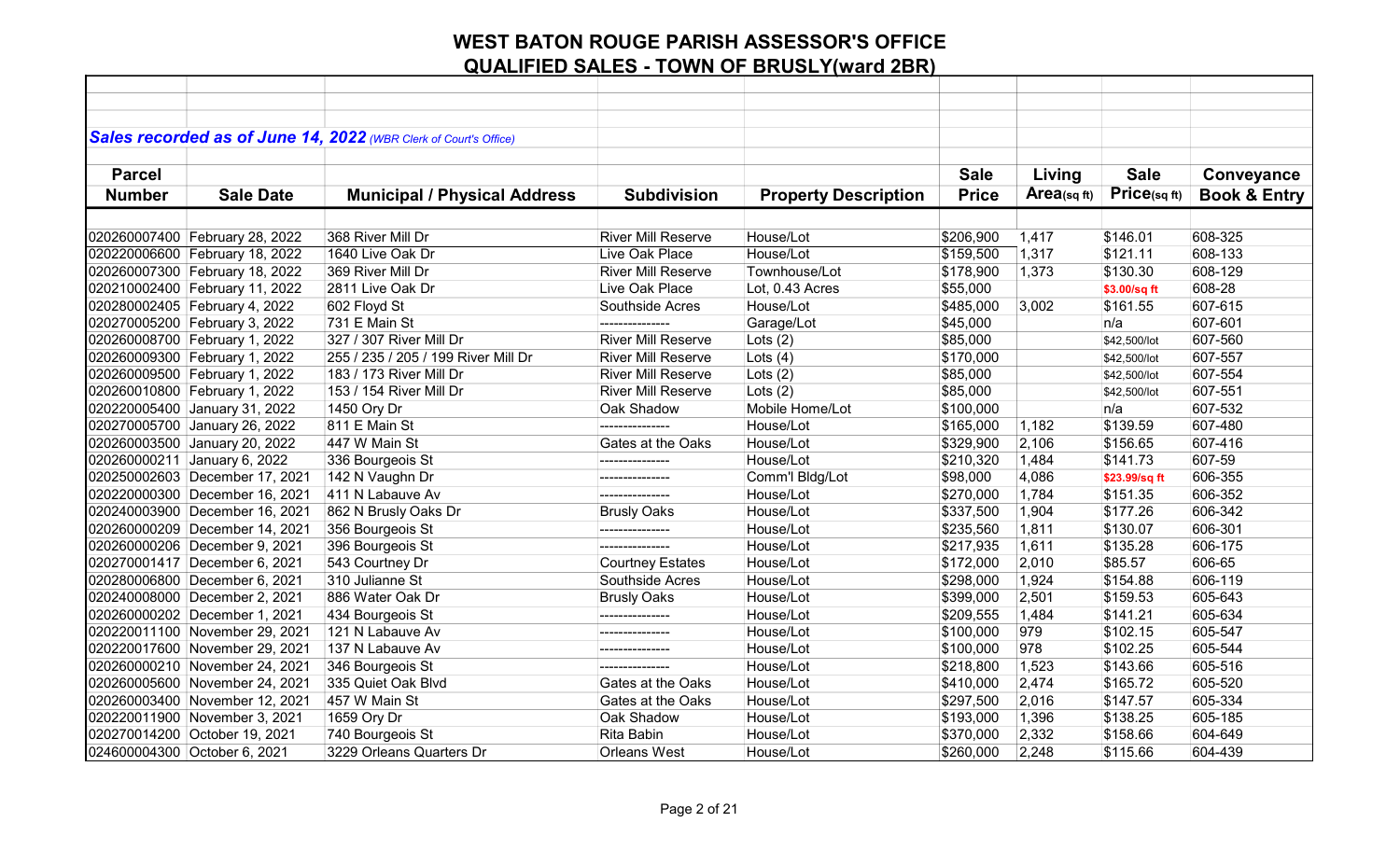|               |                                | Sales recorded as of June 14, 2022 (WBR Clerk of Court's Office) |                           |                             |              |            |               |                         |
|---------------|--------------------------------|------------------------------------------------------------------|---------------------------|-----------------------------|--------------|------------|---------------|-------------------------|
|               |                                |                                                                  |                           |                             |              |            |               |                         |
| <b>Parcel</b> |                                |                                                                  |                           |                             | <b>Sale</b>  | Living     | <b>Sale</b>   | Conveyance              |
| <b>Number</b> | <b>Sale Date</b>               | <b>Municipal / Physical Address</b>                              | <b>Subdivision</b>        | <b>Property Description</b> | <b>Price</b> | Area(sqft) | Price(sq ft)  | <b>Book &amp; Entry</b> |
|               |                                |                                                                  |                           |                             |              |            |               |                         |
|               | 020260007400 February 28, 2022 | 368 River Mill Dr                                                | <b>River Mill Reserve</b> | House/Lot                   | \$206,900    | 1,417      | \$146.01      | 608-325                 |
|               | 020220006600 February 18, 2022 | 1640 Live Oak Dr                                                 | Live Oak Place            | House/Lot                   | \$159,500    | 1,317      | \$121.11      | 608-133                 |
|               | 020260007300 February 18, 2022 | 369 River Mill Dr                                                | <b>River Mill Reserve</b> | Townhouse/Lot               | \$178,900    | 1,373      | \$130.30      | 608-129                 |
|               | 020210002400 February 11, 2022 | 2811 Live Oak Dr                                                 | Live Oak Place            | Lot, 0.43 Acres             | \$55,000     |            | \$3.00/sq ft  | 608-28                  |
|               | 020280002405 February 4, 2022  | 602 Floyd St                                                     | Southside Acres           | House/Lot                   | \$485,000    | 3,002      | \$161.55      | 607-615                 |
|               | 020270005200 February 3, 2022  | 731 E Main St                                                    | --------------            | Garage/Lot                  | \$45,000     |            | n/a           | 607-601                 |
|               | 020260008700 February 1, 2022  | 327 / 307 River Mill Dr                                          | <b>River Mill Reserve</b> | Lots $(2)$                  | \$85,000     |            | \$42,500/lot  | 607-560                 |
|               | 020260009300 February 1, 2022  | 255 / 235 / 205 / 199 River Mill Dr                              | <b>River Mill Reserve</b> | Lots $(4)$                  | \$170,000    |            | \$42,500/lot  | 607-557                 |
|               | 020260009500 February 1, 2022  | 183 / 173 River Mill Dr                                          | <b>River Mill Reserve</b> | Lots $(2)$                  | \$85,000     |            | \$42,500/lot  | 607-554                 |
|               | 020260010800 February 1, 2022  | 153 / 154 River Mill Dr                                          | <b>River Mill Reserve</b> | Lots $(2)$                  | \$85,000     |            | \$42,500/lot  | 607-551                 |
|               | 020220005400 January 31, 2022  | 1450 Ory Dr                                                      | Oak Shadow                | Mobile Home/Lot             | \$100,000    |            | n/a           | 607-532                 |
|               | 020270005700 January 26, 2022  | 811 E Main St                                                    | ---------------           | House/Lot                   | \$165,000    | 1,182      | \$139.59      | 607-480                 |
|               | 020260003500 January 20, 2022  | 447 W Main St                                                    | Gates at the Oaks         | House/Lot                   | \$329,900    | 2,106      | \$156.65      | 607-416                 |
|               | 020260000211 January 6, 2022   | 336 Bourgeois St                                                 | ---------------           | House/Lot                   | \$210,320    | 1,484      | \$141.73      | 607-59                  |
|               | 020250002603 December 17, 2021 | 142 N Vaughn Dr                                                  | ---------------           | Comm'l Bldg/Lot             | \$98,000     | 4,086      | \$23.99/sq ft | 606-355                 |
|               | 020220000300 December 16, 2021 | 411 N Labauve Av                                                 |                           | House/Lot                   | \$270,000    | 1,784      | \$151.35      | 606-352                 |
|               | 020240003900 December 16, 2021 | 862 N Brusly Oaks Dr                                             | <b>Brusly Oaks</b>        | House/Lot                   | \$337,500    | 1,904      | \$177.26      | 606-342                 |
|               | 020260000209 December 14, 2021 | 356 Bourgeois St                                                 | ---------------           | House/Lot                   | \$235,560    | 1,811      | \$130.07      | 606-301                 |
|               | 020260000206 December 9, 2021  | 396 Bourgeois St                                                 | ---------------           | House/Lot                   | \$217,935    | 1,611      | \$135.28      | 606-175                 |
|               | 020270001417 December 6, 2021  | 543 Courtney Dr                                                  | <b>Courtney Estates</b>   | House/Lot                   | \$172,000    | 2,010      | \$85.57       | 606-65                  |
|               | 020280006800 December 6, 2021  | 310 Julianne St                                                  | Southside Acres           | House/Lot                   | \$298,000    | 1,924      | \$154.88      | 606-119                 |
|               | 020240008000 December 2, 2021  | 886 Water Oak Dr                                                 | <b>Brusly Oaks</b>        | House/Lot                   | \$399,000    | 2,501      | \$159.53      | 605-643                 |
|               | 020260000202 December 1, 2021  | 434 Bourgeois St                                                 | ---------------           | House/Lot                   | \$209,555    | 1,484      | \$141.21      | 605-634                 |
|               | 020220011100 November 29, 2021 | 121 N Labauve Av                                                 | ---------------           | House/Lot                   | \$100,000    | 979        | \$102.15      | 605-547                 |
|               | 020220017600 November 29, 2021 | 137 N Labauve Av                                                 | ---------------           | House/Lot                   | \$100,000    | 978        | \$102.25      | 605-544                 |
|               | 020260000210 November 24, 2021 | 346 Bourgeois St                                                 | ---------------           | House/Lot                   | \$218,800    | 1,523      | \$143.66      | 605-516                 |
|               | 020260005600 November 24, 2021 | 335 Quiet Oak Blvd                                               | Gates at the Oaks         | House/Lot                   | \$410,000    | 2,474      | \$165.72      | 605-520                 |
|               | 020260003400 November 12, 2021 | 457 W Main St                                                    | Gates at the Oaks         | House/Lot                   | \$297,500    | 2,016      | \$147.57      | 605-334                 |
|               | 020220011900 November 3, 2021  | 1659 Ory Dr                                                      | Oak Shadow                | House/Lot                   | \$193,000    | 1,396      | \$138.25      | 605-185                 |
|               | 020270014200 October 19, 2021  | 740 Bourgeois St                                                 | Rita Babin                | House/Lot                   | \$370,000    | 2,332      | \$158.66      | 604-649                 |
|               | 024600004300 October 6, 2021   | 3229 Orleans Quarters Dr                                         | Orleans West              | House/Lot                   | \$260,000    | 2,248      | \$115.66      | 604-439                 |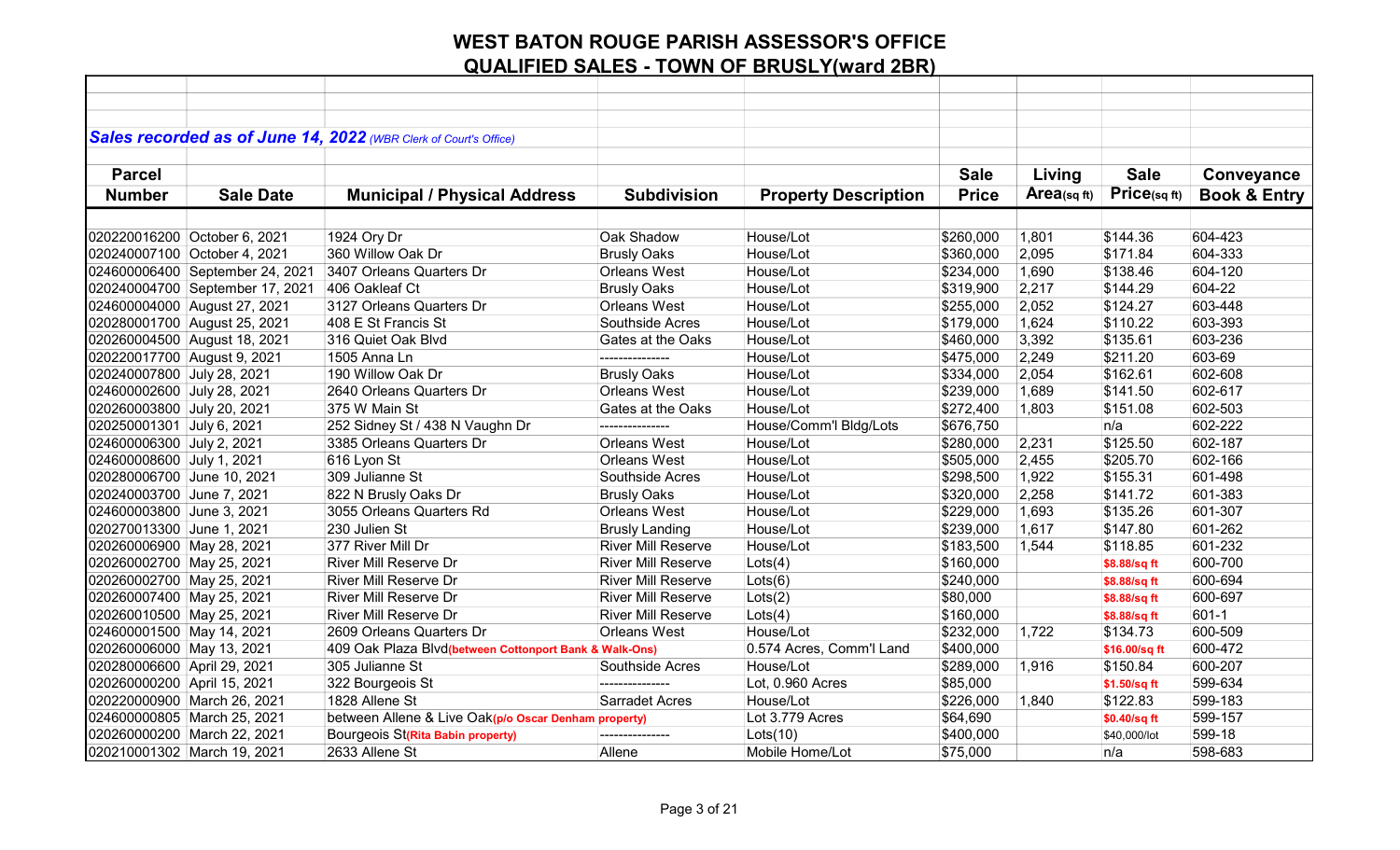|                              |                                 | Sales recorded as of June 14, 2022 (WBR Clerk of Court's Office) |                           |                             |              |            |               |                         |
|------------------------------|---------------------------------|------------------------------------------------------------------|---------------------------|-----------------------------|--------------|------------|---------------|-------------------------|
|                              |                                 |                                                                  |                           |                             |              |            |               |                         |
| <b>Parcel</b>                |                                 |                                                                  |                           |                             | <b>Sale</b>  | Living     | <b>Sale</b>   | Conveyance              |
| <b>Number</b>                | <b>Sale Date</b>                | <b>Municipal / Physical Address</b>                              | <b>Subdivision</b>        | <b>Property Description</b> | <b>Price</b> | Area(sqft) | Price(sqft)   | <b>Book &amp; Entry</b> |
|                              |                                 |                                                                  |                           |                             |              |            |               |                         |
|                              |                                 |                                                                  |                           |                             |              |            |               |                         |
| 020220016200 October 6, 2021 |                                 | 1924 Ory Dr                                                      | Oak Shadow                | House/Lot                   | \$260,000    | 1,801      | \$144.36      | 604-423                 |
| 020240007100 October 4, 2021 |                                 | 360 Willow Oak Dr                                                | <b>Brusly Oaks</b>        | House/Lot                   | \$360,000    | 2,095      | \$171.84      | 604-333                 |
|                              | 024600006400 September 24, 2021 | 3407 Orleans Quarters Dr                                         | Orleans West              | House/Lot                   | \$234,000    | 1,690      | \$138.46      | 604-120                 |
|                              | 020240004700 September 17, 2021 | 406 Oakleaf Ct                                                   | <b>Brusly Oaks</b>        | House/Lot                   | \$319,900    | 2,217      | \$144.29      | 604-22                  |
| 024600004000 August 27, 2021 |                                 | 3127 Orleans Quarters Dr                                         | <b>Orleans West</b>       | House/Lot                   | \$255,000    | 2,052      | \$124.27      | 603-448                 |
| 020280001700 August 25, 2021 |                                 | 408 E St Francis St                                              | Southside Acres           | House/Lot                   | \$179,000    | 1,624      | \$110.22      | 603-393                 |
| 020260004500 August 18, 2021 |                                 | 316 Quiet Oak Blvd                                               | Gates at the Oaks         | House/Lot                   | \$460,000    | 3,392      | \$135.61      | 603-236                 |
| 020220017700 August 9, 2021  |                                 | 1505 Anna Ln                                                     | ---------------           | House/Lot                   | \$475,000    | 2,249      | \$211.20      | 603-69                  |
| 020240007800 July 28, 2021   |                                 | 190 Willow Oak Dr                                                | <b>Brusly Oaks</b>        | House/Lot                   | \$334,000    | 2,054      | \$162.61      | 602-608                 |
| 024600002600 July 28, 2021   |                                 | 2640 Orleans Quarters Dr                                         | <b>Orleans West</b>       | House/Lot                   | \$239,000    | 1,689      | \$141.50      | 602-617                 |
| 020260003800 July 20, 2021   |                                 | 375 W Main St                                                    | Gates at the Oaks         | House/Lot                   | \$272,400    | 1,803      | \$151.08      | 602-503                 |
| 020250001301 July 6, 2021    |                                 | 252 Sidney St / 438 N Vaughn Dr                                  | ---------------           | House/Comm'l Bldg/Lots      | \$676,750    |            | n/a           | 602-222                 |
| 024600006300 July 2, 2021    |                                 | 3385 Orleans Quarters Dr                                         | Orleans West              | House/Lot                   | \$280,000    | 2,231      | \$125.50      | 602-187                 |
| 024600008600 July 1, 2021    |                                 | 616 Lyon St                                                      | Orleans West              | House/Lot                   | \$505,000    | 2,455      | \$205.70      | 602-166                 |
| 020280006700 June 10, 2021   |                                 | 309 Julianne St                                                  | Southside Acres           | House/Lot                   | \$298,500    | 1,922      | \$155.31      | 601-498                 |
| 020240003700 June 7, 2021    |                                 | 822 N Brusly Oaks Dr                                             | <b>Brusly Oaks</b>        | House/Lot                   | \$320,000    | 2,258      | \$141.72      | 601-383                 |
| 024600003800 June 3, 2021    |                                 | 3055 Orleans Quarters Rd                                         | Orleans West              | House/Lot                   | \$229,000    | 1,693      | \$135.26      | 601-307                 |
| 020270013300 June 1, 2021    |                                 | 230 Julien St                                                    | <b>Brusly Landing</b>     | House/Lot                   | \$239,000    | 1,617      | \$147.80      | 601-262                 |
| 020260006900 May 28, 2021    |                                 | 377 River Mill Dr                                                | <b>River Mill Reserve</b> | House/Lot                   | \$183,500    | 1,544      | \$118.85      | 601-232                 |
| 020260002700 May 25, 2021    |                                 | <b>River Mill Reserve Dr</b>                                     | <b>River Mill Reserve</b> | Lots(4)                     | \$160,000    |            | \$8.88/sq ft  | 600-700                 |
| 020260002700 May 25, 2021    |                                 | <b>River Mill Reserve Dr</b>                                     | <b>River Mill Reserve</b> | Lots(6)                     | \$240,000    |            | \$8.88/sq ft  | 600-694                 |
| 020260007400 May 25, 2021    |                                 | River Mill Reserve Dr                                            | <b>River Mill Reserve</b> | Lots(2)                     | \$80,000     |            | \$8.88/sq ft  | 600-697                 |
| 020260010500 May 25, 2021    |                                 | <b>River Mill Reserve Dr</b>                                     | <b>River Mill Reserve</b> | $ $ Lots $(4)$              | \$160,000    |            | \$8.88/sq ft  | $601 - 1$               |
| 024600001500 May 14, 2021    |                                 | 2609 Orleans Quarters Dr                                         | <b>Orleans West</b>       | House/Lot                   | \$232,000    | 1,722      | \$134.73      | 600-509                 |
| 020260006000 May 13, 2021    |                                 | 409 Oak Plaza Blvd(between Cottonport Bank & Walk-Ons)           |                           | 0.574 Acres, Comm'l Land    | \$400,000    |            | \$16.00/sq ft | 600-472                 |
| 020280006600 April 29, 2021  |                                 | 305 Julianne St                                                  | Southside Acres           | House/Lot                   | \$289,000    | 1,916      | \$150.84      | 600-207                 |
| 020260000200 April 15, 2021  |                                 | 322 Bourgeois St                                                 | ---------------           | Lot, 0.960 Acres            | \$85,000     |            | \$1.50/sq ft  | 599-634                 |
| 020220000900 March 26, 2021  |                                 | 1828 Allene St                                                   | Sarradet Acres            | House/Lot                   | \$226,000    | 1,840      | \$122.83      | 599-183                 |
| 024600000805 March 25, 2021  |                                 | between Allene & Live Oak(p/o Oscar Denham property)             |                           | Lot 3.779 Acres             | \$64,690     |            | \$0.40/sq ft  | 599-157                 |
| 020260000200 March 22, 2021  |                                 | Bourgeois St(Rita Babin property)                                | ---------------           | Lots(10)                    | \$400,000    |            | \$40,000/lot  | 599-18                  |
| 020210001302 March 19, 2021  |                                 | 2633 Allene St                                                   | Allene                    | Mobile Home/Lot             | \$75,000     |            | n/a           | 598-683                 |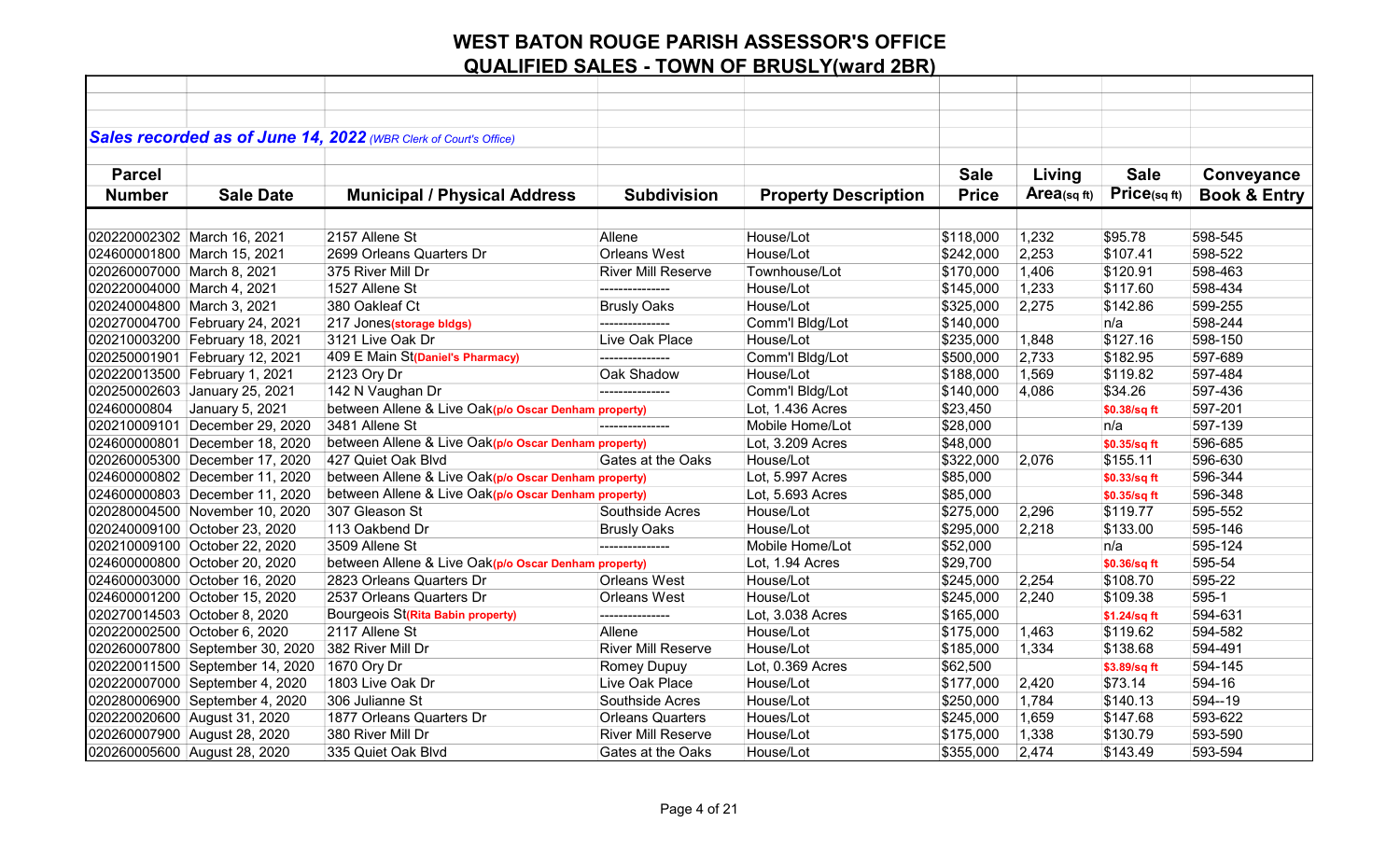|                             |                                 | Sales recorded as of June 14, 2022 (WBR Clerk of Court's Office) |                           |                             |              |            |              |                         |
|-----------------------------|---------------------------------|------------------------------------------------------------------|---------------------------|-----------------------------|--------------|------------|--------------|-------------------------|
|                             |                                 |                                                                  |                           |                             |              |            |              |                         |
| <b>Parcel</b>               |                                 |                                                                  |                           |                             | <b>Sale</b>  | Living     | <b>Sale</b>  | Conveyance              |
| <b>Number</b>               | <b>Sale Date</b>                | <b>Municipal / Physical Address</b>                              | <b>Subdivision</b>        | <b>Property Description</b> | <b>Price</b> | Area(sqft) | Price(sqft)  | <b>Book &amp; Entry</b> |
|                             |                                 |                                                                  |                           |                             |              |            |              |                         |
| 020220002302 March 16, 2021 |                                 | 2157 Allene St                                                   | Allene                    | House/Lot                   | \$118,000    | 1,232      | \$95.78      | 598-545                 |
|                             | 024600001800 March 15, 2021     | 2699 Orleans Quarters Dr                                         | <b>Orleans West</b>       | House/Lot                   | \$242,000    | 2,253      | \$107.41     | 598-522                 |
| 020260007000 March 8, 2021  |                                 | 375 River Mill Dr                                                | <b>River Mill Reserve</b> | Townhouse/Lot               | \$170,000    | 1,406      | \$120.91     | 598-463                 |
| 020220004000 March 4, 2021  |                                 | 1527 Allene St                                                   | ---------------           | House/Lot                   | \$145,000    | 1,233      | \$117.60     | 598-434                 |
| 020240004800 March 3, 2021  |                                 | 380 Oakleaf Ct                                                   | <b>Brusly Oaks</b>        | House/Lot                   | \$325,000    | 2,275      | \$142.86     | 599-255                 |
|                             | 020270004700 February 24, 2021  | 217 Jones(storage bldgs)                                         | ---------------           | Comm'l Bldg/Lot             | \$140,000    |            | n/a          | 598-244                 |
|                             | 020210003200 February 18, 2021  | 3121 Live Oak Dr                                                 | Live Oak Place            | House/Lot                   | \$235,000    | 1,848      | \$127.16     | 598-150                 |
|                             | 020250001901 February 12, 2021  | 409 E Main St(Daniel's Pharmacy)                                 | ---------------           | Comm'l Bldg/Lot             | \$500,000    | 2,733      | \$182.95     | 597-689                 |
|                             | 020220013500 February 1, 2021   | 2123 Ory Dr                                                      | Oak Shadow                | House/Lot                   | \$188,000    | 1,569      | \$119.82     | 597-484                 |
|                             | 020250002603 January 25, 2021   | 142 N Vaughan Dr                                                 | ---------------           | Comm'l Bldg/Lot             | \$140,000    | 4,086      | \$34.26      | 597-436                 |
| 02460000804                 | January 5, 2021                 | between Allene & Live Oak(p/o Oscar Denham property)             |                           | Lot, 1.436 Acres            | \$23,450     |            | \$0.38/sq ft | 597-201                 |
|                             | 020210009101 December 29, 2020  | 3481 Allene St                                                   | ---------------           | Mobile Home/Lot             | \$28,000     |            | n/a          | 597-139                 |
|                             | 024600000801 December 18, 2020  | between Allene & Live Oak(p/o Oscar Denham property)             |                           | Lot, 3.209 Acres            | \$48,000     |            | \$0.35/sq ft | 596-685                 |
|                             | 020260005300 December 17, 2020  | 427 Quiet Oak Blvd                                               | Gates at the Oaks         | House/Lot                   | \$322,000    | 2,076      | \$155.11     | 596-630                 |
|                             | 024600000802 December 11, 2020  | between Allene & Live Oak(p/o Oscar Denham property)             |                           | Lot, 5.997 Acres            | \$85,000     |            | \$0.33/sq ft | 596-344                 |
|                             | 024600000803 December 11, 2020  | between Allene & Live Oak(p/o Oscar Denham property)             |                           | Lot, 5.693 Acres            | \$85,000     |            | \$0.35/sq ft | 596-348                 |
|                             | 020280004500 November 10, 2020  | 307 Gleason St                                                   | Southside Acres           | House/Lot                   | \$275,000    | 2,296      | \$119.77     | 595-552                 |
|                             | 020240009100 October 23, 2020   | 113 Oakbend Dr                                                   | <b>Brusly Oaks</b>        | House/Lot                   | \$295,000    | 2,218      | \$133.00     | 595-146                 |
|                             | 020210009100 October 22, 2020   | 3509 Allene St                                                   | ---------------           | Mobile Home/Lot             | \$52,000     |            | n/a          | 595-124                 |
|                             | 024600000800 October 20, 2020   | between Allene & Live Oak(p/o Oscar Denham property)             |                           | Lot, 1.94 Acres             | \$29,700     |            | \$0.36/sq ft | 595-54                  |
|                             | 024600003000 October 16, 2020   | 2823 Orleans Quarters Dr                                         | <b>Orleans West</b>       | House/Lot                   | \$245,000    | 2,254      | \$108.70     | 595-22                  |
|                             | 024600001200 October 15, 2020   | 2537 Orleans Quarters Dr                                         | <b>Orleans West</b>       | House/Lot                   | \$245,000    | 2,240      | \$109.38     | 595-1                   |
|                             | 020270014503 October 8, 2020    | Bourgeois St(Rita Babin property)                                | ---------------           | Lot, 3.038 Acres            | \$165,000    |            | \$1.24/sq ft | 594-631                 |
|                             | 020220002500 October 6, 2020    | 2117 Allene St                                                   | Allene                    | House/Lot                   | \$175,000    | 1,463      | \$119.62     | 594-582                 |
|                             | 020260007800 September 30, 2020 | 382 River Mill Dr                                                | <b>River Mill Reserve</b> | House/Lot                   | \$185,000    | 1,334      | \$138.68     | 594-491                 |
|                             | 020220011500 September 14, 2020 | 1670 Ory Dr                                                      | <b>Romey Dupuy</b>        | Lot, 0.369 Acres            | \$62,500     |            | \$3.89/sq ft | 594-145                 |
|                             | 020220007000 September 4, 2020  | 1803 Live Oak Dr                                                 | Live Oak Place            | House/Lot                   | \$177,000    | 2,420      | \$73.14      | 594-16                  |
|                             | 020280006900 September 4, 2020  | 306 Julianne St                                                  | Southside Acres           | House/Lot                   | \$250,000    | 1,784      | \$140.13     | 594--19                 |
|                             | 020220020600 August 31, 2020    | 1877 Orleans Quarters Dr                                         | <b>Orleans Quarters</b>   | Houes/Lot                   | \$245,000    | 1,659      | \$147.68     | 593-622                 |
|                             | 020260007900 August 28, 2020    | 380 River Mill Dr                                                | <b>River Mill Reserve</b> | House/Lot                   | \$175,000    | 1,338      | \$130.79     | 593-590                 |
|                             | 020260005600 August 28, 2020    | 335 Quiet Oak Blvd                                               | Gates at the Oaks         | House/Lot                   | \$355,000    | 2,474      | \$143.49     | 593-594                 |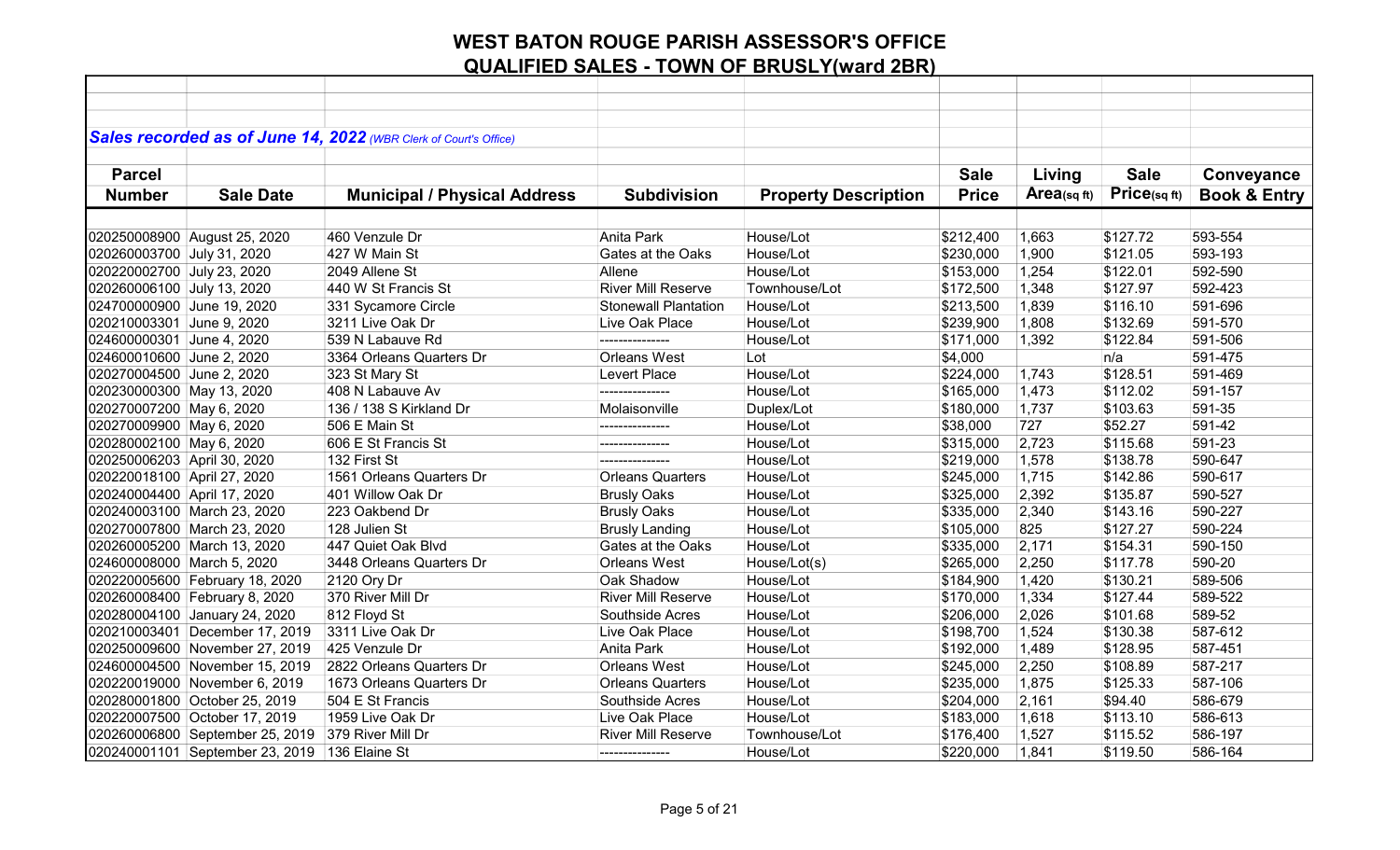|                             |                                 | Sales recorded as of June 14, 2022 (WBR Clerk of Court's Office) |                             |                             |              |            |             |                         |
|-----------------------------|---------------------------------|------------------------------------------------------------------|-----------------------------|-----------------------------|--------------|------------|-------------|-------------------------|
|                             |                                 |                                                                  |                             |                             |              |            |             |                         |
| <b>Parcel</b>               |                                 |                                                                  |                             |                             | <b>Sale</b>  | Living     | <b>Sale</b> | Conveyance              |
| <b>Number</b>               | <b>Sale Date</b>                | <b>Municipal / Physical Address</b>                              | <b>Subdivision</b>          | <b>Property Description</b> | <b>Price</b> | Area(sqft) | Price(sqft) | <b>Book &amp; Entry</b> |
|                             |                                 |                                                                  |                             |                             |              |            |             |                         |
|                             | 020250008900 August 25, 2020    | 460 Venzule Dr                                                   | Anita Park                  | House/Lot                   | \$212,400    | 1,663      | \$127.72    | 593-554                 |
| 020260003700 July 31, 2020  |                                 | 427 W Main St                                                    | Gates at the Oaks           | House/Lot                   | \$230,000    | 1,900      | \$121.05    | 593-193                 |
| 020220002700 July 23, 2020  |                                 | 2049 Allene St                                                   | Allene                      | House/Lot                   | \$153,000    | 1,254      | \$122.01    | 592-590                 |
| 020260006100 July 13, 2020  |                                 | 440 W St Francis St                                              | <b>River Mill Reserve</b>   | Townhouse/Lot               | \$172,500    | 1,348      | \$127.97    | 592-423                 |
| 024700000900 June 19, 2020  |                                 | 331 Sycamore Circle                                              | <b>Stonewall Plantation</b> | House/Lot                   | \$213,500    | 1,839      | \$116.10    | 591-696                 |
| 020210003301 June 9, 2020   |                                 | 3211 Live Oak Dr                                                 | Live Oak Place              | House/Lot                   | \$239,900    | 1,808      | \$132.69    | 591-570                 |
| 024600000301 June 4, 2020   |                                 | 539 N Labauve Rd                                                 | ---------------             | House/Lot                   | \$171,000    | 1,392      | \$122.84    | 591-506                 |
| 024600010600 June 2, 2020   |                                 | 3364 Orleans Quarters Dr                                         | Orleans West                | Lot                         | \$4,000      |            | n/a         | 591-475                 |
| 020270004500 June 2, 2020   |                                 | 323 St Mary St                                                   | Levert Place                | House/Lot                   | \$224,000    | 1,743      | \$128.51    | 591-469                 |
| 020230000300 May 13, 2020   |                                 | 408 N Labauve Av                                                 | ---------------             | House/Lot                   | \$165,000    | 1,473      | \$112.02    | 591-157                 |
| 020270007200 May 6, 2020    |                                 | 136 / 138 S Kirkland Dr                                          | Molaisonville               | Duplex/Lot                  | \$180,000    | 1,737      | \$103.63    | 591-35                  |
| 020270009900 May 6, 2020    |                                 | 506 E Main St                                                    |                             | House/Lot                   | \$38,000     | 727        | \$52.27     | 591-42                  |
| 020280002100 May 6, 2020    |                                 | 606 E St Francis St                                              | ---------------             | House/Lot                   | \$315,000    | 2,723      | \$115.68    | 591-23                  |
| 020250006203 April 30, 2020 |                                 | 132 First St                                                     |                             | House/Lot                   | \$219,000    | 1,578      | \$138.78    | 590-647                 |
| 020220018100 April 27, 2020 |                                 | 1561 Orleans Quarters Dr                                         | <b>Orleans Quarters</b>     | House/Lot                   | \$245,000    | 1,715      | \$142.86    | 590-617                 |
| 020240004400 April 17, 2020 |                                 | 401 Willow Oak Dr                                                | <b>Brusly Oaks</b>          | House/Lot                   | \$325,000    | 2,392      | \$135.87    | 590-527                 |
|                             | 020240003100 March 23, 2020     | 223 Oakbend Dr                                                   | <b>Brusly Oaks</b>          | House/Lot                   | \$335,000    | 2,340      | \$143.16    | 590-227                 |
|                             | 020270007800 March 23, 2020     | 128 Julien St                                                    | <b>Brusly Landing</b>       | House/Lot                   | \$105,000    | 825        | \$127.27    | 590-224                 |
|                             | 020260005200 March 13, 2020     | 447 Quiet Oak Blvd                                               | Gates at the Oaks           | House/Lot                   | \$335,000    | 2,171      | \$154.31    | 590-150                 |
| 024600008000 March 5, 2020  |                                 | 3448 Orleans Quarters Dr                                         | <b>Orleans West</b>         | House/Lot(s)                | \$265,000    | 2,250      | \$117.78    | 590-20                  |
|                             | 020220005600 February 18, 2020  | 2120 Ory Dr                                                      | Oak Shadow                  | House/Lot                   | \$184,900    | 1,420      | \$130.21    | 589-506                 |
|                             | 020260008400 February 8, 2020   | 370 River Mill Dr                                                | <b>River Mill Reserve</b>   | House/Lot                   | \$170,000    | 1,334      | \$127.44    | 589-522                 |
|                             | 020280004100 January 24, 2020   | 812 Floyd St                                                     | Southside Acres             | House/Lot                   | \$206,000    | 2,026      | \$101.68    | 589-52                  |
|                             | 020210003401 December 17, 2019  | 3311 Live Oak Dr                                                 | Live Oak Place              | House/Lot                   | \$198,700    | 1,524      | \$130.38    | 587-612                 |
|                             | 020250009600 November 27, 2019  | 425 Venzule Dr                                                   | Anita Park                  | House/Lot                   | \$192,000    | 1,489      | \$128.95    | 587-451                 |
|                             | 024600004500 November 15, 2019  | 2822 Orleans Quarters Dr                                         | <b>Orleans West</b>         | House/Lot                   | \$245,000    | 2,250      | \$108.89    | 587-217                 |
|                             | 020220019000 November 6, 2019   | 1673 Orleans Quarters Dr                                         | <b>Orleans Quarters</b>     | House/Lot                   | \$235,000    | 1,875      | \$125.33    | 587-106                 |
|                             | 020280001800 October 25, 2019   | 504 E St Francis                                                 | Southside Acres             | House/Lot                   | \$204,000    | 2,161      | \$94.40     | 586-679                 |
|                             | 020220007500 October 17, 2019   | 1959 Live Oak Dr                                                 | Live Oak Place              | House/Lot                   | \$183,000    | 1,618      | \$113.10    | 586-613                 |
|                             | 020260006800 September 25, 2019 | 379 River Mill Dr                                                | <b>River Mill Reserve</b>   | Townhouse/Lot               | \$176,400    | 1,527      | \$115.52    | 586-197                 |
|                             | 020240001101 September 23, 2019 | 136 Elaine St                                                    | ---------------             | House/Lot                   | \$220,000    | 1,841      | \$119.50    | 586-164                 |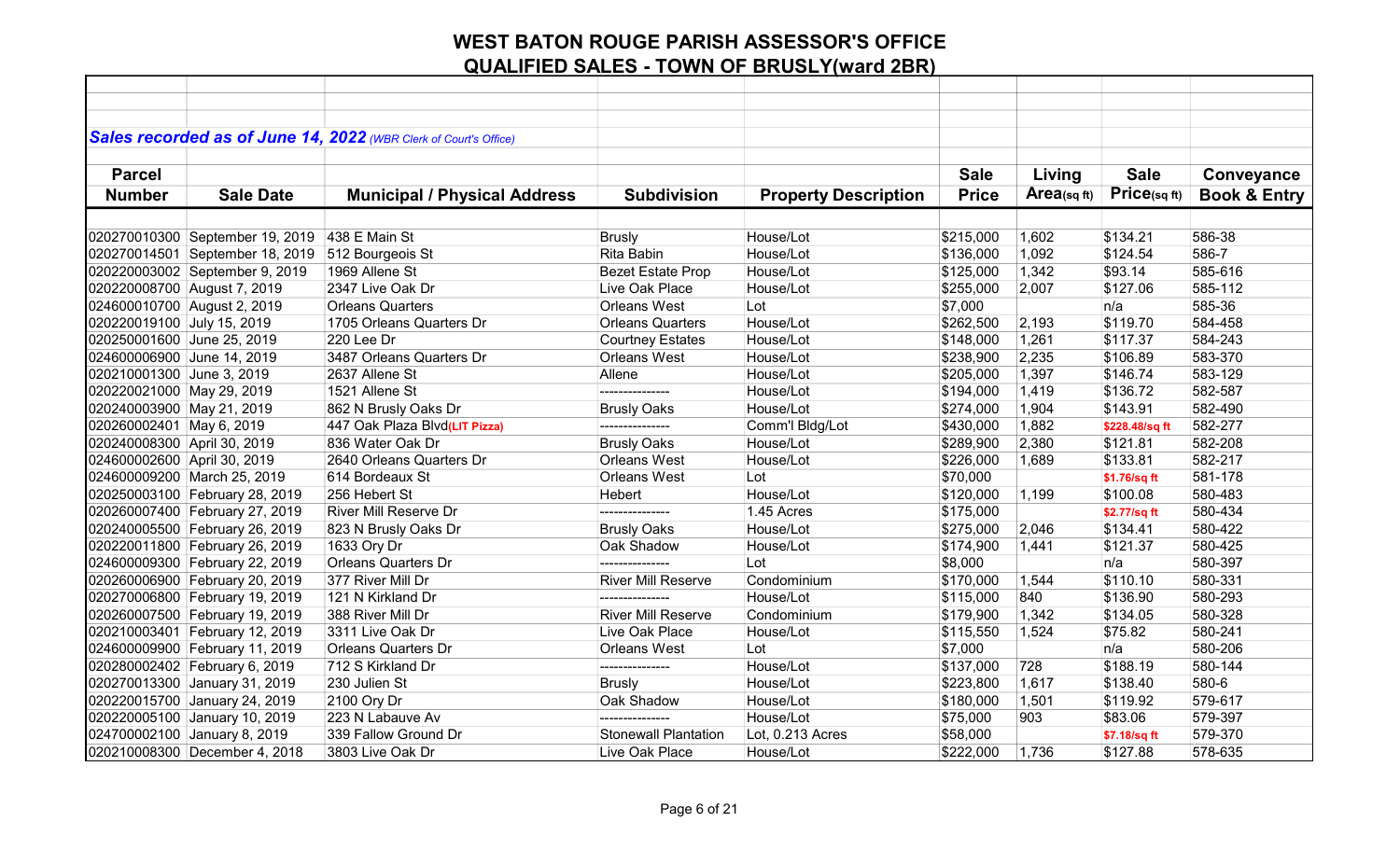|                             |                                 | Sales recorded as of June 14, 2022 (WBR Clerk of Court's Office) |                             |                             |              |            |                      |                         |
|-----------------------------|---------------------------------|------------------------------------------------------------------|-----------------------------|-----------------------------|--------------|------------|----------------------|-------------------------|
|                             |                                 |                                                                  |                             |                             |              |            |                      |                         |
| <b>Parcel</b>               |                                 |                                                                  |                             |                             | <b>Sale</b>  | Living     | <b>Sale</b>          | Conveyance              |
| <b>Number</b>               | <b>Sale Date</b>                | <b>Municipal / Physical Address</b>                              | <b>Subdivision</b>          | <b>Property Description</b> | <b>Price</b> | Area(sqft) | Price(sqft)          | <b>Book &amp; Entry</b> |
|                             |                                 |                                                                  |                             |                             |              |            |                      |                         |
|                             |                                 |                                                                  |                             |                             |              |            |                      |                         |
|                             | 020270010300 September 19, 2019 | 438 E Main St                                                    | <b>Brusly</b>               | House/Lot                   | \$215,000    | 1,602      | \$134.21<br>\$124.54 | 586-38<br>586-7         |
|                             | 020270014501 September 18, 2019 | 512 Bourgeois St                                                 | Rita Babin                  | House/Lot                   | \$136,000    | 1,092      |                      |                         |
|                             | 020220003002 September 9, 2019  | 1969 Allene St                                                   | <b>Bezet Estate Prop</b>    | House/Lot                   | \$125,000    | 1,342      | \$93.14              | 585-616                 |
| 020220008700 August 7, 2019 |                                 | 2347 Live Oak Dr                                                 | Live Oak Place              | House/Lot                   | \$255,000    | 2,007      | \$127.06             | 585-112                 |
| 024600010700 August 2, 2019 |                                 | <b>Orleans Quarters</b>                                          | <b>Orleans West</b>         | Lot                         | \$7,000      |            | n/a                  | 585-36                  |
| 020220019100 July 15, 2019  |                                 | 1705 Orleans Quarters Dr                                         | <b>Orleans Quarters</b>     | House/Lot                   | \$262,500    | 2,193      | \$119.70             | 584-458                 |
| 020250001600 June 25, 2019  |                                 | 220 Lee Dr                                                       | <b>Courtney Estates</b>     | House/Lot                   | \$148,000    | 1,261      | \$117.37             | 584-243                 |
| 024600006900 June 14, 2019  |                                 | 3487 Orleans Quarters Dr                                         | <b>Orleans West</b>         | House/Lot                   | \$238,900    | 2,235      | \$106.89             | 583-370                 |
| 020210001300 June 3, 2019   |                                 | 2637 Allene St                                                   | Allene                      | House/Lot                   | \$205,000    | 1,397      | \$146.74             | 583-129                 |
| 020220021000 May 29, 2019   |                                 | 1521 Allene St                                                   | ---------------             | House/Lot                   | \$194,000    | 1,419      | \$136.72             | 582-587                 |
| 020240003900 May 21, 2019   |                                 | 862 N Brusly Oaks Dr                                             | <b>Brusly Oaks</b>          | House/Lot                   | \$274,000    | 1,904      | \$143.91             | 582-490                 |
| 020260002401 May 6, 2019    |                                 | 447 Oak Plaza Blvd(LIT Pizza)                                    | ---------------             | Comm'l Bldg/Lot             | \$430,000    | 1,882      | \$228.48/sq ft       | 582-277                 |
| 020240008300 April 30, 2019 |                                 | 836 Water Oak Dr                                                 | <b>Brusly Oaks</b>          | House/Lot                   | \$289,900    | 2,380      | \$121.81             | 582-208                 |
| 024600002600 April 30, 2019 |                                 | 2640 Orleans Quarters Dr                                         | Orleans West                | House/Lot                   | \$226,000    | 1,689      | \$133.81             | 582-217                 |
|                             | 024600009200 March 25, 2019     | 614 Bordeaux St                                                  | <b>Orleans West</b>         | Lot                         | \$70,000     |            | \$1.76/sq ft         | 581-178                 |
|                             | 020250003100 February 28, 2019  | 256 Hebert St                                                    | Hebert                      | House/Lot                   | \$120,000    | 1,199      | \$100.08             | 580-483                 |
|                             | 020260007400 February 27, 2019  | River Mill Reserve Dr                                            |                             | 1.45 Acres                  | \$175,000    |            | \$2.77/sq ft         | 580-434                 |
|                             | 020240005500 February 26, 2019  | 823 N Brusly Oaks Dr                                             | <b>Brusly Oaks</b>          | House/Lot                   | \$275,000    | 2,046      | \$134.41             | 580-422                 |
|                             | 020220011800 February 26, 2019  | 1633 Ory Dr                                                      | Oak Shadow                  | House/Lot                   | \$174,900    | 1,441      | \$121.37             | 580-425                 |
|                             | 024600009300 February 22, 2019  | <b>Orleans Quarters Dr</b>                                       |                             | Lot                         | \$8,000      |            | n/a                  | 580-397                 |
|                             | 020260006900 February 20, 2019  | 377 River Mill Dr                                                | <b>River Mill Reserve</b>   | Condominium                 | \$170,000    | 1,544      | \$110.10             | 580-331                 |
|                             | 020270006800 February 19, 2019  | 121 N Kirkland Dr                                                | ---------------             | House/Lot                   | \$115,000    | 840        | \$136.90             | 580-293                 |
|                             | 020260007500 February 19, 2019  | 388 River Mill Dr                                                | <b>River Mill Reserve</b>   | Condominium                 | \$179,900    | 1,342      | \$134.05             | 580-328                 |
|                             | 020210003401 February 12, 2019  | 3311 Live Oak Dr                                                 | Live Oak Place              | House/Lot                   | \$115,550    | 1,524      | \$75.82              | 580-241                 |
|                             | 024600009900 February 11, 2019  | <b>Orleans Quarters Dr</b>                                       | <b>Orleans West</b>         | Lot                         | \$7,000      |            | n/a                  | 580-206                 |
|                             | 020280002402 February 6, 2019   | 712 S Kirkland Dr                                                | ---------------             | House/Lot                   | \$137,000    | 728        | \$188.19             | 580-144                 |
|                             | 020270013300 January 31, 2019   | 230 Julien St                                                    | <b>Brusly</b>               | House/Lot                   | \$223,800    | 1,617      | \$138.40             | 580-6                   |
|                             | 020220015700 January 24, 2019   | 2100 Ory Dr                                                      | Oak Shadow                  | House/Lot                   | \$180,000    | 1,501      | \$119.92             | 579-617                 |
|                             | 020220005100 January 10, 2019   | 223 N Labauve Av                                                 | ---------------             | House/Lot                   | \$75,000     | 903        | \$83.06              | 579-397                 |
|                             | 024700002100 January 8, 2019    | 339 Fallow Ground Dr                                             | <b>Stonewall Plantation</b> | Lot, 0.213 Acres            | \$58,000     |            | \$7.18/sq ft         | 579-370                 |
|                             | 020210008300 December 4, 2018   | 3803 Live Oak Dr                                                 | Live Oak Place              | House/Lot                   | \$222,000    | 1,736      | \$127.88             | 578-635                 |
|                             |                                 |                                                                  |                             |                             |              |            |                      |                         |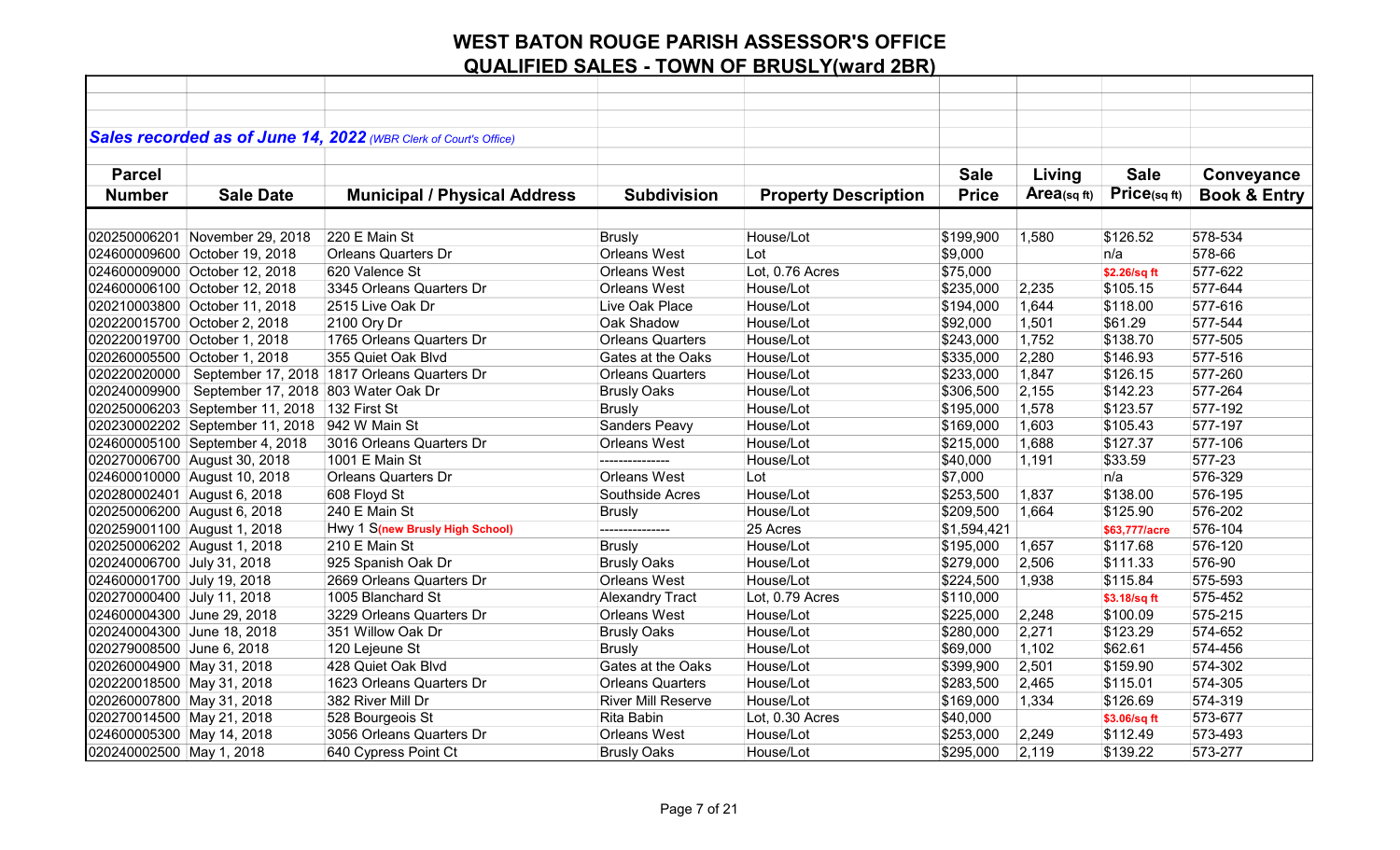|                             |                                     | Sales recorded as of June 14, 2022 (WBR Clerk of Court's Office) |                           |                             |              |            |               |                         |
|-----------------------------|-------------------------------------|------------------------------------------------------------------|---------------------------|-----------------------------|--------------|------------|---------------|-------------------------|
|                             |                                     |                                                                  |                           |                             |              |            |               |                         |
| <b>Parcel</b>               |                                     |                                                                  |                           |                             | <b>Sale</b>  | Living     | <b>Sale</b>   | Conveyance              |
| <b>Number</b>               | <b>Sale Date</b>                    | <b>Municipal / Physical Address</b>                              | <b>Subdivision</b>        | <b>Property Description</b> | <b>Price</b> | Area(sqft) | Price(sqft)   | <b>Book &amp; Entry</b> |
|                             |                                     |                                                                  |                           |                             |              |            |               |                         |
|                             | 020250006201 November 29, 2018      | 220 E Main St                                                    | <b>Brusly</b>             | House/Lot                   | \$199,900    | 1,580      | \$126.52      | 578-534                 |
|                             | 024600009600 October 19, 2018       | <b>Orleans Quarters Dr</b>                                       | Orleans West              | Lot                         | \$9,000      |            | n/a           | 578-66                  |
|                             | 024600009000 October 12, 2018       | 620 Valence St                                                   | <b>Orleans West</b>       | Lot, 0.76 Acres             | \$75,000     |            | \$2.26/sq ft  | 577-622                 |
|                             | 024600006100 October 12, 2018       | 3345 Orleans Quarters Dr                                         | <b>Orleans West</b>       | House/Lot                   | \$235,000    | 2,235      | \$105.15      | 577-644                 |
|                             | 020210003800 October 11, 2018       | 2515 Live Oak Dr                                                 | Live Oak Place            | House/Lot                   | \$194,000    | 1,644      | \$118.00      | 577-616                 |
|                             | 020220015700 October 2, 2018        | 2100 Ory Dr                                                      | Oak Shadow                | House/Lot                   | \$92,000     | 1,501      | \$61.29       | 577-544                 |
|                             | 020220019700 October 1, 2018        | 1765 Orleans Quarters Dr                                         | <b>Orleans Quarters</b>   | House/Lot                   | \$243,000    | 1,752      | \$138.70      | 577-505                 |
|                             | 020260005500 October 1, 2018        | 355 Quiet Oak Blvd                                               | Gates at the Oaks         | House/Lot                   | \$335,000    | 2,280      | \$146.93      | 577-516                 |
| 020220020000                |                                     | September 17, 2018 1817 Orleans Quarters Dr                      | <b>Orleans Quarters</b>   | House/Lot                   | \$233,000    | 1,847      | \$126.15      | 577-260                 |
| 020240009900                | September 17, 2018 803 Water Oak Dr |                                                                  | <b>Brusly Oaks</b>        | House/Lot                   | \$306,500    | 2,155      | \$142.23      | 577-264                 |
|                             | 020250006203 September 11, 2018     | 132 First St                                                     | <b>Brusly</b>             | House/Lot                   | \$195,000    | 1,578      | \$123.57      | 577-192                 |
|                             | 020230002202 September 11, 2018     | 942 W Main St                                                    | <b>Sanders Peavy</b>      | House/Lot                   | \$169,000    | 1,603      | \$105.43      | 577-197                 |
|                             | 024600005100 September 4, 2018      | 3016 Orleans Quarters Dr                                         | <b>Orleans West</b>       | House/Lot                   | \$215,000    | 1,688      | \$127.37      | 577-106                 |
|                             | 020270006700 August 30, 2018        | 1001 E Main St                                                   | ---------------           | House/Lot                   | \$40,000     | 1,191      | \$33.59       | 577-23                  |
|                             | 024600010000 August 10, 2018        | <b>Orleans Quarters Dr</b>                                       | <b>Orleans West</b>       | Lot                         | \$7,000      |            | n/a           | 576-329                 |
| 020280002401 August 6, 2018 |                                     | 608 Floyd St                                                     | Southside Acres           | House/Lot                   | \$253,500    | 1,837      | \$138.00      | 576-195                 |
| 020250006200 August 6, 2018 |                                     | 240 E Main St                                                    | <b>Brusly</b>             | House/Lot                   | \$209,500    | 1,664      | \$125.90      | 576-202                 |
| 020259001100 August 1, 2018 |                                     | Hwy 1 S(new Brusly High School)                                  | ---------------           | 25 Acres                    | \$1,594,421  |            | \$63,777/acre | 576-104                 |
| 020250006202 August 1, 2018 |                                     | 210 E Main St                                                    | <b>Brusly</b>             | House/Lot                   | \$195,000    | 1,657      | \$117.68      | 576-120                 |
| 020240006700 July 31, 2018  |                                     | 925 Spanish Oak Dr                                               | <b>Brusly Oaks</b>        | House/Lot                   | \$279,000    | 2,506      | \$111.33      | 576-90                  |
| 024600001700 July 19, 2018  |                                     | 2669 Orleans Quarters Dr                                         | Orleans West              | House/Lot                   | \$224,500    | 1,938      | \$115.84      | 575-593                 |
| 020270000400 July 11, 2018  |                                     | 1005 Blanchard St                                                | <b>Alexandry Tract</b>    | Lot, 0.79 Acres             | \$110,000    |            | \$3.18/sq ft  | 575-452                 |
| 024600004300 June 29, 2018  |                                     | 3229 Orleans Quarters Dr                                         | <b>Orleans West</b>       | House/Lot                   | \$225,000    | 2,248      | \$100.09      | 575-215                 |
| 020240004300 June 18, 2018  |                                     | 351 Willow Oak Dr                                                | <b>Brusly Oaks</b>        | House/Lot                   | \$280,000    | 2,271      | \$123.29      | 574-652                 |
| 020279008500 June 6, 2018   |                                     | 120 Lejeune St                                                   | <b>Brusly</b>             | House/Lot                   | \$69,000     | 1,102      | \$62.61       | 574-456                 |
| 020260004900 May 31, 2018   |                                     | 428 Quiet Oak Blvd                                               | Gates at the Oaks         | House/Lot                   | \$399,900    | 2,501      | \$159.90      | 574-302                 |
| 020220018500 May 31, 2018   |                                     | 1623 Orleans Quarters Dr                                         | <b>Orleans Quarters</b>   | House/Lot                   | \$283,500    | 2,465      | \$115.01      | 574-305                 |
| 020260007800 May 31, 2018   |                                     | 382 River Mill Dr                                                | <b>River Mill Reserve</b> | House/Lot                   | \$169,000    | 1,334      | \$126.69      | 574-319                 |
| 020270014500 May 21, 2018   |                                     | 528 Bourgeois St                                                 | Rita Babin                | Lot, 0.30 Acres             | \$40,000     |            | \$3.06/sq ft  | 573-677                 |
| 024600005300 May 14, 2018   |                                     | 3056 Orleans Quarters Dr                                         | Orleans West              | House/Lot                   | \$253,000    | 2,249      | \$112.49      | 573-493                 |
| 020240002500 May 1, 2018    |                                     | 640 Cypress Point Ct                                             | <b>Brusly Oaks</b>        | House/Lot                   | \$295,000    | 2,119      | \$139.22      | 573-277                 |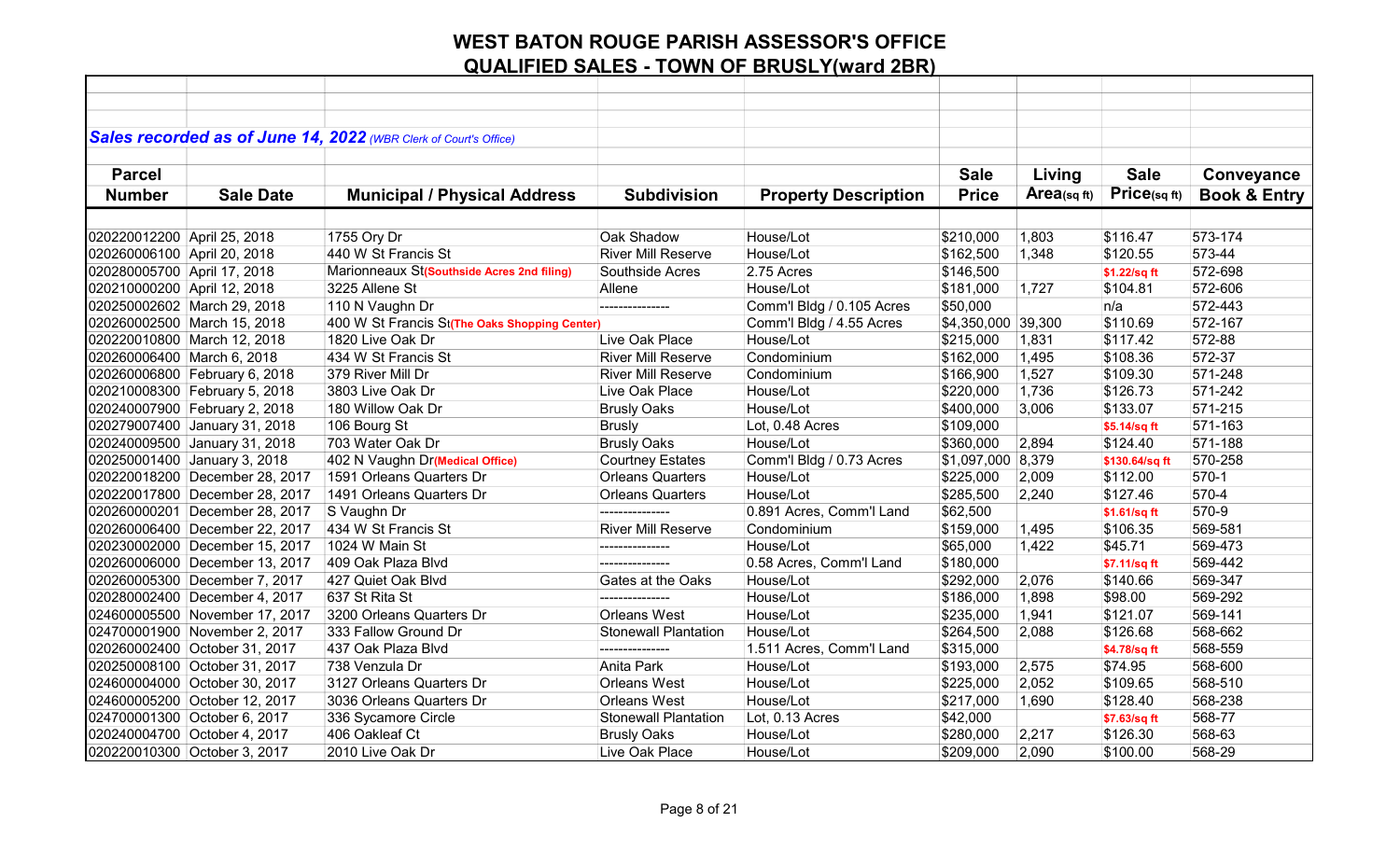|                             |                                | Sales recorded as of June 14, 2022 (WBR Clerk of Court's Office) |                             |                             |                    |             |                |                         |
|-----------------------------|--------------------------------|------------------------------------------------------------------|-----------------------------|-----------------------------|--------------------|-------------|----------------|-------------------------|
|                             |                                |                                                                  |                             |                             |                    |             |                |                         |
| <b>Parcel</b>               |                                |                                                                  |                             |                             | <b>Sale</b>        | Living      | <b>Sale</b>    | Conveyance              |
| <b>Number</b>               | <b>Sale Date</b>               | <b>Municipal / Physical Address</b>                              | <b>Subdivision</b>          | <b>Property Description</b> | <b>Price</b>       | Area(sq ft) | Price(sqft)    | <b>Book &amp; Entry</b> |
|                             |                                |                                                                  |                             |                             |                    |             |                |                         |
| 020220012200 April 25, 2018 |                                | 1755 Ory Dr                                                      | Oak Shadow                  | House/Lot                   | \$210,000          | 1,803       | \$116.47       | 573-174                 |
| 020260006100 April 20, 2018 |                                | 440 W St Francis St                                              | <b>River Mill Reserve</b>   | House/Lot                   | \$162,500          | 1,348       | \$120.55       | 573-44                  |
| 020280005700 April 17, 2018 |                                | Marionneaux St(Southside Acres 2nd filing)                       | Southside Acres             | 2.75 Acres                  | \$146,500          |             | \$1.22/sq ft   | 572-698                 |
| 020210000200 April 12, 2018 |                                | 3225 Allene St                                                   | Allene                      | House/Lot                   | \$181,000          | 1,727       | \$104.81       | 572-606                 |
| 020250002602 March 29, 2018 |                                | 110 N Vaughn Dr                                                  |                             | Comm'l Bldg / 0.105 Acres   | \$50,000           |             | n/a            | 572-443                 |
| 020260002500 March 15, 2018 |                                | 400 W St Francis St(The Oaks Shopping Center)                    |                             | Comm'l Bldg / 4.55 Acres    | \$4,350,000 39,300 |             | \$110.69       | 572-167                 |
| 020220010800 March 12, 2018 |                                | 1820 Live Oak Dr                                                 | Live Oak Place              | House/Lot                   | \$215,000          | 1,831       | \$117.42       | 572-88                  |
| 020260006400 March 6, 2018  |                                | 434 W St Francis St                                              | <b>River Mill Reserve</b>   | Condominium                 | \$162,000          | 1,495       | \$108.36       | 572-37                  |
|                             | 020260006800 February 6, 2018  | 379 River Mill Dr                                                | <b>River Mill Reserve</b>   | Condominium                 | \$166,900          | 1,527       | \$109.30       | 571-248                 |
|                             | 020210008300 February 5, 2018  | 3803 Live Oak Dr                                                 | Live Oak Place              | House/Lot                   | \$220,000          | 1,736       | \$126.73       | 571-242                 |
|                             | 020240007900 February 2, 2018  | 180 Willow Oak Dr                                                | <b>Brusly Oaks</b>          | House/Lot                   | \$400,000          | 3,006       | \$133.07       | 571-215                 |
|                             | 020279007400 January 31, 2018  | 106 Bourg St                                                     | <b>Brusly</b>               | Lot, 0.48 Acres             | \$109,000          |             | \$5.14/sq ft   | 571-163                 |
|                             | 020240009500 January 31, 2018  | 703 Water Oak Dr                                                 | <b>Brusly Oaks</b>          | House/Lot                   | \$360,000          | 2,894       | \$124.40       | 571-188                 |
|                             | 020250001400 January 3, 2018   | 402 N Vaughn Dr(Medical Office)                                  | <b>Courtney Estates</b>     | Comm'l Bldg / 0.73 Acres    | \$1,097,000        | 8,379       | \$130.64/sq ft | 570-258                 |
|                             | 020220018200 December 28, 2017 | 1591 Orleans Quarters Dr                                         | <b>Orleans Quarters</b>     | House/Lot                   | \$225,000          | 2,009       | \$112.00       | 570-1                   |
|                             | 020220017800 December 28, 2017 | 1491 Orleans Quarters Dr                                         | <b>Orleans Quarters</b>     | House/Lot                   | \$285,500          | 2,240       | \$127.46       | 570-4                   |
|                             | 020260000201 December 28, 2017 | S Vaughn Dr                                                      |                             | 0.891 Acres, Comm'l Land    | \$62,500           |             | \$1.61/sq ft   | 570-9                   |
|                             | 020260006400 December 22, 2017 | 434 W St Francis St                                              | <b>River Mill Reserve</b>   | Condominium                 | \$159,000          | 1,495       | \$106.35       | 569-581                 |
|                             | 020230002000 December 15, 2017 | 1024 W Main St                                                   | ---------------             | House/Lot                   | \$65,000           | 1,422       | \$45.71        | 569-473                 |
|                             | 020260006000 December 13, 2017 | 409 Oak Plaza Blyd                                               |                             | 0.58 Acres, Comm'l Land     | \$180,000          |             | \$7.11/sq ft   | 569-442                 |
|                             | 020260005300 December 7, 2017  | 427 Quiet Oak Blvd                                               | Gates at the Oaks           | House/Lot                   | \$292,000          | 2,076       | \$140.66       | 569-347                 |
|                             | 020280002400 December 4, 2017  | 637 St Rita St                                                   | ---------------             | House/Lot                   | \$186,000          | 1,898       | \$98.00        | 569-292                 |
|                             | 024600005500 November 17, 2017 | 3200 Orleans Quarters Dr                                         | <b>Orleans West</b>         | House/Lot                   | \$235,000          | 1,941       | \$121.07       | 569-141                 |
|                             | 024700001900 November 2, 2017  | 333 Fallow Ground Dr                                             | <b>Stonewall Plantation</b> | House/Lot                   | \$264,500          | 2,088       | \$126.68       | 568-662                 |
|                             | 020260002400 October 31, 2017  | 437 Oak Plaza Blvd                                               | ---------------             | 1.511 Acres, Comm'l Land    | \$315,000          |             | \$4.78/sq ft   | 568-559                 |
|                             | 020250008100 October 31, 2017  | 738 Venzula Dr                                                   | <b>Anita Park</b>           | House/Lot                   | \$193,000          | 2,575       | \$74.95        | 568-600                 |
|                             | 024600004000 October 30, 2017  | 3127 Orleans Quarters Dr                                         | <b>Orleans West</b>         | House/Lot                   | \$225,000          | 2,052       | \$109.65       | 568-510                 |
|                             | 024600005200 October 12, 2017  | 3036 Orleans Quarters Dr                                         | <b>Orleans West</b>         | House/Lot                   | \$217,000          | 1,690       | \$128.40       | 568-238                 |
|                             | 024700001300 October 6, 2017   | 336 Sycamore Circle                                              | <b>Stonewall Plantation</b> | Lot, 0.13 Acres             | \$42,000           |             | \$7.63/sq ft   | 568-77                  |
|                             | 020240004700 October 4, 2017   | 406 Oakleaf Ct                                                   | <b>Brusly Oaks</b>          | House/Lot                   | \$280,000          | 2,217       | \$126.30       | 568-63                  |
|                             | 020220010300 October 3, 2017   | 2010 Live Oak Dr                                                 | Live Oak Place              | House/Lot                   | \$209,000          | 2,090       | \$100.00       | 568-29                  |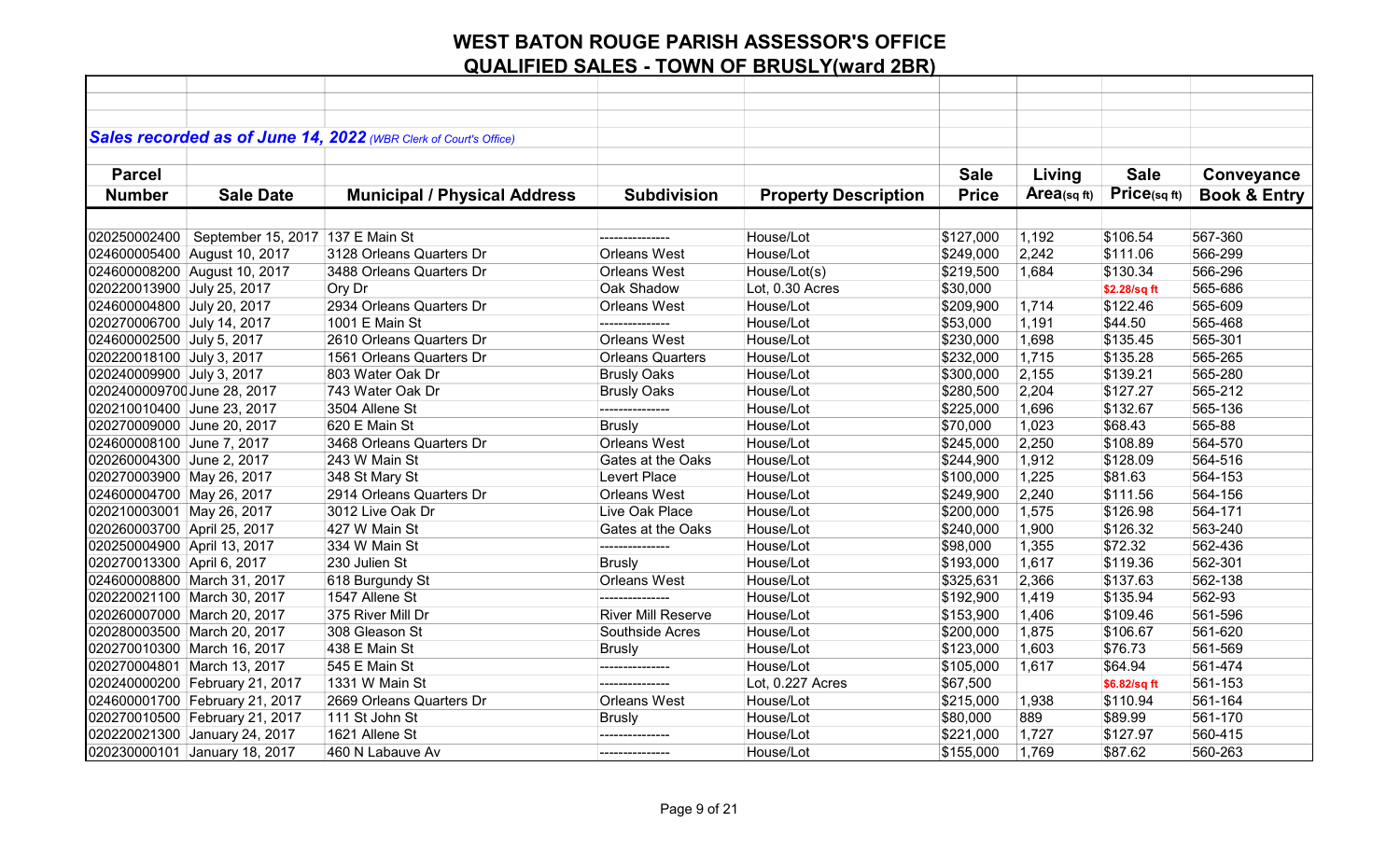|                             |                                    | Sales recorded as of June 14, 2022 (WBR Clerk of Court's Office) |                           |                             |              |            |              |                         |
|-----------------------------|------------------------------------|------------------------------------------------------------------|---------------------------|-----------------------------|--------------|------------|--------------|-------------------------|
|                             |                                    |                                                                  |                           |                             |              |            |              |                         |
| <b>Parcel</b>               |                                    |                                                                  |                           |                             | <b>Sale</b>  | Living     | <b>Sale</b>  | Conveyance              |
| <b>Number</b>               | <b>Sale Date</b>                   | <b>Municipal / Physical Address</b>                              | <b>Subdivision</b>        | <b>Property Description</b> | <b>Price</b> | Area(sqft) | Price(sqft)  | <b>Book &amp; Entry</b> |
|                             |                                    |                                                                  |                           |                             |              |            |              |                         |
|                             |                                    |                                                                  |                           |                             |              |            |              |                         |
| 020250002400                | September 15, 2017   137 E Main St |                                                                  |                           | House/Lot                   | \$127,000    | 1,192      | \$106.54     | 567-360                 |
|                             | 024600005400 August 10, 2017       | 3128 Orleans Quarters Dr                                         | <b>Orleans West</b>       | House/Lot                   | \$249,000    | 2,242      | \$111.06     | 566-299                 |
|                             | 024600008200 August 10, 2017       | 3488 Orleans Quarters Dr                                         | Orleans West              | House/Lot(s)                | \$219,500    | 1,684      | \$130.34     | 566-296                 |
| 020220013900 July 25, 2017  |                                    | Ory Dr                                                           | Oak Shadow                | Lot, 0.30 Acres             | \$30,000     |            | \$2.28/sq ft | 565-686                 |
| 024600004800 July 20, 2017  |                                    | 2934 Orleans Quarters Dr                                         | <b>Orleans West</b>       | House/Lot                   | \$209,900    | 1,714      | \$122.46     | 565-609                 |
| 020270006700 July 14, 2017  |                                    | 1001 E Main St                                                   |                           | House/Lot                   | \$53,000     | 1,191      | \$44.50      | 565-468                 |
| 024600002500 July 5, 2017   |                                    | 2610 Orleans Quarters Dr                                         | <b>Orleans West</b>       | House/Lot                   | \$230,000    | 1,698      | \$135.45     | 565-301                 |
| 020220018100 July 3, 2017   |                                    | 1561 Orleans Quarters Dr                                         | <b>Orleans Quarters</b>   | House/Lot                   | \$232,000    | 1,715      | \$135.28     | 565-265                 |
| 020240009900 July 3, 2017   |                                    | 803 Water Oak Dr                                                 | <b>Brusly Oaks</b>        | House/Lot                   | \$300,000    | 2,155      | \$139.21     | 565-280                 |
| 0202400009700 June 28, 2017 |                                    | 743 Water Oak Dr                                                 | <b>Brusly Oaks</b>        | House/Lot                   | \$280,500    | 2,204      | \$127.27     | 565-212                 |
| 020210010400 June 23, 2017  |                                    | 3504 Allene St                                                   | ---------------           | House/Lot                   | \$225,000    | 1,696      | \$132.67     | 565-136                 |
| 020270009000 June 20, 2017  |                                    | 620 E Main St                                                    | <b>Brusly</b>             | House/Lot                   | \$70,000     | 1,023      | \$68.43      | 565-88                  |
| 024600008100 June 7, 2017   |                                    | 3468 Orleans Quarters Dr                                         | <b>Orleans West</b>       | House/Lot                   | \$245,000    | 2,250      | \$108.89     | 564-570                 |
| 020260004300 June 2, 2017   |                                    | 243 W Main St                                                    | Gates at the Oaks         | House/Lot                   | \$244,900    | 1,912      | \$128.09     | 564-516                 |
| 020270003900 May 26, 2017   |                                    | 348 St Mary St                                                   | Levert Place              | House/Lot                   | \$100,000    | 1,225      | \$81.63      | 564-153                 |
| 024600004700 May 26, 2017   |                                    | 2914 Orleans Quarters Dr                                         | <b>Orleans West</b>       | House/Lot                   | \$249,900    | 2,240      | \$111.56     | 564-156                 |
| 020210003001 May 26, 2017   |                                    | 3012 Live Oak Dr                                                 | Live Oak Place            | House/Lot                   | \$200,000    | 1,575      | \$126.98     | 564-171                 |
| 020260003700 April 25, 2017 |                                    | 427 W Main St                                                    | Gates at the Oaks         | House/Lot                   | \$240,000    | 1,900      | \$126.32     | 563-240                 |
| 020250004900 April 13, 2017 |                                    | 334 W Main St                                                    | ---------------           | House/Lot                   | \$98,000     | 1,355      | \$72.32      | 562-436                 |
| 020270013300 April 6, 2017  |                                    | 230 Julien St                                                    | <b>Brusly</b>             | House/Lot                   | \$193,000    | 1,617      | \$119.36     | 562-301                 |
|                             | 024600008800 March 31, 2017        | 618 Burgundy St                                                  | <b>Orleans West</b>       | House/Lot                   | \$325,631    | 2,366      | \$137.63     | 562-138                 |
|                             | 020220021100 March 30, 2017        | 1547 Allene St                                                   | ---------------           | House/Lot                   | \$192,900    | 1,419      | \$135.94     | 562-93                  |
|                             | 020260007000 March 20, 2017        | 375 River Mill Dr                                                | <b>River Mill Reserve</b> | House/Lot                   | \$153,900    | 1,406      | \$109.46     | 561-596                 |
|                             | 020280003500 March 20, 2017        | 308 Gleason St                                                   | Southside Acres           | House/Lot                   | \$200,000    | 1,875      | \$106.67     | 561-620                 |
|                             | 020270010300 March 16, 2017        | 438 E Main St                                                    | <b>Brusly</b>             | House/Lot                   | \$123,000    | 1,603      | \$76.73      | 561-569                 |
|                             | 020270004801 March 13, 2017        | 545 E Main St                                                    |                           | House/Lot                   | \$105,000    | 1,617      | \$64.94      | 561-474                 |
|                             | 020240000200 February 21, 2017     | 1331 W Main St                                                   | ---------------           | Lot, 0.227 Acres            | \$67,500     |            | \$6.82/sq ft | 561-153                 |
|                             | 024600001700 February 21, 2017     | 2669 Orleans Quarters Dr                                         | Orleans West              | House/Lot                   | \$215,000    | 1,938      | \$110.94     | 561-164                 |
|                             | 020270010500 February 21, 2017     | 111 St John St                                                   | <b>Brusly</b>             | House/Lot                   | \$80,000     | 889        | \$89.99      | 561-170                 |
|                             | 020220021300 January 24, 2017      | 1621 Allene St                                                   | ---------------           | House/Lot                   | \$221,000    | 1,727      | \$127.97     | 560-415                 |
|                             | 020230000101 January 18, 2017      | 460 N Labauve Av                                                 | ---------------           | House/Lot                   | \$155,000    | 1,769      | \$87.62      | 560-263                 |
|                             |                                    |                                                                  |                           |                             |              |            |              |                         |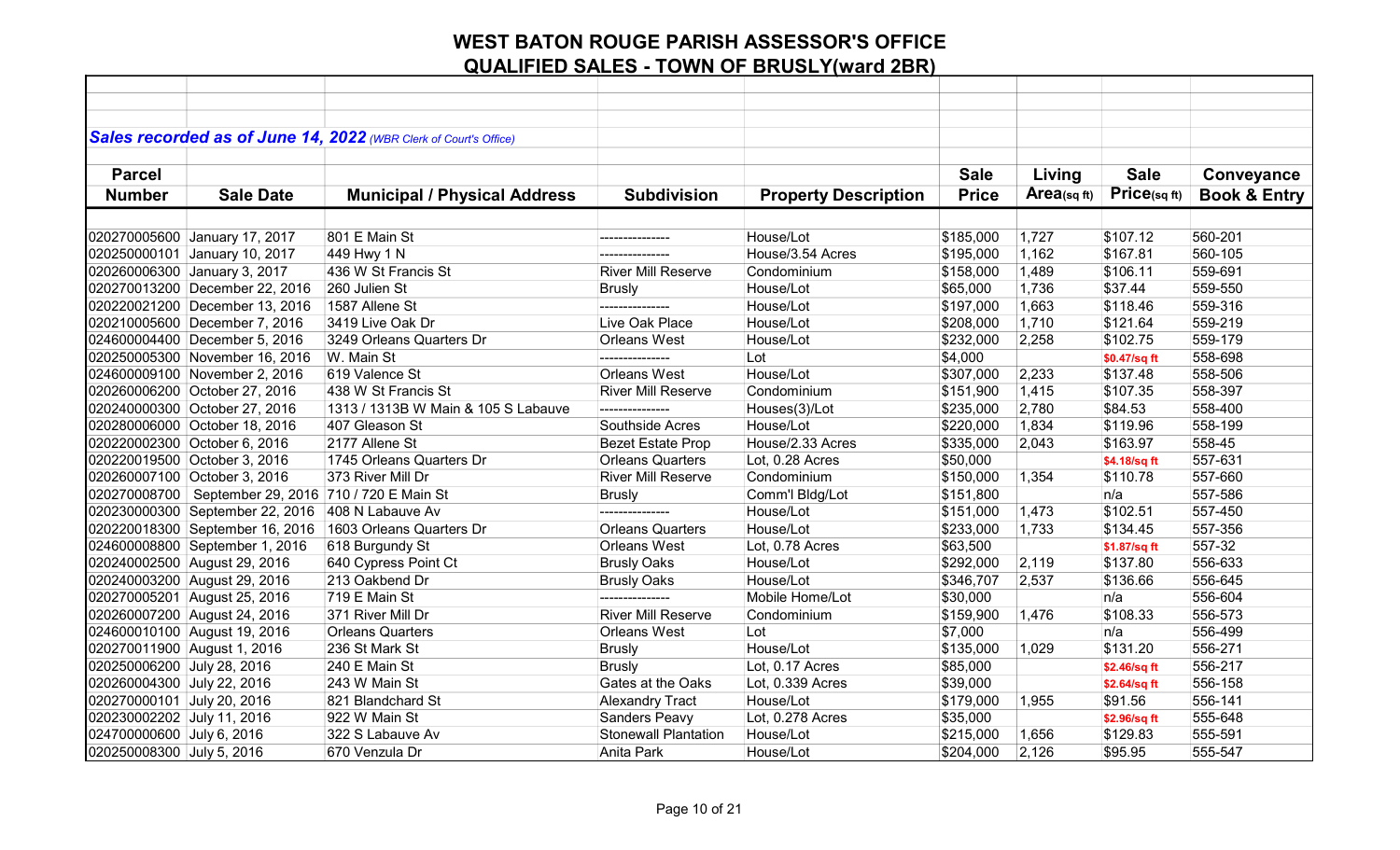|                             |                                                         | Sales recorded as of June 14, 2022 (WBR Clerk of Court's Office) |                             |                             |              |            |                          |                         |
|-----------------------------|---------------------------------------------------------|------------------------------------------------------------------|-----------------------------|-----------------------------|--------------|------------|--------------------------|-------------------------|
| <b>Parcel</b>               |                                                         |                                                                  |                             |                             | <b>Sale</b>  | Living     | <b>Sale</b>              | Conveyance              |
| <b>Number</b>               | <b>Sale Date</b>                                        | <b>Municipal / Physical Address</b>                              | <b>Subdivision</b>          | <b>Property Description</b> | <b>Price</b> | Area(sqft) | Price(sqft)              | <b>Book &amp; Entry</b> |
|                             |                                                         |                                                                  |                             |                             |              |            |                          |                         |
|                             | 020270005600 January 17, 2017                           | 801 E Main St                                                    | ---------------             | House/Lot                   | \$185,000    | 1,727      | \$107.12                 | 560-201                 |
|                             | 020250000101 January 10, 2017                           | 449 Hwy 1 N                                                      |                             | House/3.54 Acres            | \$195,000    | 1,162      | \$167.81                 | 560-105                 |
|                             | 020260006300 January 3, 2017                            | 436 W St Francis St                                              | <b>River Mill Reserve</b>   | Condominium                 | \$158,000    | 1,489      | \$106.11                 | 559-691                 |
|                             | 020270013200 December 22, 2016                          | 260 Julien St                                                    | <b>Brusly</b>               | House/Lot                   | \$65,000     | 1,736      | \$37.44                  | 559-550                 |
|                             | 020220021200 December 13, 2016                          | 1587 Allene St                                                   |                             | House/Lot                   | \$197,000    | 1,663      | \$118.46                 | 559-316                 |
|                             | 020210005600 December 7, 2016                           | 3419 Live Oak Dr                                                 | Live Oak Place              | House/Lot                   | \$208,000    | 1,710      | \$121.64                 | 559-219                 |
|                             | 024600004400 December 5, 2016                           | 3249 Orleans Quarters Dr                                         | Orleans West                | House/Lot                   | \$232,000    | 2,258      | \$102.75                 | 559-179                 |
|                             | 020250005300 November 16, 2016                          | W. Main St                                                       | ---------------             | Lot                         | \$4,000      |            |                          | 558-698                 |
|                             | 024600009100 November 2, 2016                           | 619 Valence St                                                   | <b>Orleans West</b>         | House/Lot                   | \$307,000    | 2,233      | \$0.47/sq ft<br>\$137.48 | 558-506                 |
|                             | 020260006200 October 27, 2016                           | 438 W St Francis St                                              | <b>River Mill Reserve</b>   | Condominium                 | \$151,900    | 1,415      | \$107.35                 | 558-397                 |
|                             | 020240000300 October 27, 2016                           | 1313 / 1313B W Main & 105 S Labauve                              | ---------------             | Houses(3)/Lot               | \$235,000    | 2,780      | \$84.53                  | 558-400                 |
|                             | 020280006000 October 18, 2016                           | 407 Gleason St                                                   | Southside Acres             | House/Lot                   | \$220,000    | 1,834      | \$119.96                 | 558-199                 |
|                             | 020220002300 October 6, 2016                            | 2177 Allene St                                                   | <b>Bezet Estate Prop</b>    | House/2.33 Acres            | \$335,000    | 2,043      | \$163.97                 | 558-45                  |
|                             | 020220019500 October 3, 2016                            | 1745 Orleans Quarters Dr                                         | <b>Orleans Quarters</b>     | Lot, 0.28 Acres             | \$50,000     |            | \$4.18/sq ft             | 557-631                 |
|                             | 020260007100 October 3, 2016                            | 373 River Mill Dr                                                | <b>River Mill Reserve</b>   | Condominium                 | \$150,000    | 1,354      | \$110.78                 | 557-660                 |
|                             | 020270008700   September 29, 2016   710 / 720 E Main St |                                                                  | <b>Brusly</b>               | Comm'l Bldg/Lot             | \$151,800    |            | n/a                      | 557-586                 |
|                             | 020230000300 September 22, 2016                         | 408 N Labauve Av                                                 | ---------------             | House/Lot                   | \$151,000    | 1,473      | \$102.51                 | 557-450                 |
|                             | 020220018300 September 16, 2016                         | 1603 Orleans Quarters Dr                                         | <b>Orleans Quarters</b>     | House/Lot                   | \$233,000    | 1,733      | \$134.45                 | 557-356                 |
|                             | 024600008800 September 1, 2016                          | 618 Burgundy St                                                  | <b>Orleans West</b>         | Lot, 0.78 Acres             | \$63,500     |            | \$1.87/sq ft             | 557-32                  |
|                             | 020240002500 August 29, 2016                            | 640 Cypress Point Ct                                             | <b>Brusly Oaks</b>          | House/Lot                   | \$292,000    | 2,119      | \$137.80                 | 556-633                 |
|                             | 020240003200 August 29, 2016                            | 213 Oakbend Dr                                                   | <b>Brusly Oaks</b>          | House/Lot                   | \$346,707    | 2,537      | \$136.66                 | 556-645                 |
|                             | 020270005201 August 25, 2016                            | 719 E Main St                                                    | ---------------             | Mobile Home/Lot             | \$30,000     |            | n/a                      | 556-604                 |
|                             | 020260007200 August 24, 2016                            | 371 River Mill Dr                                                | <b>River Mill Reserve</b>   | Condominium                 | \$159,900    | 1,476      | \$108.33                 | 556-573                 |
|                             | 024600010100 August 19, 2016                            | <b>Orleans Quarters</b>                                          | <b>Orleans West</b>         | Lot                         | \$7,000      |            | n/a                      | 556-499                 |
| 020270011900 August 1, 2016 |                                                         | 236 St Mark St                                                   | <b>Brusly</b>               | House/Lot                   | \$135,000    | 1,029      | \$131.20                 | 556-271                 |
| 020250006200 July 28, 2016  |                                                         | 240 E Main St                                                    | <b>Brusly</b>               | Lot, 0.17 Acres             | \$85,000     |            | \$2.46/sq ft             | 556-217                 |
| 020260004300 July 22, 2016  |                                                         | 243 W Main St                                                    | Gates at the Oaks           | Lot, 0.339 Acres            | \$39,000     |            | \$2.64/sq ft             | 556-158                 |
| 020270000101 July 20, 2016  |                                                         | 821 Blandchard St                                                | <b>Alexandry Tract</b>      | House/Lot                   | \$179,000    | 1,955      | \$91.56                  | 556-141                 |
| 020230002202 July 11, 2016  |                                                         | 922 W Main St                                                    | Sanders Peavy               | Lot, 0.278 Acres            | \$35,000     |            | \$2.96/sq ft             | 555-648                 |
| 024700000600 July 6, 2016   |                                                         | 322 S Labauve Av                                                 | <b>Stonewall Plantation</b> | House/Lot                   | \$215,000    | 1,656      | \$129.83                 | 555-591                 |
| 020250008300 July 5, 2016   |                                                         | 670 Venzula Dr                                                   | Anita Park                  | House/Lot                   | \$204,000    | 2,126      | \$95.95                  | 555-547                 |
|                             |                                                         |                                                                  |                             |                             |              |            |                          |                         |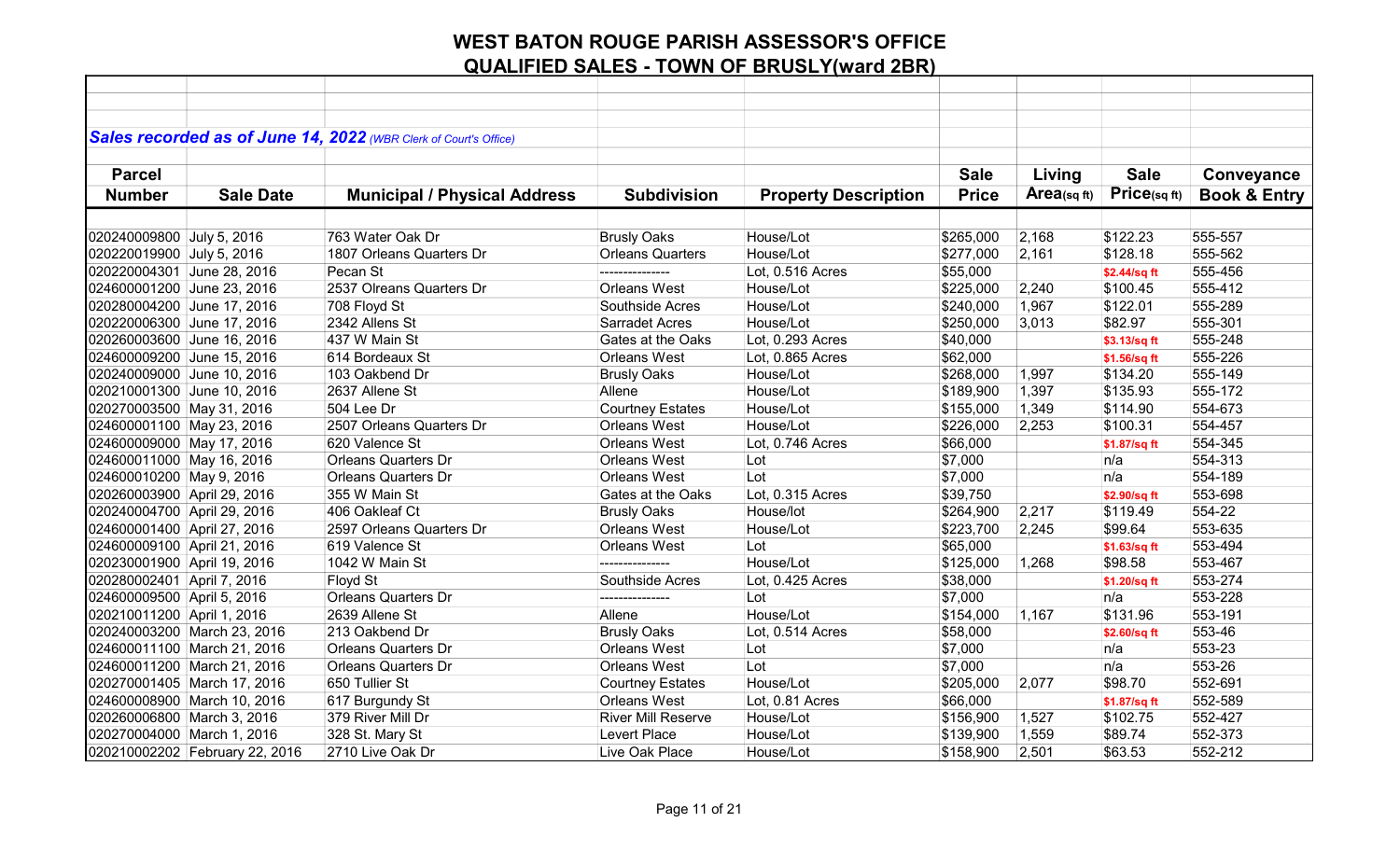|                             |                                | Sales recorded as of June 14, 2022 (WBR Clerk of Court's Office) |                           |                             |              |            |              |                         |
|-----------------------------|--------------------------------|------------------------------------------------------------------|---------------------------|-----------------------------|--------------|------------|--------------|-------------------------|
|                             |                                |                                                                  |                           |                             |              |            |              |                         |
| <b>Parcel</b>               |                                |                                                                  |                           |                             | <b>Sale</b>  | Living     | <b>Sale</b>  | Conveyance              |
| <b>Number</b>               | <b>Sale Date</b>               | <b>Municipal / Physical Address</b>                              | <b>Subdivision</b>        | <b>Property Description</b> | <b>Price</b> | Area(sqft) | Price(sqft)  | <b>Book &amp; Entry</b> |
|                             |                                |                                                                  |                           |                             |              |            |              |                         |
| 020240009800 July 5, 2016   |                                | 763 Water Oak Dr                                                 | <b>Brusly Oaks</b>        | House/Lot                   | \$265,000    | 2,168      | \$122.23     | 555-557                 |
| 020220019900 July 5, 2016   |                                | 1807 Orleans Quarters Dr                                         | <b>Orleans Quarters</b>   | House/Lot                   | \$277,000    | 2,161      | \$128.18     | 555-562                 |
| 020220004301 June 28, 2016  |                                | Pecan St                                                         | ---------------           | Lot, 0.516 Acres            | \$55,000     |            | \$2.44/sq ft | 555-456                 |
| 024600001200 June 23, 2016  |                                | 2537 Olreans Quarters Dr                                         | <b>Orleans West</b>       | House/Lot                   | \$225,000    | 2,240      | \$100.45     | 555-412                 |
| 020280004200 June 17, 2016  |                                | 708 Floyd St                                                     | Southside Acres           | House/Lot                   | \$240,000    | 1,967      | \$122.01     | 555-289                 |
| 020220006300 June 17, 2016  |                                | 2342 Allens St                                                   | <b>Sarradet Acres</b>     | House/Lot                   | \$250,000    | 3,013      | \$82.97      | 555-301                 |
| 020260003600 June 16, 2016  |                                | 437 W Main St                                                    | Gates at the Oaks         | Lot, 0.293 Acres            | \$40,000     |            | \$3.13/sq ft | 555-248                 |
| 024600009200 June 15, 2016  |                                | 614 Bordeaux St                                                  | <b>Orleans West</b>       | Lot, 0.865 Acres            | \$62,000     |            | \$1.56/sq ft | 555-226                 |
| 020240009000 June 10, 2016  |                                | 103 Oakbend Dr                                                   | <b>Brusly Oaks</b>        | House/Lot                   | \$268,000    | 1,997      | \$134.20     | 555-149                 |
| 020210001300 June 10, 2016  |                                | 2637 Allene St                                                   | Allene                    | House/Lot                   | \$189,900    | 1,397      | \$135.93     | 555-172                 |
| 020270003500 May 31, 2016   |                                | 504 Lee Dr                                                       | <b>Courtney Estates</b>   | House/Lot                   | \$155,000    | 1,349      | \$114.90     | 554-673                 |
| 024600001100 May 23, 2016   |                                | 2507 Orleans Quarters Dr                                         | <b>Orleans West</b>       | House/Lot                   | \$226,000    | 2,253      | \$100.31     | 554-457                 |
| 024600009000 May 17, 2016   |                                | 620 Valence St                                                   | <b>Orleans West</b>       | Lot, 0.746 Acres            | \$66,000     |            | \$1.87/sq ft | 554-345                 |
| 024600011000 May 16, 2016   |                                | Orleans Quarters Dr                                              | <b>Orleans West</b>       | Lot                         | \$7,000      |            | n/a          | 554-313                 |
| 024600010200 May 9, 2016    |                                | <b>Orleans Quarters Dr</b>                                       | <b>Orleans West</b>       | Lot                         | \$7,000      |            | n/a          | 554-189                 |
| 020260003900 April 29, 2016 |                                | 355 W Main St                                                    | Gates at the Oaks         | Lot, 0.315 Acres            | \$39,750     |            | \$2.90/sq ft | 553-698                 |
| 020240004700 April 29, 2016 |                                | 406 Oakleaf Ct                                                   | <b>Brusly Oaks</b>        | House/lot                   | \$264,900    | 2,217      | \$119.49     | 554-22                  |
| 024600001400 April 27, 2016 |                                | 2597 Orleans Quarters Dr                                         | Orleans West              | House/Lot                   | \$223,700    | 2,245      | \$99.64      | 553-635                 |
| 024600009100 April 21, 2016 |                                | 619 Valence St                                                   | <b>Orleans West</b>       | Lot                         | \$65,000     |            | \$1.63/sq ft | 553-494                 |
| 020230001900 April 19, 2016 |                                | 1042 W Main St                                                   |                           | House/Lot                   | \$125,000    | 1,268      | \$98.58      | 553-467                 |
| 020280002401 April 7, 2016  |                                | <b>Floyd St</b>                                                  | Southside Acres           | Lot, 0.425 Acres            | \$38,000     |            | \$1.20/sq ft | 553-274                 |
| 024600009500 April 5, 2016  |                                | <b>Orleans Quarters Dr</b>                                       | ---------------           | Lot                         | \$7,000      |            | n/a          | 553-228                 |
| 020210011200 April 1, 2016  |                                | 2639 Allene St                                                   | Allene                    | House/Lot                   | \$154,000    | 1,167      | \$131.96     | 553-191                 |
| 020240003200 March 23, 2016 |                                | 213 Oakbend Dr                                                   | <b>Brusly Oaks</b>        | Lot, 0.514 Acres            | \$58,000     |            | \$2.60/sq ft | 553-46                  |
| 024600011100 March 21, 2016 |                                | <b>Orleans Quarters Dr</b>                                       | Orleans West              | Lot                         | \$7,000      |            | n/a          | 553-23                  |
| 024600011200 March 21, 2016 |                                | <b>Orleans Quarters Dr</b>                                       | <b>Orleans West</b>       | Lot                         | \$7,000      |            | n/a          | 553-26                  |
| 020270001405 March 17, 2016 |                                | 650 Tullier St                                                   | <b>Courtney Estates</b>   | House/Lot                   | \$205,000    | 2,077      | \$98.70      | 552-691                 |
| 024600008900 March 10, 2016 |                                | 617 Burgundy St                                                  | <b>Orleans West</b>       | Lot, 0.81 Acres             | \$66,000     |            | \$1.87/sq ft | 552-589                 |
| 020260006800 March 3, 2016  |                                | 379 River Mill Dr                                                | <b>River Mill Reserve</b> | House/Lot                   | \$156,900    | 1,527      | \$102.75     | 552-427                 |
| 020270004000 March 1, 2016  |                                | 328 St. Mary St                                                  | Levert Place              | House/Lot                   | \$139,900    | 1,559      | \$89.74      | 552-373                 |
|                             | 020210002202 February 22, 2016 | 2710 Live Oak Dr                                                 | Live Oak Place            | House/Lot                   | \$158,900    | 2,501      | \$63.53      | 552-212                 |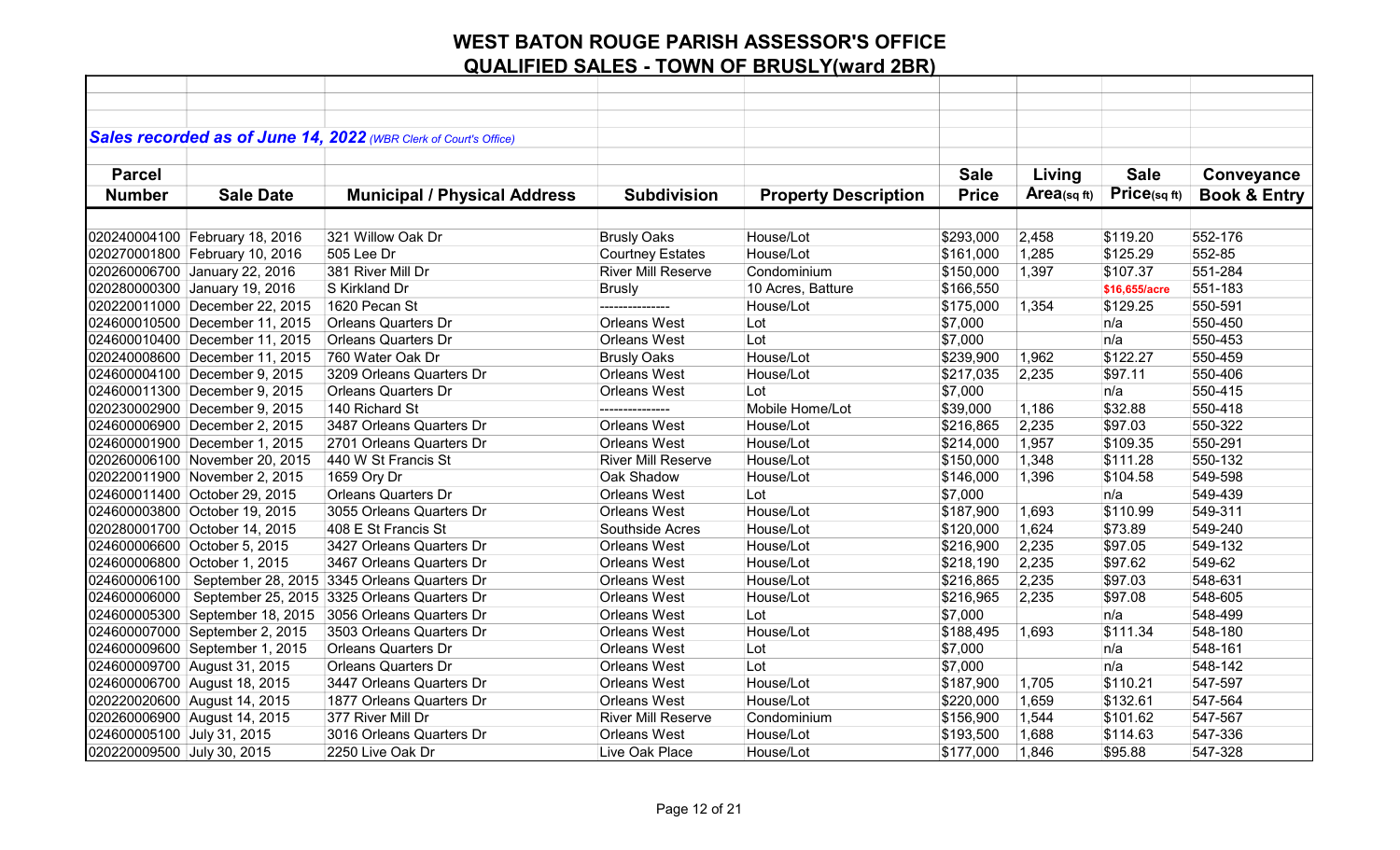|                              |                                 | Sales recorded as of June 14, 2022 (WBR Clerk of Court's Office) |                           |                             |              |            |               |                         |
|------------------------------|---------------------------------|------------------------------------------------------------------|---------------------------|-----------------------------|--------------|------------|---------------|-------------------------|
| <b>Parcel</b>                |                                 |                                                                  |                           |                             | <b>Sale</b>  | Living     | <b>Sale</b>   | Conveyance              |
| <b>Number</b>                | <b>Sale Date</b>                |                                                                  | <b>Subdivision</b>        |                             |              | Area(sqft) | Price(sqft)   |                         |
|                              |                                 | <b>Municipal / Physical Address</b>                              |                           | <b>Property Description</b> | <b>Price</b> |            |               | <b>Book &amp; Entry</b> |
|                              |                                 |                                                                  |                           |                             |              |            |               |                         |
|                              | 020240004100 February 18, 2016  | 321 Willow Oak Dr                                                | <b>Brusly Oaks</b>        | House/Lot                   | \$293,000    | 2,458      | \$119.20      | 552-176                 |
|                              | 020270001800 February 10, 2016  | 505 Lee Dr                                                       | <b>Courtney Estates</b>   | House/Lot                   | \$161,000    | 1,285      | \$125.29      | 552-85                  |
|                              | 020260006700 January 22, 2016   | 381 River Mill Dr                                                | <b>River Mill Reserve</b> | Condominium                 | \$150,000    | 1,397      | \$107.37      | 551-284                 |
|                              | 020280000300 January 19, 2016   | S Kirkland Dr                                                    | <b>Brusly</b>             | 10 Acres, Batture           | \$166,550    |            | \$16,655/acre | 551-183                 |
|                              | 020220011000 December 22, 2015  | 1620 Pecan St                                                    |                           | House/Lot                   | \$175,000    | 1,354      | \$129.25      | 550-591                 |
|                              | 024600010500 December 11, 2015  | <b>Orleans Quarters Dr</b>                                       | <b>Orleans West</b>       | Lot                         | \$7,000      |            | n/a           | 550-450                 |
|                              | 024600010400 December 11, 2015  | <b>Orleans Quarters Dr</b>                                       | <b>Orleans West</b>       | Lot                         | \$7,000      |            | n/a           | 550-453                 |
|                              | 020240008600 December 11, 2015  | 760 Water Oak Dr                                                 | <b>Brusly Oaks</b>        | House/Lot                   | \$239,900    | 1,962      | \$122.27      | 550-459                 |
|                              | 024600004100 December 9, 2015   | 3209 Orleans Quarters Dr                                         | <b>Orleans West</b>       | House/Lot                   | \$217,035    | 2,235      | \$97.11       | 550-406                 |
|                              | 024600011300 December 9, 2015   | <b>Orleans Quarters Dr</b>                                       | <b>Orleans West</b>       | Lot                         | \$7,000      |            | n/a           | 550-415                 |
|                              | 020230002900 December 9, 2015   | 140 Richard St                                                   | ----------------          | Mobile Home/Lot             | \$39,000     | 1,186      | \$32.88       | 550-418                 |
|                              | 024600006900 December 2, 2015   | 3487 Orleans Quarters Dr                                         | <b>Orleans West</b>       | House/Lot                   | \$216,865    | 2,235      | \$97.03       | 550-322                 |
|                              | 024600001900 December 1, 2015   | 2701 Orleans Quarters Dr                                         | <b>Orleans West</b>       | House/Lot                   | \$214,000    | 1,957      | \$109.35      | 550-291                 |
|                              | 020260006100 November 20, 2015  | 440 W St Francis St                                              | <b>River Mill Reserve</b> | House/Lot                   | \$150,000    | 1,348      | \$111.28      | 550-132                 |
|                              | 020220011900 November 2, 2015   | 1659 Ory Dr                                                      | Oak Shadow                | House/Lot                   | \$146,000    | 1,396      | \$104.58      | 549-598                 |
|                              | 024600011400 October 29, 2015   | <b>Orleans Quarters Dr</b>                                       | <b>Orleans West</b>       | Lot                         | \$7,000      |            | n/a           | 549-439                 |
|                              | 024600003800 October 19, 2015   | 3055 Orleans Quarters Dr                                         | Orleans West              | House/Lot                   | \$187,900    | 1,693      | \$110.99      | 549-311                 |
|                              | 020280001700 October 14, 2015   | 408 E St Francis St                                              | Southside Acres           | House/Lot                   | \$120,000    | 1,624      | \$73.89       | 549-240                 |
| 024600006600 October 5, 2015 |                                 | 3427 Orleans Quarters Dr                                         | <b>Orleans West</b>       | House/Lot                   | \$216,900    | 2,235      | \$97.05       | 549-132                 |
| 024600006800 October 1, 2015 |                                 | 3467 Orleans Quarters Dr                                         | <b>Orleans West</b>       | House/Lot                   | \$218,190    | 2,235      | \$97.62       | 549-62                  |
| 024600006100                 |                                 | September 28, 2015 3345 Orleans Quarters Dr                      | <b>Orleans West</b>       | House/Lot                   | \$216,865    | 2,235      | \$97.03       | 548-631                 |
|                              |                                 | 024600006000   September 25, 2015   3325 Orleans Quarters Dr     | <b>Orleans West</b>       | House/Lot                   | \$216,965    | 2,235      | \$97.08       | 548-605                 |
|                              | 024600005300 September 18, 2015 | 3056 Orleans Quarters Dr                                         | <b>Orleans West</b>       | Lot                         | \$7,000      |            | n/a           | 548-499                 |
|                              | 024600007000 September 2, 2015  | 3503 Orleans Quarters Dr                                         | <b>Orleans West</b>       | House/Lot                   | \$188,495    | 1,693      | \$111.34      | 548-180                 |
|                              | 024600009600 September 1, 2015  | <b>Orleans Quarters Dr</b>                                       | <b>Orleans West</b>       | Lot                         | \$7,000      |            | n/a           | 548-161                 |
| 024600009700 August 31, 2015 |                                 | <b>Orleans Quarters Dr</b>                                       | <b>Orleans West</b>       | Lot                         | \$7,000      |            | n/a           | 548-142                 |
| 024600006700 August 18, 2015 |                                 | 3447 Orleans Quarters Dr                                         | <b>Orleans West</b>       | House/Lot                   | \$187,900    | 1,705      | \$110.21      | 547-597                 |
| 020220020600 August 14, 2015 |                                 | 1877 Orleans Quarters Dr                                         | <b>Orleans West</b>       | House/Lot                   | \$220,000    | 1,659      | \$132.61      | 547-564                 |
| 020260006900 August 14, 2015 |                                 | 377 River Mill Dr                                                | <b>River Mill Reserve</b> | Condominium                 | \$156,900    | 1,544      | \$101.62      | 547-567                 |
| 024600005100 July 31, 2015   |                                 | 3016 Orleans Quarters Dr                                         | <b>Orleans West</b>       | House/Lot                   | \$193,500    | 1,688      | \$114.63      | 547-336                 |
| 020220009500 July 30, 2015   |                                 | 2250 Live Oak Dr                                                 | Live Oak Place            | House/Lot                   | \$177,000    | 1,846      | \$95.88       | 547-328                 |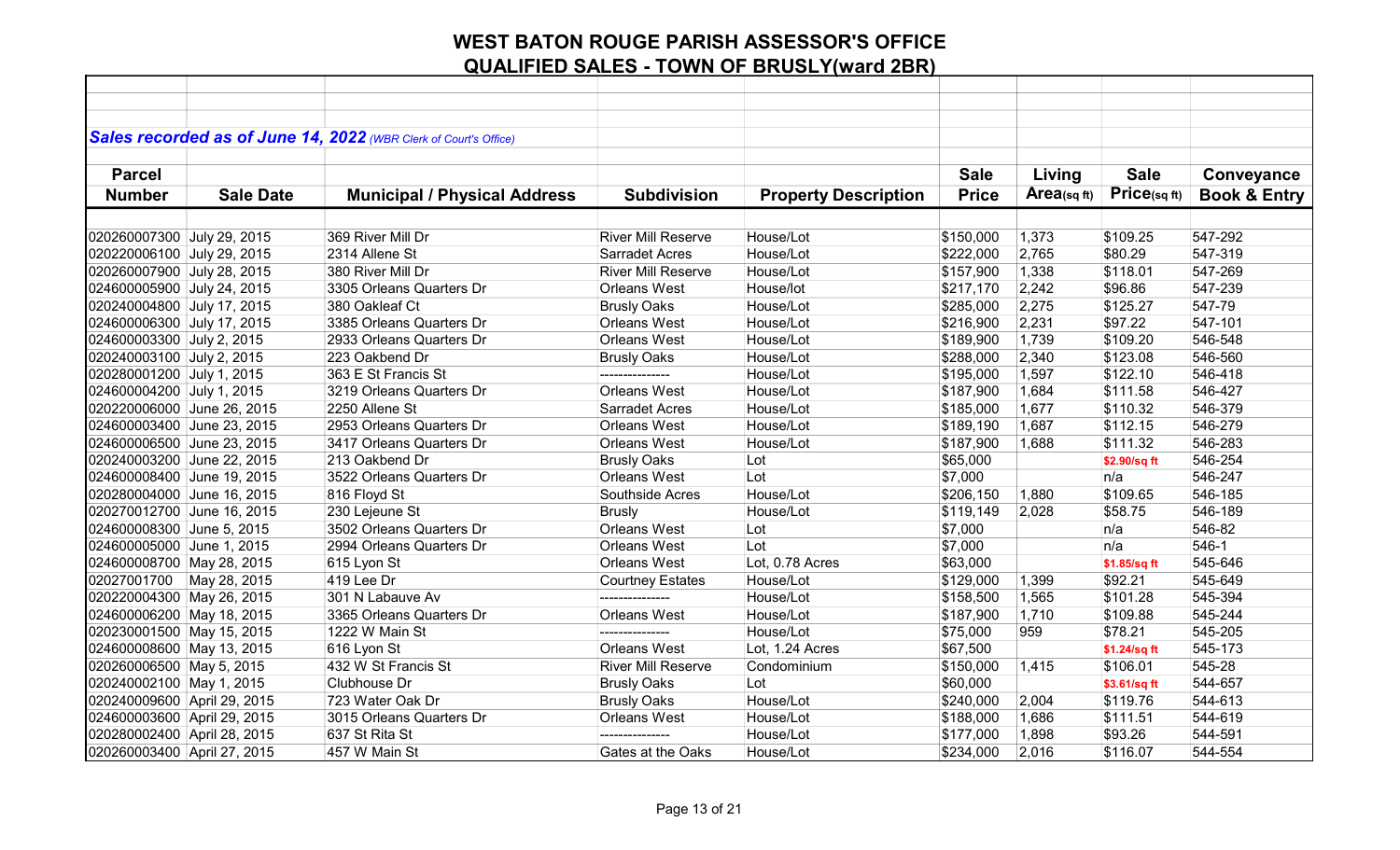|                             |                  | Sales recorded as of June 14, 2022 (WBR Clerk of Court's Office) |                           |                             |              |            |              |                         |
|-----------------------------|------------------|------------------------------------------------------------------|---------------------------|-----------------------------|--------------|------------|--------------|-------------------------|
|                             |                  |                                                                  |                           |                             |              |            |              |                         |
| <b>Parcel</b>               |                  |                                                                  |                           |                             | <b>Sale</b>  | Living     | <b>Sale</b>  | Conveyance              |
| <b>Number</b>               | <b>Sale Date</b> | <b>Municipal / Physical Address</b>                              | <b>Subdivision</b>        | <b>Property Description</b> | <b>Price</b> | Area(sqft) | Price(sqft)  | <b>Book &amp; Entry</b> |
|                             |                  |                                                                  |                           |                             |              |            |              |                         |
| 020260007300 July 29, 2015  |                  | 369 River Mill Dr                                                | <b>River Mill Reserve</b> | House/Lot                   | \$150,000    | 1,373      | \$109.25     | 547-292                 |
| 020220006100 July 29, 2015  |                  | 2314 Allene St                                                   | <b>Sarradet Acres</b>     | House/Lot                   | \$222,000    | 2,765      | \$80.29      | 547-319                 |
| 020260007900 July 28, 2015  |                  | 380 River Mill Dr                                                | <b>River Mill Reserve</b> | House/Lot                   | \$157,900    | 1,338      | \$118.01     | 547-269                 |
| 024600005900 July 24, 2015  |                  | 3305 Orleans Quarters Dr                                         | <b>Orleans West</b>       | House/lot                   | \$217,170    | 2,242      | \$96.86      | 547-239                 |
| 020240004800 July 17, 2015  |                  | 380 Oakleaf Ct                                                   | <b>Brusly Oaks</b>        | House/Lot                   | \$285,000    | 2,275      | \$125.27     | 547-79                  |
| 024600006300 July 17, 2015  |                  | 3385 Orleans Quarters Dr                                         | <b>Orleans West</b>       | House/Lot                   | \$216,900    | 2,231      | \$97.22      | 547-101                 |
| 024600003300 July 2, 2015   |                  | 2933 Orleans Quarters Dr                                         | <b>Orleans West</b>       | House/Lot                   | \$189,900    | 1,739      | \$109.20     | 546-548                 |
| 020240003100 July 2, 2015   |                  | 223 Oakbend Dr                                                   | <b>Brusly Oaks</b>        | House/Lot                   | \$288,000    | 2,340      | \$123.08     | 546-560                 |
| 020280001200 July 1, 2015   |                  | 363 E St Francis St                                              |                           | House/Lot                   | \$195,000    | 1,597      | \$122.10     | 546-418                 |
| 024600004200 July 1, 2015   |                  | 3219 Orleans Quarters Dr                                         | <b>Orleans West</b>       | House/Lot                   | \$187,900    | 1,684      | \$111.58     | 546-427                 |
| 020220006000 June 26, 2015  |                  | 2250 Allene St                                                   | <b>Sarradet Acres</b>     | House/Lot                   | \$185,000    | 1,677      | \$110.32     | 546-379                 |
| 024600003400 June 23, 2015  |                  | 2953 Orleans Quarters Dr                                         | <b>Orleans West</b>       | House/Lot                   | \$189,190    | 1,687      | \$112.15     | 546-279                 |
| 024600006500 June 23, 2015  |                  | 3417 Orleans Quarters Dr                                         | <b>Orleans West</b>       | House/Lot                   | \$187,900    | 1,688      | \$111.32     | 546-283                 |
| 020240003200 June 22, 2015  |                  | 213 Oakbend Dr                                                   | <b>Brusly Oaks</b>        | Lot                         | \$65,000     |            | \$2.90/sq ft | 546-254                 |
| 024600008400 June 19, 2015  |                  | 3522 Orleans Quarters Dr                                         | <b>Orleans West</b>       | Lot                         | \$7,000      |            | n/a          | 546-247                 |
| 020280004000 June 16, 2015  |                  | 816 Floyd St                                                     | Southside Acres           | House/Lot                   | \$206,150    | 1,880      | \$109.65     | 546-185                 |
| 020270012700 June 16, 2015  |                  | 230 Lejeune St                                                   | <b>Brusly</b>             | House/Lot                   | \$119,149    | 2,028      | \$58.75      | 546-189                 |
| 024600008300 June 5, 2015   |                  | 3502 Orleans Quarters Dr                                         | <b>Orleans West</b>       | Lot                         | \$7,000      |            | n/a          | 546-82                  |
| 024600005000 June 1, 2015   |                  | 2994 Orleans Quarters Dr                                         | <b>Orleans West</b>       | Lot                         | \$7,000      |            | n/a          | $546-1$                 |
| 024600008700 May 28, 2015   |                  | 615 Lyon St                                                      | <b>Orleans West</b>       | Lot, 0.78 Acres             | \$63,000     |            | \$1.85/sq ft | 545-646                 |
| 02027001700                 | May 28, 2015     | 419 Lee Dr                                                       | <b>Courtney Estates</b>   | House/Lot                   | \$129,000    | 1,399      | \$92.21      | 545-649                 |
| 020220004300 May 26, 2015   |                  | 301 N Labauve Av                                                 | ---------------           | House/Lot                   | \$158,500    | 1,565      | \$101.28     | 545-394                 |
| 024600006200 May 18, 2015   |                  | 3365 Orleans Quarters Dr                                         | <b>Orleans West</b>       | House/Lot                   | \$187,900    | 1,710      | \$109.88     | 545-244                 |
| 020230001500 May 15, 2015   |                  | 1222 W Main St                                                   | ---------------           | House/Lot                   | \$75,000     | 959        | \$78.21      | 545-205                 |
| 024600008600 May 13, 2015   |                  | 616 Lyon St                                                      | <b>Orleans West</b>       | Lot, 1.24 Acres             | \$67,500     |            | \$1.24/sq ft | 545-173                 |
| 020260006500 May 5, 2015    |                  | 432 W St Francis St                                              | <b>River Mill Reserve</b> | Condominium                 | \$150,000    | 1,415      | \$106.01     | 545-28                  |
| 020240002100 May 1, 2015    |                  | Clubhouse Dr                                                     | <b>Brusly Oaks</b>        | Lot                         | \$60,000     |            | \$3.61/sq ft | 544-657                 |
| 020240009600 April 29, 2015 |                  | 723 Water Oak Dr                                                 | <b>Brusly Oaks</b>        | House/Lot                   | \$240,000    | 2,004      | \$119.76     | 544-613                 |
| 024600003600 April 29, 2015 |                  | 3015 Orleans Quarters Dr                                         | <b>Orleans West</b>       | House/Lot                   | \$188,000    | 1,686      | \$111.51     | 544-619                 |
| 020280002400 April 28, 2015 |                  | 637 St Rita St                                                   | ---------------           | House/Lot                   | \$177,000    | 1,898      | \$93.26      | 544-591                 |
| 020260003400 April 27, 2015 |                  | 457 W Main St                                                    | Gates at the Oaks         | House/Lot                   | \$234,000    | 2,016      | \$116.07     | 544-554                 |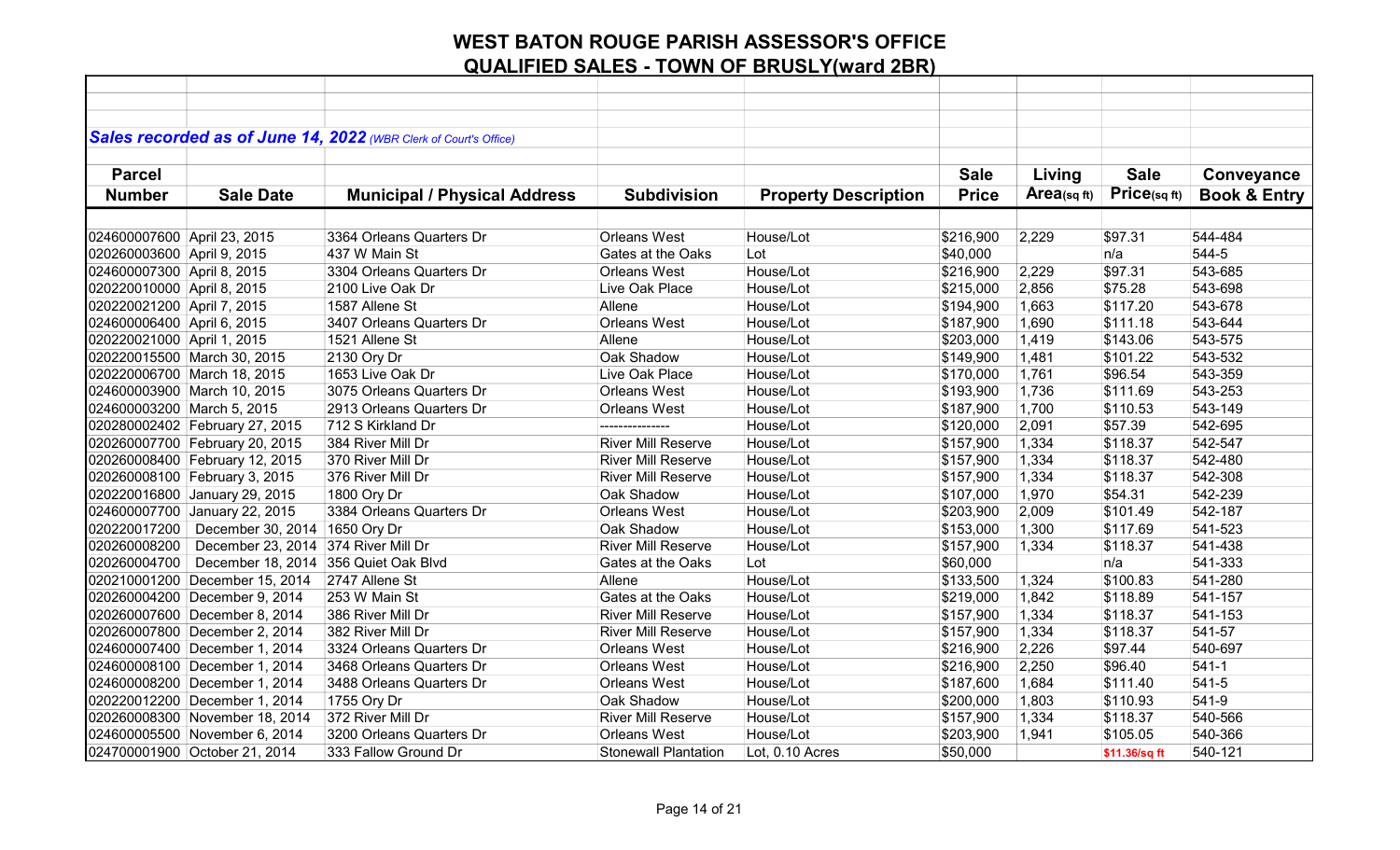|                             |                                | Sales recorded as of June 14, 2022 (WBR Clerk of Court's Office) |                             |                             |              |            |               |                         |
|-----------------------------|--------------------------------|------------------------------------------------------------------|-----------------------------|-----------------------------|--------------|------------|---------------|-------------------------|
|                             |                                |                                                                  |                             |                             |              |            |               |                         |
| <b>Parcel</b>               |                                |                                                                  |                             |                             | <b>Sale</b>  | Living     | <b>Sale</b>   | Conveyance              |
| <b>Number</b>               | <b>Sale Date</b>               | <b>Municipal / Physical Address</b>                              | <b>Subdivision</b>          | <b>Property Description</b> | <b>Price</b> | Area(sqft) | Price(sqft)   | <b>Book &amp; Entry</b> |
|                             |                                |                                                                  |                             |                             |              |            |               |                         |
| 024600007600 April 23, 2015 |                                | 3364 Orleans Quarters Dr                                         | <b>Orleans West</b>         | House/Lot                   | \$216,900    | 2,229      | \$97.31       | 544-484                 |
| 020260003600 April 9, 2015  |                                | 437 W Main St                                                    | Gates at the Oaks           | Lot                         | \$40,000     |            | n/a           | 544-5                   |
| 024600007300 April 8, 2015  |                                | 3304 Orleans Quarters Dr                                         | <b>Orleans West</b>         | House/Lot                   | \$216,900    | 2,229      | \$97.31       | 543-685                 |
| 020220010000 April 8, 2015  |                                | 2100 Live Oak Dr                                                 | Live Oak Place              | House/Lot                   | \$215,000    | 2,856      | \$75.28       | 543-698                 |
| 020220021200 April 7, 2015  |                                | 1587 Allene St                                                   | Allene                      | House/Lot                   | \$194,900    | 1,663      | \$117.20      | 543-678                 |
| 024600006400 April 6, 2015  |                                | 3407 Orleans Quarters Dr                                         | <b>Orleans West</b>         | House/Lot                   | \$187,900    | 1,690      | \$111.18      | 543-644                 |
| 020220021000 April 1, 2015  |                                | 1521 Allene St                                                   | Allene                      | House/Lot                   | \$203,000    | 1,419      | \$143.06      | 543-575                 |
|                             | 020220015500 March 30, 2015    | 2130 Ory Dr                                                      | Oak Shadow                  | House/Lot                   | \$149,900    | 1,481      | \$101.22      | 543-532                 |
|                             | 020220006700 March 18, 2015    | 1653 Live Oak Dr                                                 | Live Oak Place              | House/Lot                   | \$170,000    | 1,761      | \$96.54       | 543-359                 |
|                             | 024600003900 March 10, 2015    | 3075 Orleans Quarters Dr                                         | Orleans West                | House/Lot                   | \$193,900    | 1,736      | \$111.69      | 543-253                 |
| 024600003200 March 5, 2015  |                                | 2913 Orleans Quarters Dr                                         | Orleans West                | House/Lot                   | \$187,900    | 1,700      | \$110.53      | 543-149                 |
|                             | 020280002402 February 27, 2015 | 712 S Kirkland Dr                                                | ---------------             | House/Lot                   | \$120,000    | 2,091      | \$57.39       | 542-695                 |
|                             | 020260007700 February 20, 2015 | 384 River Mill Dr                                                | <b>River Mill Reserve</b>   | House/Lot                   | \$157,900    | 1,334      | \$118.37      | 542-547                 |
|                             | 020260008400 February 12, 2015 | 370 River Mill Dr                                                | <b>River Mill Reserve</b>   | House/Lot                   | \$157,900    | 1,334      | \$118.37      | 542-480                 |
|                             | 020260008100 February 3, 2015  | 376 River Mill Dr                                                | <b>River Mill Reserve</b>   | House/Lot                   | \$157,900    | 1,334      | \$118.37      | 542-308                 |
|                             | 020220016800 January 29, 2015  | 1800 Ory Dr                                                      | Oak Shadow                  | House/Lot                   | \$107,000    | 1,970      | \$54.31       | 542-239                 |
|                             | 024600007700 January 22, 2015  | 3384 Orleans Quarters Dr                                         | Orleans West                | House/Lot                   | \$203,900    | 2,009      | \$101.49      | 542-187                 |
| 020220017200                | December 30, 2014 1650 Ory Dr  |                                                                  | Oak Shadow                  | House/Lot                   | \$153,000    | 1,300      | \$117.69      | 541-523                 |
| 020260008200                | December 23, 2014              | 374 River Mill Dr                                                | <b>River Mill Reserve</b>   | House/Lot                   | \$157,900    | 1,334      | \$118.37      | 541-438                 |
| 020260004700                | December 18, 2014              | 356 Quiet Oak Blvd                                               | Gates at the Oaks           | Lot                         | \$60,000     |            | n/a           | 541-333                 |
|                             | 020210001200 December 15, 2014 | 2747 Allene St                                                   | Allene                      | House/Lot                   | \$133,500    | 1,324      | \$100.83      | 541-280                 |
|                             | 020260004200 December 9, 2014  | 253 W Main St                                                    | Gates at the Oaks           | House/Lot                   | \$219,000    | 1,842      | \$118.89      | 541-157                 |
|                             | 020260007600 December 8, 2014  | 386 River Mill Dr                                                | <b>River Mill Reserve</b>   | House/Lot                   | \$157,900    | 1,334      | \$118.37      | 541-153                 |
|                             | 020260007800 December 2, 2014  | 382 River Mill Dr                                                | <b>River Mill Reserve</b>   | House/Lot                   | \$157,900    | 1,334      | \$118.37      | 541-57                  |
|                             | 024600007400 December 1, 2014  | 3324 Orleans Quarters Dr                                         | <b>Orleans West</b>         | House/Lot                   | \$216,900    | 2,226      | \$97.44       | 540-697                 |
|                             | 024600008100 December 1, 2014  | 3468 Orleans Quarters Dr                                         | Orleans West                | House/Lot                   | \$216,900    | 2,250      | \$96.40       | $541-1$                 |
|                             | 024600008200 December 1, 2014  | 3488 Orleans Quarters Dr                                         | Orleans West                | House/Lot                   | \$187,600    | 1,684      | \$111.40      | 541-5                   |
|                             | 020220012200 December 1, 2014  | 1755 Ory Dr                                                      | Oak Shadow                  | House/Lot                   | \$200,000    | 1,803      | \$110.93      | 541-9                   |
|                             | 020260008300 November 18, 2014 | 372 River Mill Dr                                                | <b>River Mill Reserve</b>   | House/Lot                   | \$157,900    | 1,334      | \$118.37      | 540-566                 |
|                             | 024600005500 November 6, 2014  | 3200 Orleans Quarters Dr                                         | <b>Orleans West</b>         | House/Lot                   | \$203,900    | 1,941      | \$105.05      | 540-366                 |
|                             | 024700001900 October 21, 2014  | 333 Fallow Ground Dr                                             | <b>Stonewall Plantation</b> | Lot, 0.10 Acres             | \$50,000     |            | \$11.36/sq ft | 540-121                 |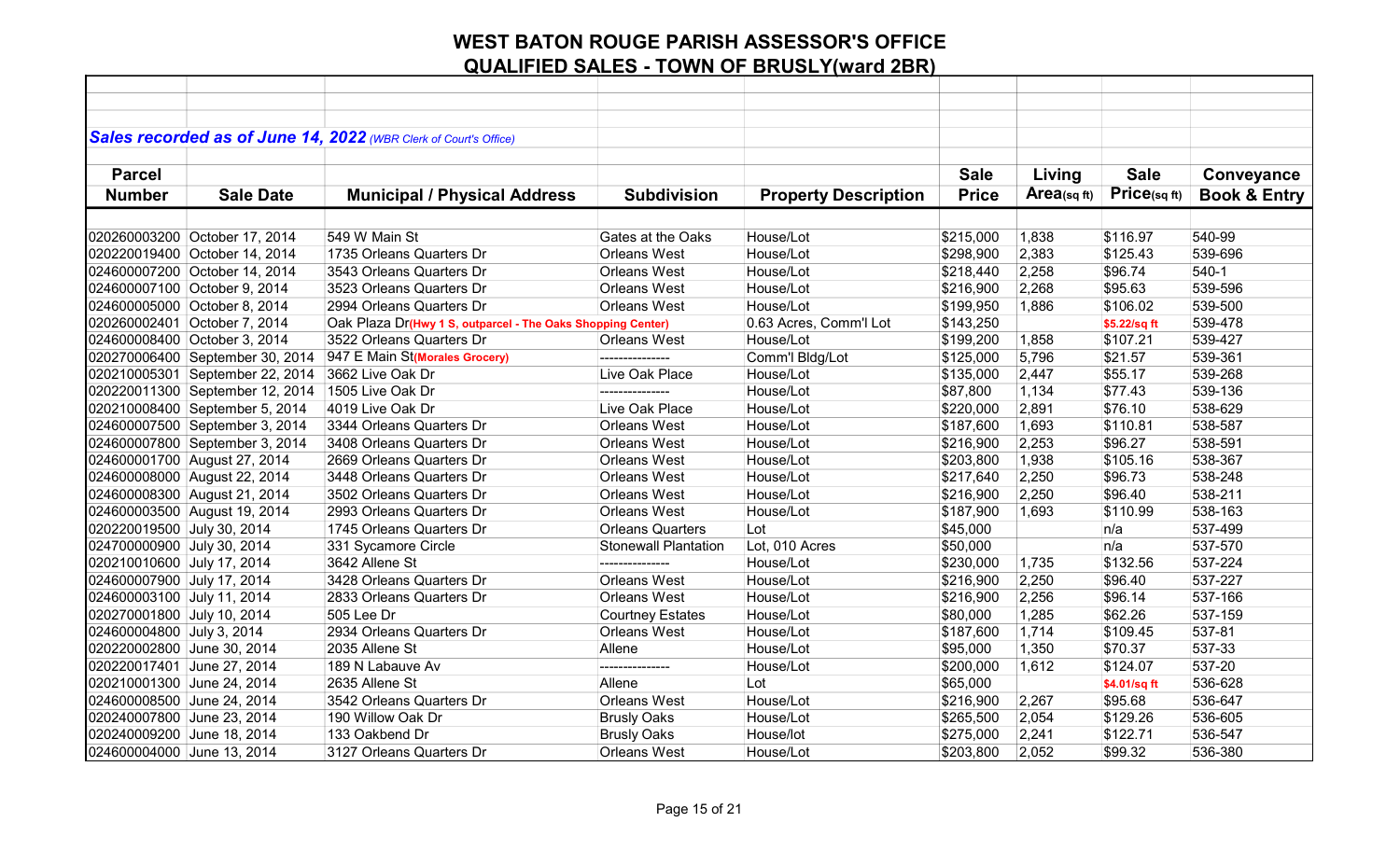|                              |                                 | Sales recorded as of June 14, 2022 (WBR Clerk of Court's Office) |                             |                             |              |             |              |                         |
|------------------------------|---------------------------------|------------------------------------------------------------------|-----------------------------|-----------------------------|--------------|-------------|--------------|-------------------------|
|                              |                                 |                                                                  |                             |                             |              |             |              |                         |
| <b>Parcel</b>                |                                 |                                                                  |                             |                             | <b>Sale</b>  | Living      | <b>Sale</b>  | Conveyance              |
| <b>Number</b>                | <b>Sale Date</b>                | <b>Municipal / Physical Address</b>                              | <b>Subdivision</b>          | <b>Property Description</b> | <b>Price</b> | Area(sq ft) | Price(sqft)  | <b>Book &amp; Entry</b> |
|                              |                                 |                                                                  |                             |                             |              |             |              |                         |
|                              | 020260003200 October 17, 2014   | 549 W Main St                                                    | Gates at the Oaks           | House/Lot                   | \$215,000    | 1,838       | \$116.97     | 540-99                  |
|                              | 020220019400 October 14, 2014   | 1735 Orleans Quarters Dr                                         | <b>Orleans West</b>         | House/Lot                   | \$298,900    | 2,383       | \$125.43     | 539-696                 |
|                              | 024600007200 October 14, 2014   | 3543 Orleans Quarters Dr                                         | <b>Orleans West</b>         | House/Lot                   | \$218,440    | 2,258       | \$96.74      | $540-1$                 |
| 024600007100 October 9, 2014 |                                 | 3523 Orleans Quarters Dr                                         | <b>Orleans West</b>         | House/Lot                   | \$216,900    | 2,268       | \$95.63      | 539-596                 |
|                              | 024600005000 October 8, 2014    | 2994 Orleans Quarters Dr                                         | <b>Orleans West</b>         | House/Lot                   | \$199,950    | 1,886       | \$106.02     | 539-500                 |
|                              | 020260002401 October 7, 2014    | Oak Plaza Dr(Hwy 1 S, outparcel - The Oaks Shopping Center)      |                             | 0.63 Acres, Comm'l Lot      | \$143,250    |             | \$5.22/sq ft | 539-478                 |
|                              | 024600008400 October 3, 2014    | 3522 Orleans Quarters Dr                                         | <b>Orleans West</b>         | House/Lot                   | \$199,200    | 1,858       | \$107.21     | 539-427                 |
|                              | 020270006400 September 30, 2014 | 947 E Main St(Morales Grocery)                                   | ---------------             | Comm'l Bldg/Lot             | \$125,000    | 5,796       | \$21.57      | 539-361                 |
|                              | 020210005301 September 22, 2014 | 3662 Live Oak Dr                                                 | Live Oak Place              | House/Lot                   | \$135,000    | 2,447       | \$55.17      | 539-268                 |
|                              | 020220011300 September 12, 2014 | 1505 Live Oak Dr                                                 | ---------------             | House/Lot                   | \$87,800     | 1,134       | \$77.43      | 539-136                 |
|                              | 020210008400 September 5, 2014  | 4019 Live Oak Dr                                                 | Live Oak Place              | House/Lot                   | \$220,000    | 2,891       | \$76.10      | 538-629                 |
|                              | 024600007500 September 3, 2014  | 3344 Orleans Quarters Dr                                         | <b>Orleans West</b>         | House/Lot                   | \$187,600    | 1,693       | \$110.81     | 538-587                 |
|                              | 024600007800 September 3, 2014  | 3408 Orleans Quarters Dr                                         | <b>Orleans West</b>         | House/Lot                   | \$216,900    | 2,253       | \$96.27      | 538-591                 |
|                              | 024600001700 August 27, 2014    | 2669 Orleans Quarters Dr                                         | <b>Orleans West</b>         | House/Lot                   | \$203,800    | 1,938       | \$105.16     | 538-367                 |
|                              | 024600008000 August 22, 2014    | 3448 Orleans Quarters Dr                                         | Orleans West                | House/Lot                   | \$217,640    | 2,250       | \$96.73      | 538-248                 |
|                              | 024600008300 August 21, 2014    | 3502 Orleans Quarters Dr                                         | <b>Orleans West</b>         | House/Lot                   | \$216,900    | 2,250       | \$96.40      | 538-211                 |
|                              | 024600003500 August 19, 2014    | 2993 Orleans Quarters Dr                                         | <b>Orleans West</b>         | House/Lot                   | \$187,900    | 1,693       | \$110.99     | 538-163                 |
| 020220019500 July 30, 2014   |                                 | 1745 Orleans Quarters Dr                                         | <b>Orleans Quarters</b>     | Lot                         | \$45,000     |             | n/a          | 537-499                 |
| 024700000900 July 30, 2014   |                                 | 331 Sycamore Circle                                              | <b>Stonewall Plantation</b> | Lot, 010 Acres              | \$50,000     |             | n/a          | 537-570                 |
| 020210010600 July 17, 2014   |                                 | 3642 Allene St                                                   |                             | House/Lot                   | \$230,000    | 1,735       | \$132.56     | 537-224                 |
| 024600007900 July 17, 2014   |                                 | 3428 Orleans Quarters Dr                                         | <b>Orleans West</b>         | House/Lot                   | \$216,900    | 2,250       | \$96.40      | 537-227                 |
| 024600003100 July 11, 2014   |                                 | 2833 Orleans Quarters Dr                                         | <b>Orleans West</b>         | House/Lot                   | \$216,900    | 2,256       | \$96.14      | 537-166                 |
| 020270001800 July 10, 2014   |                                 | 505 Lee Dr                                                       | <b>Courtney Estates</b>     | House/Lot                   | \$80,000     | 1,285       | \$62.26      | 537-159                 |
| 024600004800 July 3, 2014    |                                 | 2934 Orleans Quarters Dr                                         | <b>Orleans West</b>         | House/Lot                   | \$187,600    | 1,714       | \$109.45     | 537-81                  |
| 020220002800 June 30, 2014   |                                 | 2035 Allene St                                                   | Allene                      | House/Lot                   | \$95,000     | 1,350       | \$70.37      | 537-33                  |
| 020220017401 June 27, 2014   |                                 | 189 N Labauve Av                                                 | ---------------             | House/Lot                   | \$200,000    | 1,612       | \$124.07     | 537-20                  |
| 020210001300 June 24, 2014   |                                 | 2635 Allene St                                                   | Allene                      | Lot                         | \$65,000     |             | \$4.01/sq ft | 536-628                 |
| 024600008500 June 24, 2014   |                                 | 3542 Orleans Quarters Dr                                         | <b>Orleans West</b>         | House/Lot                   | \$216,900    | 2,267       | \$95.68      | 536-647                 |
| 020240007800 June 23, 2014   |                                 | 190 Willow Oak Dr                                                | <b>Brusly Oaks</b>          | House/Lot                   | \$265,500    | 2,054       | \$129.26     | 536-605                 |
| 020240009200 June 18, 2014   |                                 | 133 Oakbend Dr                                                   | <b>Brusly Oaks</b>          | House/lot                   | \$275,000    | 2,241       | \$122.71     | 536-547                 |
| 024600004000 June 13, 2014   |                                 | 3127 Orleans Quarters Dr                                         | <b>Orleans West</b>         | House/Lot                   | \$203,800    | 2,052       | \$99.32      | 536-380                 |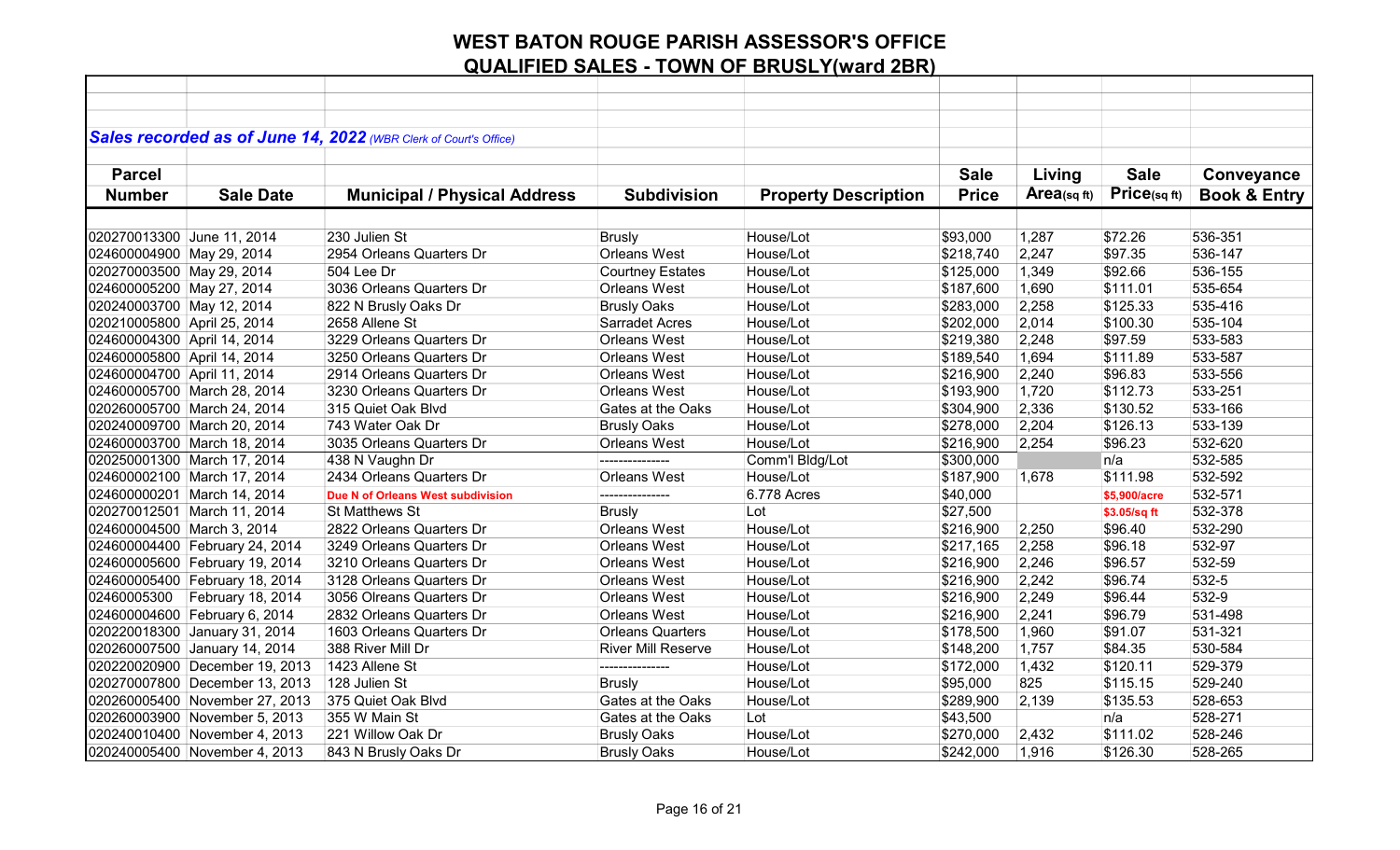|                             |                                | Sales recorded as of June 14, 2022 (WBR Clerk of Court's Office) |                           |                             |              |            |              |                         |
|-----------------------------|--------------------------------|------------------------------------------------------------------|---------------------------|-----------------------------|--------------|------------|--------------|-------------------------|
|                             |                                |                                                                  |                           |                             |              |            |              |                         |
| <b>Parcel</b>               |                                |                                                                  |                           |                             | <b>Sale</b>  | Living     | <b>Sale</b>  | Conveyance              |
| <b>Number</b>               | <b>Sale Date</b>               | <b>Municipal / Physical Address</b>                              | <b>Subdivision</b>        | <b>Property Description</b> | <b>Price</b> | Area(sqft) | Price(sqft)  | <b>Book &amp; Entry</b> |
|                             |                                |                                                                  |                           |                             |              |            |              |                         |
| 020270013300 June 11, 2014  |                                | 230 Julien St                                                    | <b>Brusly</b>             | House/Lot                   | \$93,000     | 1,287      | \$72.26      | 536-351                 |
| 024600004900 May 29, 2014   |                                | 2954 Orleans Quarters Dr                                         | Orleans West              | House/Lot                   | \$218,740    | 2,247      | \$97.35      | 536-147                 |
| 020270003500 May 29, 2014   |                                | 504 Lee Dr                                                       | <b>Courtney Estates</b>   | House/Lot                   | \$125,000    | 1,349      | \$92.66      | 536-155                 |
| 024600005200 May 27, 2014   |                                | 3036 Orleans Quarters Dr                                         | Orleans West              | House/Lot                   | \$187,600    | 1,690      | \$111.01     | 535-654                 |
| 020240003700 May 12, 2014   |                                | 822 N Brusly Oaks Dr                                             | <b>Brusly Oaks</b>        | House/Lot                   | \$283,000    | 2,258      | \$125.33     | 535-416                 |
| 020210005800 April 25, 2014 |                                | 2658 Allene St                                                   | <b>Sarradet Acres</b>     | House/Lot                   | \$202,000    | 2,014      | \$100.30     | 535-104                 |
| 024600004300 April 14, 2014 |                                | 3229 Orleans Quarters Dr                                         | Orleans West              | House/Lot                   | \$219,380    | 2,248      | \$97.59      | 533-583                 |
| 024600005800 April 14, 2014 |                                | 3250 Orleans Quarters Dr                                         | Orleans West              | House/Lot                   | \$189,540    | 1,694      | \$111.89     | 533-587                 |
| 024600004700 April 11, 2014 |                                | 2914 Orleans Quarters Dr                                         | Orleans West              | House/Lot                   | \$216,900    | 2,240      | \$96.83      | 533-556                 |
|                             | 024600005700 March 28, 2014    | 3230 Orleans Quarters Dr                                         | <b>Orleans West</b>       | House/Lot                   | \$193,900    | 1,720      | \$112.73     | 533-251                 |
|                             | 020260005700 March 24, 2014    | 315 Quiet Oak Blvd                                               | Gates at the Oaks         | House/Lot                   | \$304,900    | 2,336      | \$130.52     | 533-166                 |
|                             | 020240009700 March 20, 2014    | 743 Water Oak Dr                                                 | <b>Brusly Oaks</b>        | House/Lot                   | \$278,000    | 2,204      | \$126.13     | 533-139                 |
|                             | 024600003700 March 18, 2014    | 3035 Orleans Quarters Dr                                         | Orleans West              | House/Lot                   | \$216,900    | 2,254      | \$96.23      | 532-620                 |
|                             | 020250001300 March 17, 2014    | 438 N Vaughn Dr                                                  |                           | Comm'l Bldg/Lot             | \$300,000    |            | n/a          | 532-585                 |
|                             | 024600002100 March 17, 2014    | 2434 Orleans Quarters Dr                                         | <b>Orleans West</b>       | House/Lot                   | \$187,900    | 1,678      | \$111.98     | 532-592                 |
|                             | 024600000201 March 14, 2014    | Due N of Orleans West subdivision                                |                           | 6.778 Acres                 | \$40,000     |            | \$5,900/acre | 532-571                 |
|                             | 020270012501 March 11, 2014    | <b>St Matthews St</b>                                            | <b>Brusly</b>             | Lot                         | \$27,500     |            | \$3.05/sq ft | 532-378                 |
| 024600004500 March 3, 2014  |                                | 2822 Orleans Quarters Dr                                         | Orleans West              | House/Lot                   | \$216,900    | 2,250      | \$96.40      | 532-290                 |
|                             | 024600004400 February 24, 2014 | 3249 Orleans Quarters Dr                                         | Orleans West              | House/Lot                   | \$217,165    | 2,258      | \$96.18      | 532-97                  |
|                             | 024600005600 February 19, 2014 | 3210 Orleans Quarters Dr                                         | Orleans West              | House/Lot                   | \$216,900    | 2,246      | \$96.57      | 532-59                  |
|                             | 024600005400 February 18, 2014 | 3128 Orleans Quarters Dr                                         | Orleans West              | House/Lot                   | \$216,900    | 2,242      | \$96.74      | 532-5                   |
| 02460005300                 | February 18, 2014              | 3056 Olreans Quarters Dr                                         | Orleans West              | House/Lot                   | \$216,900    | 2,249      | \$96.44      | 532-9                   |
|                             | 024600004600 February 6, 2014  | 2832 Orleans Quarters Dr                                         | <b>Orleans West</b>       | House/Lot                   | \$216,900    | 2,241      | \$96.79      | 531-498                 |
|                             | 020220018300 January 31, 2014  | 1603 Orleans Quarters Dr                                         | <b>Orleans Quarters</b>   | House/Lot                   | \$178,500    | 1,960      | \$91.07      | 531-321                 |
|                             | 020260007500 January 14, 2014  | 388 River Mill Dr                                                | <b>River Mill Reserve</b> | House/Lot                   | \$148,200    | 1,757      | \$84.35      | 530-584                 |
|                             | 020220020900 December 19, 2013 | 1423 Allene St                                                   | ---------------           | House/Lot                   | \$172,000    | 1,432      | \$120.11     | 529-379                 |
|                             | 020270007800 December 13, 2013 | 128 Julien St                                                    | <b>Brusly</b>             | House/Lot                   | \$95,000     | 825        | \$115.15     | 529-240                 |
|                             | 020260005400 November 27, 2013 | 375 Quiet Oak Blvd                                               | Gates at the Oaks         | House/Lot                   | \$289,900    | 2,139      | \$135.53     | 528-653                 |
|                             | 020260003900 November 5, 2013  | 355 W Main St                                                    | Gates at the Oaks         | Lot                         | \$43,500     |            | n/a          | 528-271                 |
|                             | 020240010400 November 4, 2013  | 221 Willow Oak Dr                                                | <b>Brusly Oaks</b>        | House/Lot                   | \$270,000    | 2,432      | \$111.02     | 528-246                 |
|                             | 020240005400 November 4, 2013  | 843 N Brusly Oaks Dr                                             | <b>Brusly Oaks</b>        | House/Lot                   | \$242,000    | 1,916      | \$126.30     | 528-265                 |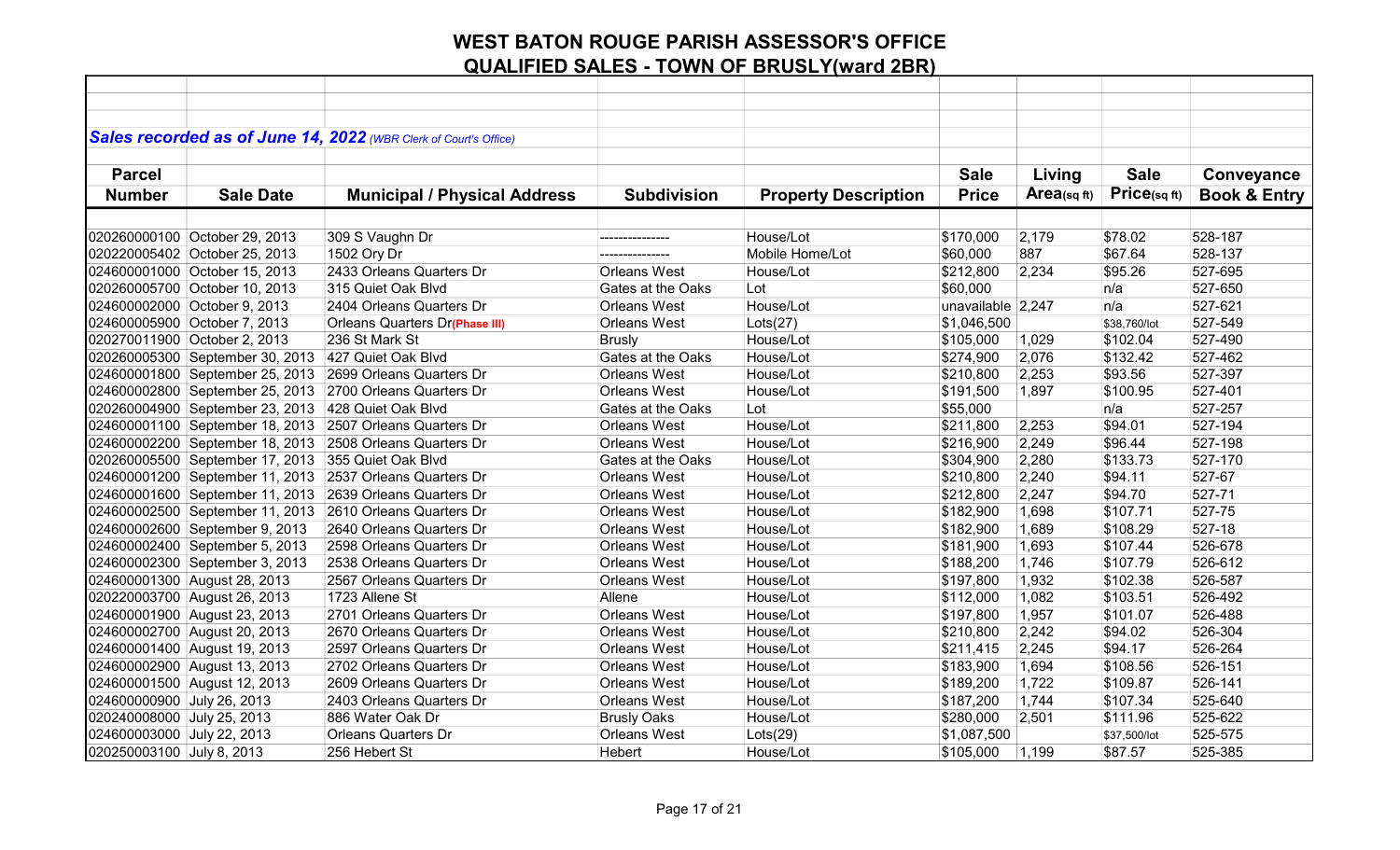| Sales recorded as of June 14, 2022 (WBR Clerk of Court's Office)<br><b>Sale</b><br><b>Parcel</b><br><b>Sale</b><br>Living<br>Conveyance<br>Price(sqft)<br>Area(sq $ft$ )<br><b>Book &amp; Entry</b><br><b>Number</b><br><b>Sale Date</b><br><b>Municipal / Physical Address</b><br><b>Subdivision</b><br><b>Property Description</b><br><b>Price</b><br>528-187<br>020260000100 October 29, 2013<br>309 S Vaughn Dr<br>House/Lot<br>\$170,000<br>2,179<br>\$78.02<br>---------------<br>1502 Ory Dr<br>\$60,000<br>887<br>\$67.64<br>528-137<br>Mobile Home/Lot<br>\$95.26<br>2433 Orleans Quarters Dr<br><b>Orleans West</b><br>\$212,800<br>2,234<br>527-695<br>024600001000 October 15, 2013<br>House/Lot<br>020260005700 October 10, 2013<br>315 Quiet Oak Blvd<br>\$60,000<br>527-650<br>Gates at the Oaks<br>Lot<br>n/a<br>House/Lot<br>unavailable 2,247<br>n/a<br>527-621<br>2404 Orleans Quarters Dr<br><b>Orleans West</b><br><b>Orleans Quarters Dr(Phase III)</b><br>\$1,046,500<br>527-549<br><b>Orleans West</b><br>Lots(27)<br>\$38,760/lot<br>527-490<br>020270011900 October 2, 2013<br>236 St Mark St<br><b>Brusly</b><br>House/Lot<br>\$105,000<br>1,029<br>\$102.04<br>Gates at the Oaks<br>2,076<br>527-462<br>020260005300 September 30, 2013<br>427 Quiet Oak Blvd<br>House/Lot<br>\$274,900<br>\$132.42<br>2,253<br>527-397<br>024600001800 September 25, 2013<br>2699 Orleans Quarters Dr<br><b>Orleans West</b><br>House/Lot<br>\$210,800<br>\$93.56 |  |
|--------------------------------------------------------------------------------------------------------------------------------------------------------------------------------------------------------------------------------------------------------------------------------------------------------------------------------------------------------------------------------------------------------------------------------------------------------------------------------------------------------------------------------------------------------------------------------------------------------------------------------------------------------------------------------------------------------------------------------------------------------------------------------------------------------------------------------------------------------------------------------------------------------------------------------------------------------------------------------------------------------------------------------------------------------------------------------------------------------------------------------------------------------------------------------------------------------------------------------------------------------------------------------------------------------------------------------------------------------------------------------------------------------------------------------------------------------------------------------|--|
| 020220005402 October 25, 2013                                                                                                                                                                                                                                                                                                                                                                                                                                                                                                                                                                                                                                                                                                                                                                                                                                                                                                                                                                                                                                                                                                                                                                                                                                                                                                                                                                                                                                                  |  |
|                                                                                                                                                                                                                                                                                                                                                                                                                                                                                                                                                                                                                                                                                                                                                                                                                                                                                                                                                                                                                                                                                                                                                                                                                                                                                                                                                                                                                                                                                |  |
|                                                                                                                                                                                                                                                                                                                                                                                                                                                                                                                                                                                                                                                                                                                                                                                                                                                                                                                                                                                                                                                                                                                                                                                                                                                                                                                                                                                                                                                                                |  |
|                                                                                                                                                                                                                                                                                                                                                                                                                                                                                                                                                                                                                                                                                                                                                                                                                                                                                                                                                                                                                                                                                                                                                                                                                                                                                                                                                                                                                                                                                |  |
|                                                                                                                                                                                                                                                                                                                                                                                                                                                                                                                                                                                                                                                                                                                                                                                                                                                                                                                                                                                                                                                                                                                                                                                                                                                                                                                                                                                                                                                                                |  |
|                                                                                                                                                                                                                                                                                                                                                                                                                                                                                                                                                                                                                                                                                                                                                                                                                                                                                                                                                                                                                                                                                                                                                                                                                                                                                                                                                                                                                                                                                |  |
|                                                                                                                                                                                                                                                                                                                                                                                                                                                                                                                                                                                                                                                                                                                                                                                                                                                                                                                                                                                                                                                                                                                                                                                                                                                                                                                                                                                                                                                                                |  |
|                                                                                                                                                                                                                                                                                                                                                                                                                                                                                                                                                                                                                                                                                                                                                                                                                                                                                                                                                                                                                                                                                                                                                                                                                                                                                                                                                                                                                                                                                |  |
|                                                                                                                                                                                                                                                                                                                                                                                                                                                                                                                                                                                                                                                                                                                                                                                                                                                                                                                                                                                                                                                                                                                                                                                                                                                                                                                                                                                                                                                                                |  |
| 024600002000 October 9, 2013<br>024600005900 October 7, 2013                                                                                                                                                                                                                                                                                                                                                                                                                                                                                                                                                                                                                                                                                                                                                                                                                                                                                                                                                                                                                                                                                                                                                                                                                                                                                                                                                                                                                   |  |
|                                                                                                                                                                                                                                                                                                                                                                                                                                                                                                                                                                                                                                                                                                                                                                                                                                                                                                                                                                                                                                                                                                                                                                                                                                                                                                                                                                                                                                                                                |  |
|                                                                                                                                                                                                                                                                                                                                                                                                                                                                                                                                                                                                                                                                                                                                                                                                                                                                                                                                                                                                                                                                                                                                                                                                                                                                                                                                                                                                                                                                                |  |
|                                                                                                                                                                                                                                                                                                                                                                                                                                                                                                                                                                                                                                                                                                                                                                                                                                                                                                                                                                                                                                                                                                                                                                                                                                                                                                                                                                                                                                                                                |  |
|                                                                                                                                                                                                                                                                                                                                                                                                                                                                                                                                                                                                                                                                                                                                                                                                                                                                                                                                                                                                                                                                                                                                                                                                                                                                                                                                                                                                                                                                                |  |
|                                                                                                                                                                                                                                                                                                                                                                                                                                                                                                                                                                                                                                                                                                                                                                                                                                                                                                                                                                                                                                                                                                                                                                                                                                                                                                                                                                                                                                                                                |  |
|                                                                                                                                                                                                                                                                                                                                                                                                                                                                                                                                                                                                                                                                                                                                                                                                                                                                                                                                                                                                                                                                                                                                                                                                                                                                                                                                                                                                                                                                                |  |
| \$100.95<br>527-401<br>024600002800 September 25, 2013<br>2700 Orleans Quarters Dr<br><b>Orleans West</b><br>House/Lot<br>\$191,500<br>1,897                                                                                                                                                                                                                                                                                                                                                                                                                                                                                                                                                                                                                                                                                                                                                                                                                                                                                                                                                                                                                                                                                                                                                                                                                                                                                                                                   |  |
| 527-257<br>428 Quiet Oak Blvd<br>020260004900 September 23, 2013<br>Gates at the Oaks<br>Lot<br>\$55,000<br>n/a                                                                                                                                                                                                                                                                                                                                                                                                                                                                                                                                                                                                                                                                                                                                                                                                                                                                                                                                                                                                                                                                                                                                                                                                                                                                                                                                                                |  |
| House/Lot<br>527-194<br>024600001100 September 18, 2013<br>2507 Orleans Quarters Dr<br><b>Orleans West</b><br>\$211,800<br>2,253<br>\$94.01                                                                                                                                                                                                                                                                                                                                                                                                                                                                                                                                                                                                                                                                                                                                                                                                                                                                                                                                                                                                                                                                                                                                                                                                                                                                                                                                    |  |
| House/Lot<br>2,249<br>527-198<br>024600002200 September 18, 2013<br>2508 Orleans Quarters Dr<br><b>Orleans West</b><br>\$216,900<br>\$96.44                                                                                                                                                                                                                                                                                                                                                                                                                                                                                                                                                                                                                                                                                                                                                                                                                                                                                                                                                                                                                                                                                                                                                                                                                                                                                                                                    |  |
| 2,280<br>020260005500 September 17, 2013<br>355 Quiet Oak Blvd<br>Gates at the Oaks<br>House/Lot<br>\$304,900<br>\$133.73<br>527-170                                                                                                                                                                                                                                                                                                                                                                                                                                                                                                                                                                                                                                                                                                                                                                                                                                                                                                                                                                                                                                                                                                                                                                                                                                                                                                                                           |  |
| 2,240<br>2537 Orleans Quarters Dr<br><b>Orleans West</b><br>House/Lot<br>\$94.11<br>527-67<br>024600001200 September 11, 2013<br>\$210,800                                                                                                                                                                                                                                                                                                                                                                                                                                                                                                                                                                                                                                                                                                                                                                                                                                                                                                                                                                                                                                                                                                                                                                                                                                                                                                                                     |  |
| 2,247<br>527-71<br>2639 Orleans Quarters Dr<br><b>Orleans West</b><br>House/Lot<br>\$94.70<br>024600001600 September 11, 2013<br>\$212,800                                                                                                                                                                                                                                                                                                                                                                                                                                                                                                                                                                                                                                                                                                                                                                                                                                                                                                                                                                                                                                                                                                                                                                                                                                                                                                                                     |  |
| 1,698<br>527-75<br>2610 Orleans Quarters Dr<br><b>Orleans West</b><br>House/Lot<br>\$182,900<br>\$107.71<br>024600002500 September 11, 2013                                                                                                                                                                                                                                                                                                                                                                                                                                                                                                                                                                                                                                                                                                                                                                                                                                                                                                                                                                                                                                                                                                                                                                                                                                                                                                                                    |  |
| \$108.29<br>527-18<br>024600002600 September 9, 2013<br>2640 Orleans Quarters Dr<br><b>Orleans West</b><br>House/Lot<br>\$182,900<br>1,689                                                                                                                                                                                                                                                                                                                                                                                                                                                                                                                                                                                                                                                                                                                                                                                                                                                                                                                                                                                                                                                                                                                                                                                                                                                                                                                                     |  |
| 1,693<br>\$107.44<br>526-678<br>024600002400 September 5, 2013<br>2598 Orleans Quarters Dr<br><b>Orleans West</b><br>House/Lot<br>\$181,900                                                                                                                                                                                                                                                                                                                                                                                                                                                                                                                                                                                                                                                                                                                                                                                                                                                                                                                                                                                                                                                                                                                                                                                                                                                                                                                                    |  |
| \$107.79<br>526-612<br>024600002300 September 3, 2013<br>2538 Orleans Quarters Dr<br><b>Orleans West</b><br>House/Lot<br>\$188,200<br>1,746                                                                                                                                                                                                                                                                                                                                                                                                                                                                                                                                                                                                                                                                                                                                                                                                                                                                                                                                                                                                                                                                                                                                                                                                                                                                                                                                    |  |
| 526-587<br>024600001300 August 28, 2013<br>2567 Orleans Quarters Dr<br><b>Orleans West</b><br>House/Lot<br>\$197,800<br>1,932<br>\$102.38                                                                                                                                                                                                                                                                                                                                                                                                                                                                                                                                                                                                                                                                                                                                                                                                                                                                                                                                                                                                                                                                                                                                                                                                                                                                                                                                      |  |
| 526-492<br>020220003700 August 26, 2013<br>1723 Allene St<br>House/Lot<br>\$112,000<br>1,082<br>\$103.51<br>Allene                                                                                                                                                                                                                                                                                                                                                                                                                                                                                                                                                                                                                                                                                                                                                                                                                                                                                                                                                                                                                                                                                                                                                                                                                                                                                                                                                             |  |
| 2701 Orleans Quarters Dr<br><b>Orleans West</b><br>House/Lot<br>1,957<br>526-488<br>024600001900 August 23, 2013<br>\$197,800<br>\$101.07                                                                                                                                                                                                                                                                                                                                                                                                                                                                                                                                                                                                                                                                                                                                                                                                                                                                                                                                                                                                                                                                                                                                                                                                                                                                                                                                      |  |
| 024600002700 August 20, 2013<br>2670 Orleans Quarters Dr<br><b>Orleans West</b><br>House/Lot<br>\$210,800<br>2,242<br>\$94.02<br>526-304                                                                                                                                                                                                                                                                                                                                                                                                                                                                                                                                                                                                                                                                                                                                                                                                                                                                                                                                                                                                                                                                                                                                                                                                                                                                                                                                       |  |
| 2,245<br>526-264<br>024600001400 August 19, 2013<br>2597 Orleans Quarters Dr<br><b>Orleans West</b><br>House/Lot<br>\$211,415<br>\$94.17                                                                                                                                                                                                                                                                                                                                                                                                                                                                                                                                                                                                                                                                                                                                                                                                                                                                                                                                                                                                                                                                                                                                                                                                                                                                                                                                       |  |
| <b>Orleans West</b><br>1,694<br>\$108.56<br>526-151<br>024600002900 August 13, 2013<br>2702 Orleans Quarters Dr<br>House/Lot<br>\$183,900                                                                                                                                                                                                                                                                                                                                                                                                                                                                                                                                                                                                                                                                                                                                                                                                                                                                                                                                                                                                                                                                                                                                                                                                                                                                                                                                      |  |
| 1,722<br>526-141<br>024600001500 August 12, 2013<br>2609 Orleans Quarters Dr<br><b>Orleans West</b><br>House/Lot<br>\$109.87<br>\$189,200                                                                                                                                                                                                                                                                                                                                                                                                                                                                                                                                                                                                                                                                                                                                                                                                                                                                                                                                                                                                                                                                                                                                                                                                                                                                                                                                      |  |
| 525-640<br>024600000900 July 26, 2013<br>2403 Orleans Quarters Dr<br>\$187,200<br>1,744<br>\$107.34<br><b>Orleans West</b><br>House/Lot                                                                                                                                                                                                                                                                                                                                                                                                                                                                                                                                                                                                                                                                                                                                                                                                                                                                                                                                                                                                                                                                                                                                                                                                                                                                                                                                        |  |
| House/Lot<br>2,501<br>\$111.96<br>525-622<br>020240008000 July 25, 2013<br>886 Water Oak Dr<br><b>Brusly Oaks</b><br>\$280,000                                                                                                                                                                                                                                                                                                                                                                                                                                                                                                                                                                                                                                                                                                                                                                                                                                                                                                                                                                                                                                                                                                                                                                                                                                                                                                                                                 |  |
| <b>Orleans West</b><br>525-575<br>024600003000 July 22, 2013<br><b>Orleans Quarters Dr</b><br>Lots(29)<br>\$1,087,500<br>\$37,500/lot                                                                                                                                                                                                                                                                                                                                                                                                                                                                                                                                                                                                                                                                                                                                                                                                                                                                                                                                                                                                                                                                                                                                                                                                                                                                                                                                          |  |
| 020250003100 July 8, 2013<br>256 Hebert St<br>Hebert<br>House/Lot<br>\$105,000<br>1,199<br>\$87.57<br>525-385                                                                                                                                                                                                                                                                                                                                                                                                                                                                                                                                                                                                                                                                                                                                                                                                                                                                                                                                                                                                                                                                                                                                                                                                                                                                                                                                                                  |  |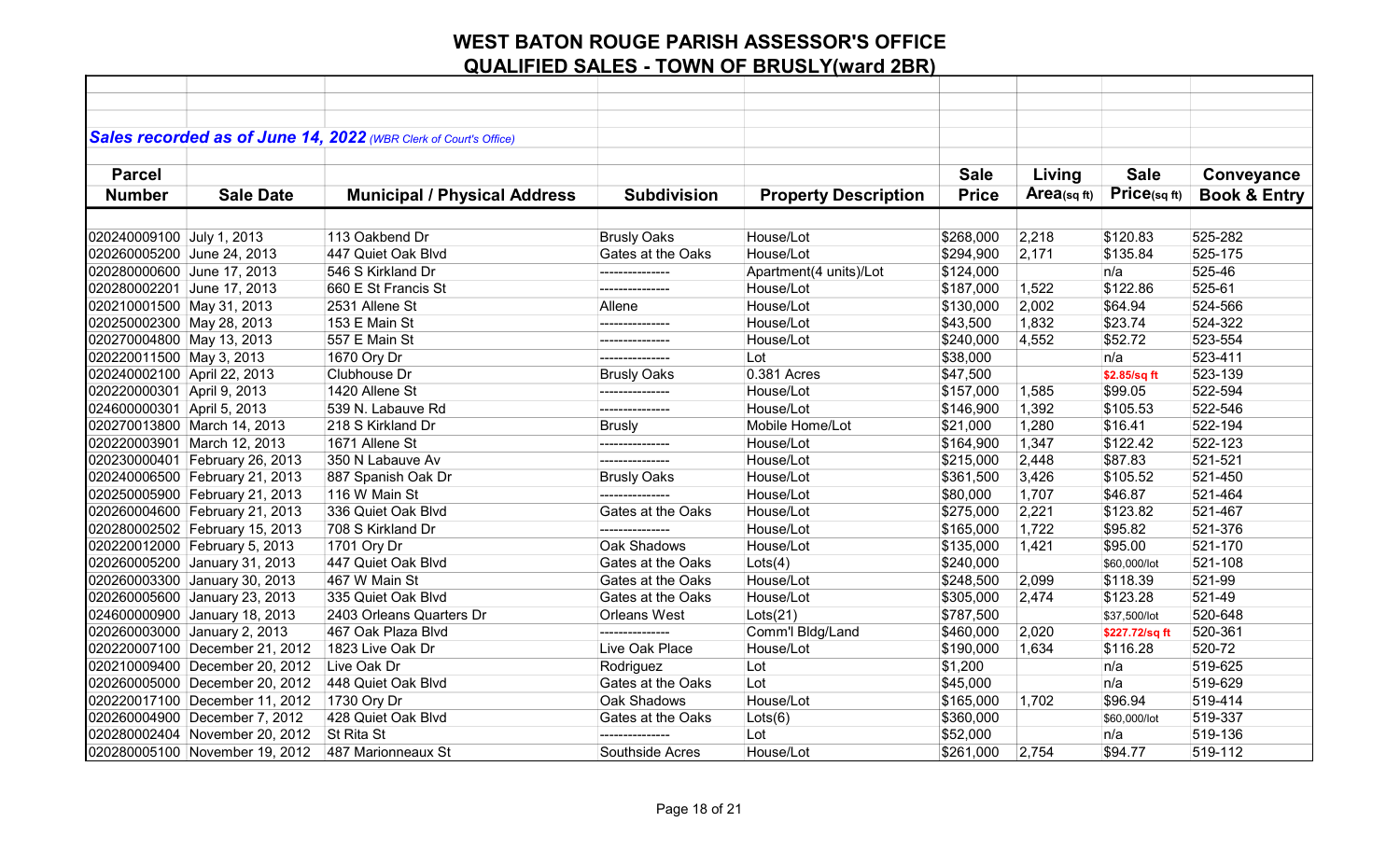|                              |                                | Sales recorded as of June 14, 2022 (WBR Clerk of Court's Office) |                     |                             |              |            |                |                         |
|------------------------------|--------------------------------|------------------------------------------------------------------|---------------------|-----------------------------|--------------|------------|----------------|-------------------------|
| <b>Parcel</b>                |                                |                                                                  |                     |                             | <b>Sale</b>  | Living     | <b>Sale</b>    | Conveyance              |
| <b>Number</b>                | <b>Sale Date</b>               | <b>Municipal / Physical Address</b>                              | <b>Subdivision</b>  | <b>Property Description</b> | <b>Price</b> | Area(sqft) | Price(sqft)    | <b>Book &amp; Entry</b> |
|                              |                                |                                                                  |                     |                             |              |            |                |                         |
| 020240009100 July 1, 2013    |                                | 113 Oakbend Dr                                                   | <b>Brusly Oaks</b>  | House/Lot                   | \$268,000    | 2,218      | \$120.83       | 525-282                 |
| 020260005200 June 24, 2013   |                                | 447 Quiet Oak Blvd                                               | Gates at the Oaks   | House/Lot                   | \$294,900    | 2,171      | \$135.84       | 525-175                 |
| 020280000600 June 17, 2013   |                                | 546 S Kirkland Dr                                                | ---------------     | Apartment(4 units)/Lot      | \$124,000    |            | n/a            | 525-46                  |
| 020280002201 June 17, 2013   |                                | 660 E St Francis St                                              | --------------      | House/Lot                   | \$187,000    | 1,522      | \$122.86       | 525-61                  |
| 020210001500 May 31, 2013    |                                | 2531 Allene St                                                   | Allene              | House/Lot                   | \$130,000    | 2,002      | \$64.94        | 524-566                 |
| 020250002300 May 28, 2013    |                                | 153 E Main St                                                    | ---------------     | House/Lot                   | \$43,500     | 1,832      | \$23.74        | 524-322                 |
| 020270004800 May 13, 2013    |                                | 557 E Main St                                                    |                     | House/Lot                   | \$240,000    | 4,552      | \$52.72        | 523-554                 |
| 020220011500 May 3, 2013     |                                | 1670 Ory Dr                                                      | ---------------     | Lot                         | \$38,000     |            | n/a            | 523-411                 |
| 020240002100 April 22, 2013  |                                | Clubhouse Dr                                                     | <b>Brusly Oaks</b>  | 0.381 Acres                 | \$47,500     |            | \$2.85/sq ft   | 523-139                 |
| 020220000301 April 9, 2013   |                                | 1420 Allene St                                                   |                     | House/Lot                   | \$157,000    | 1,585      | \$99.05        | 522-594                 |
| 024600000301 April 5, 2013   |                                | 539 N. Labauve Rd                                                | ---------------     | House/Lot                   | \$146,900    | 1,392      | \$105.53       | 522-546                 |
| 020270013800 March 14, 2013  |                                | 218 S Kirkland Dr                                                | <b>Brusly</b>       | Mobile Home/Lot             | \$21,000     | 1,280      | \$16.41        | 522-194                 |
| 020220003901 March 12, 2013  |                                | 1671 Allene St                                                   | ---------------     | House/Lot                   | \$164,900    | 1,347      | \$122.42       | 522-123                 |
|                              | 020230000401 February 26, 2013 | 350 N Labauve Av                                                 | ---------------     | House/Lot                   | \$215,000    | 2,448      | \$87.83        | 521-521                 |
|                              | 020240006500 February 21, 2013 | 887 Spanish Oak Dr                                               | <b>Brusly Oaks</b>  | House/Lot                   | \$361,500    | 3,426      | \$105.52       | 521-450                 |
|                              | 020250005900 February 21, 2013 | 116 W Main St                                                    |                     | House/Lot                   | \$80,000     | 1,707      | \$46.87        | 521-464                 |
|                              | 020260004600 February 21, 2013 | 336 Quiet Oak Blvd                                               | Gates at the Oaks   | House/Lot                   | \$275,000    | 2,221      | \$123.82       | 521-467                 |
|                              | 020280002502 February 15, 2013 | 708 S Kirkland Dr                                                |                     | House/Lot                   | \$165,000    | 1,722      | \$95.82        | 521-376                 |
|                              | 020220012000 February 5, 2013  | 1701 Ory Dr                                                      | Oak Shadows         | House/Lot                   | \$135,000    | 1,421      | \$95.00        | 521-170                 |
|                              | 020260005200 January 31, 2013  | 447 Quiet Oak Blvd                                               | Gates at the Oaks   | Lots(4)                     | \$240,000    |            | \$60,000/lot   | 521-108                 |
|                              | 020260003300 January 30, 2013  | 467 W Main St                                                    | Gates at the Oaks   | House/Lot                   | \$248,500    | 2,099      | \$118.39       | 521-99                  |
|                              | 020260005600 January 23, 2013  | 335 Quiet Oak Blvd                                               | Gates at the Oaks   | House/Lot                   | \$305,000    | 2,474      | \$123.28       | 521-49                  |
|                              | 024600000900 January 18, 2013  | 2403 Orleans Quarters Dr                                         | <b>Orleans West</b> | $ $ Lots $(21)$             | \$787,500    |            | \$37,500/lot   | 520-648                 |
| 020260003000 January 2, 2013 |                                | 467 Oak Plaza Blvd                                               | --------------      | Comm'l Bldg/Land            | \$460,000    | 2,020      | \$227.72/sq ft | 520-361                 |
|                              | 020220007100 December 21, 2012 | 1823 Live Oak Dr                                                 | Live Oak Place      | House/Lot                   | \$190,000    | 1,634      | \$116.28       | 520-72                  |
|                              | 020210009400 December 20, 2012 | Live Oak Dr                                                      | Rodriguez           | Lot                         | \$1,200      |            | n/a            | 519-625                 |
|                              | 020260005000 December 20, 2012 | 448 Quiet Oak Blvd                                               | Gates at the Oaks   | Lot                         | \$45,000     |            | n/a            | 519-629                 |
|                              | 020220017100 December 11, 2012 | 1730 Ory Dr                                                      | Oak Shadows         | House/Lot                   | \$165,000    | 1,702      | \$96.94        | 519-414                 |
|                              | 020260004900 December 7, 2012  | 428 Quiet Oak Blvd                                               | Gates at the Oaks   | Lots(6)                     | \$360,000    |            | \$60,000/lot   | 519-337                 |
|                              | 020280002404 November 20, 2012 | St Rita St                                                       | ---------------     | Lot                         | \$52,000     |            | n/a            | 519-136                 |
|                              | 020280005100 November 19, 2012 | 487 Marionneaux St                                               | Southside Acres     | House/Lot                   | \$261,000    | 2,754      | \$94.77        | 519-112                 |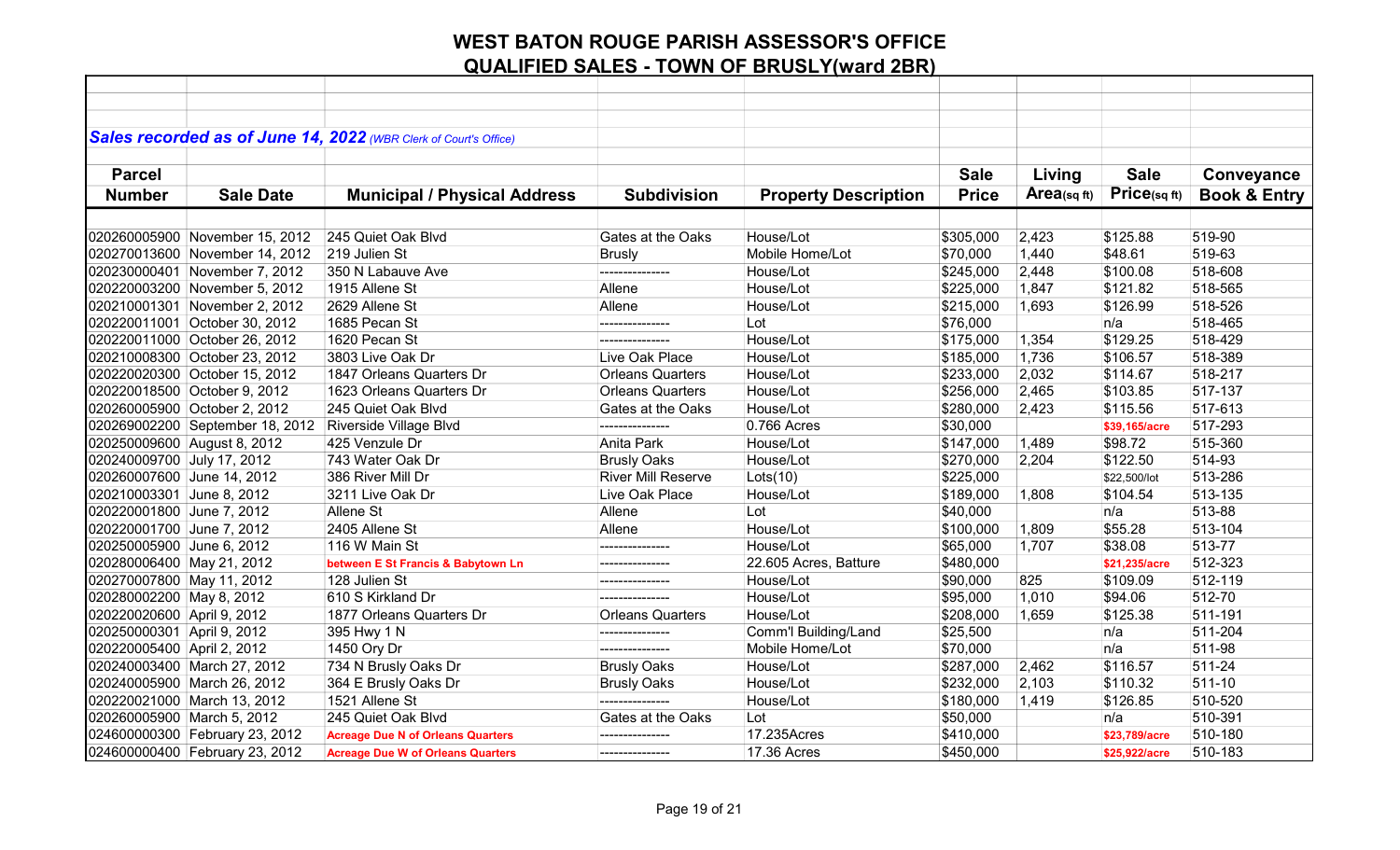|                             |                                 | Sales recorded as of June 14, 2022 (WBR Clerk of Court's Office) |                           |                             |              |            |               |                         |
|-----------------------------|---------------------------------|------------------------------------------------------------------|---------------------------|-----------------------------|--------------|------------|---------------|-------------------------|
|                             |                                 |                                                                  |                           |                             |              |            |               |                         |
| <b>Parcel</b>               |                                 |                                                                  |                           |                             | <b>Sale</b>  | Living     | <b>Sale</b>   | Conveyance              |
| <b>Number</b>               | <b>Sale Date</b>                | <b>Municipal / Physical Address</b>                              | <b>Subdivision</b>        | <b>Property Description</b> | <b>Price</b> | Area(sqft) | Price(sqft)   | <b>Book &amp; Entry</b> |
|                             |                                 |                                                                  |                           |                             |              |            |               |                         |
|                             | 020260005900 November 15, 2012  | 245 Quiet Oak Blvd                                               | Gates at the Oaks         | House/Lot                   | \$305,000    | 2,423      | \$125.88      | 519-90                  |
|                             | 020270013600 November 14, 2012  | 219 Julien St                                                    | <b>Brusly</b>             | Mobile Home/Lot             | \$70,000     | 1,440      | \$48.61       | 519-63                  |
|                             | 020230000401 November 7, 2012   | 350 N Labauve Ave                                                |                           | House/Lot                   | \$245,000    | 2,448      | \$100.08      | 518-608                 |
|                             | 020220003200 November 5, 2012   | 1915 Allene St                                                   | Allene                    | House/Lot                   | \$225,000    | 1,847      | \$121.82      | 518-565                 |
|                             | 020210001301 November 2, 2012   | 2629 Allene St                                                   | Allene                    | House/Lot                   | \$215,000    | 1,693      | \$126.99      | 518-526                 |
|                             | 020220011001 October 30, 2012   | 1685 Pecan St                                                    |                           | Lot                         | \$76,000     |            | n/a           | 518-465                 |
|                             | 020220011000 October 26, 2012   | 1620 Pecan St                                                    | ---------------           | House/Lot                   | \$175,000    | 1,354      | \$129.25      | 518-429                 |
|                             | 020210008300 October 23, 2012   | 3803 Live Oak Dr                                                 | Live Oak Place            | House/Lot                   | \$185,000    | 1,736      | \$106.57      | 518-389                 |
|                             | 020220020300 October 15, 2012   | 1847 Orleans Quarters Dr                                         | <b>Orleans Quarters</b>   | House/Lot                   | \$233,000    | 2,032      | \$114.67      | 518-217                 |
|                             | 020220018500 October 9, 2012    | 1623 Orleans Quarters Dr                                         | <b>Orleans Quarters</b>   | House/Lot                   | \$256,000    | 2,465      | \$103.85      | 517-137                 |
|                             | 020260005900 October 2, 2012    | 245 Quiet Oak Blvd                                               | Gates at the Oaks         | House/Lot                   | \$280,000    | 2,423      | \$115.56      | 517-613                 |
|                             | 020269002200 September 18, 2012 | Riverside Village Blvd                                           | ---------------           | 0.766 Acres                 | \$30,000     |            | \$39,165/acre | 517-293                 |
| 020250009600 August 8, 2012 |                                 | 425 Venzule Dr                                                   | Anita Park                | House/Lot                   | \$147,000    | 1,489      | \$98.72       | 515-360                 |
| 020240009700 July 17, 2012  |                                 | 743 Water Oak Dr                                                 | <b>Brusly Oaks</b>        | House/Lot                   | \$270,000    | 2,204      | \$122.50      | 514-93                  |
| 020260007600 June 14, 2012  |                                 | 386 River Mill Dr                                                | <b>River Mill Reserve</b> | Lots(10)                    | \$225,000    |            | \$22,500/lot  | 513-286                 |
| 020210003301 June 8, 2012   |                                 | 3211 Live Oak Dr                                                 | Live Oak Place            | House/Lot                   | \$189,000    | 1,808      | \$104.54      | 513-135                 |
| 020220001800 June 7, 2012   |                                 | Allene St                                                        | Allene                    | Lot                         | \$40,000     |            | n/a           | 513-88                  |
| 020220001700 June 7, 2012   |                                 | 2405 Allene St                                                   | Allene                    | House/Lot                   | \$100,000    | 1,809      | \$55.28       | 513-104                 |
| 020250005900 June 6, 2012   |                                 | 116 W Main St                                                    | ---------------           | House/Lot                   | \$65,000     | 1,707      | \$38.08       | 513-77                  |
| 020280006400 May 21, 2012   |                                 | between E St Francis & Babytown Ln                               | ---------------           | 22.605 Acres, Batture       | \$480,000    |            | \$21,235/acre | 512-323                 |
| 020270007800 May 11, 2012   |                                 | 128 Julien St                                                    | ---------------           | House/Lot                   | \$90,000     | 825        | \$109.09      | 512-119                 |
| 020280002200 May 8, 2012    |                                 | 610 S Kirkland Dr                                                | ---------------           | House/Lot                   | \$95,000     | 1,010      | \$94.06       | 512-70                  |
| 020220020600 April 9, 2012  |                                 | 1877 Orleans Quarters Dr                                         | <b>Orleans Quarters</b>   | House/Lot                   | \$208,000    | 1,659      | \$125.38      | 511-191                 |
| 020250000301 April 9, 2012  |                                 | 395 Hwy 1 N                                                      | ---------------           | Comm'l Building/Land        | \$25,500     |            | n/a           | 511-204                 |
| 020220005400 April 2, 2012  |                                 | 1450 Ory Dr                                                      | ---------------           | Mobile Home/Lot             | \$70,000     |            | n/a           | 511-98                  |
| 020240003400 March 27, 2012 |                                 | 734 N Brusly Oaks Dr                                             | <b>Brusly Oaks</b>        | House/Lot                   | \$287,000    | 2,462      | \$116.57      | 511-24                  |
| 020240005900 March 26, 2012 |                                 | 364 E Brusly Oaks Dr                                             | <b>Brusly Oaks</b>        | House/Lot                   | \$232,000    | 2,103      | \$110.32      | 511-10                  |
| 020220021000 March 13, 2012 |                                 | 1521 Allene St                                                   | ---------------           | House/Lot                   | \$180,000    | 1,419      | \$126.85      | 510-520                 |
| 020260005900 March 5, 2012  |                                 | 245 Quiet Oak Blvd                                               | Gates at the Oaks         | Lot                         | \$50,000     |            | n/a           | 510-391                 |
|                             | 024600000300 February 23, 2012  | <b>Acreage Due N of Orleans Quarters</b>                         | ---------------           | 17.235Acres                 | \$410,000    |            | \$23,789/acre | 510-180                 |
|                             | 024600000400 February 23, 2012  | <b>Acreage Due W of Orleans Quarters</b>                         | ---------------           | 17.36 Acres                 | \$450,000    |            | \$25,922/acre | 510-183                 |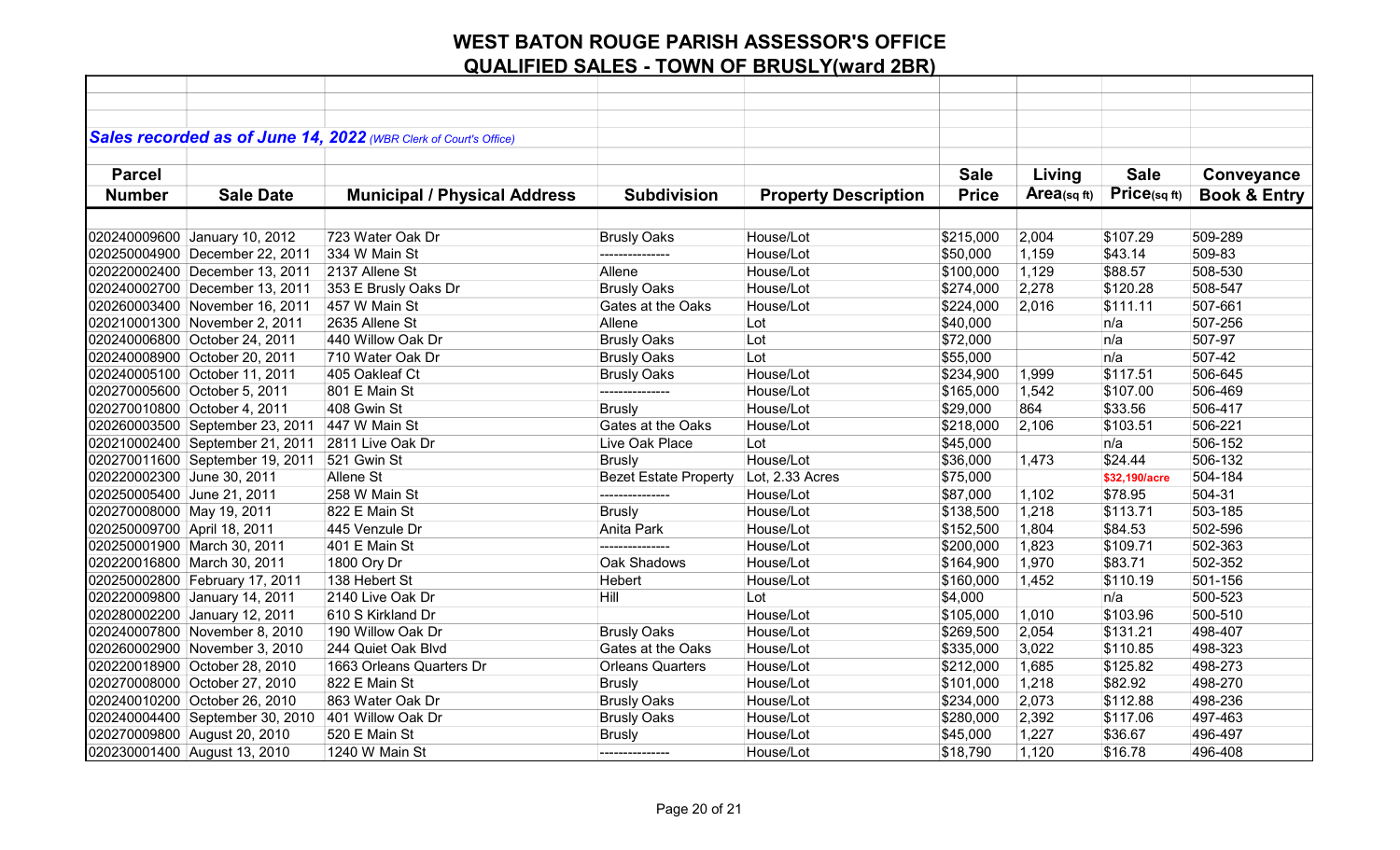|                              |                                 | Sales recorded as of June 14, 2022 (WBR Clerk of Court's Office) |                              |                             |              |                |               |                         |
|------------------------------|---------------------------------|------------------------------------------------------------------|------------------------------|-----------------------------|--------------|----------------|---------------|-------------------------|
| <b>Parcel</b>                |                                 |                                                                  |                              |                             | <b>Sale</b>  | Living         | <b>Sale</b>   | Conveyance              |
| <b>Number</b>                | <b>Sale Date</b>                |                                                                  | <b>Subdivision</b>           |                             | <b>Price</b> | Area(sq $ft$ ) | Price(sqft)   | <b>Book &amp; Entry</b> |
|                              |                                 | <b>Municipal / Physical Address</b>                              |                              | <b>Property Description</b> |              |                |               |                         |
|                              |                                 |                                                                  |                              |                             |              |                |               |                         |
|                              | 020240009600 January 10, 2012   | 723 Water Oak Dr                                                 | <b>Brusly Oaks</b>           | House/Lot                   | \$215,000    | 2,004          | \$107.29      | 509-289                 |
|                              | 020250004900 December 22, 2011  | 334 W Main St                                                    |                              | House/Lot                   | \$50,000     | 1,159          | \$43.14       | 509-83                  |
|                              | 020220002400 December 13, 2011  | 2137 Allene St                                                   | Allene                       | House/Lot                   | \$100,000    | 1,129          | \$88.57       | 508-530                 |
|                              | 020240002700 December 13, 2011  | 353 E Brusly Oaks Dr                                             | <b>Brusly Oaks</b>           | House/Lot                   | \$274,000    | 2,278          | \$120.28      | 508-547                 |
|                              | 020260003400 November 16, 2011  | 457 W Main St                                                    | Gates at the Oaks            | House/Lot                   | \$224,000    | 2,016          | \$111.11      | 507-661                 |
|                              | 020210001300 November 2, 2011   | 2635 Allene St                                                   | Allene                       | Lot                         | \$40,000     |                | n/a           | 507-256                 |
|                              | 020240006800 October 24, 2011   | 440 Willow Oak Dr                                                | <b>Brusly Oaks</b>           | Lot                         | \$72,000     |                | n/a           | 507-97                  |
|                              | 020240008900 October 20, 2011   | 710 Water Oak Dr                                                 | <b>Brusly Oaks</b>           | Lot                         | \$55,000     |                | n/a           | 507-42                  |
|                              | 020240005100 October 11, 2011   | 405 Oakleaf Ct                                                   | <b>Brusly Oaks</b>           | House/Lot                   | \$234,900    | 1,999          | \$117.51      | 506-645                 |
| 020270005600 October 5, 2011 |                                 | 801 E Main St                                                    | ---------------              | House/Lot                   | \$165,000    | 1,542          | \$107.00      | 506-469                 |
| 020270010800 October 4, 2011 |                                 | 408 Gwin St                                                      | <b>Brusly</b>                | House/Lot                   | \$29,000     | 864            | \$33.56       | 506-417                 |
|                              | 020260003500 September 23, 2011 | 447 W Main St                                                    | Gates at the Oaks            | House/Lot                   | \$218,000    | 2,106          | \$103.51      | 506-221                 |
|                              | 020210002400 September 21, 2011 | 2811 Live Oak Dr                                                 | Live Oak Place               | Lot                         | \$45,000     |                | n/a           | 506-152                 |
|                              | 020270011600 September 19, 2011 | 521 Gwin St                                                      | <b>Brusly</b>                | House/Lot                   | \$36,000     | 1,473          | \$24.44       | 506-132                 |
| 020220002300 June 30, 2011   |                                 | Allene St                                                        | <b>Bezet Estate Property</b> | Lot, 2.33 Acres             | \$75,000     |                | \$32,190/acre | 504-184                 |
| 020250005400 June 21, 2011   |                                 | 258 W Main St                                                    |                              | House/Lot                   | \$87,000     | 1,102          | \$78.95       | 504-31                  |
| 020270008000 May 19, 2011    |                                 | 822 E Main St                                                    | <b>Brusly</b>                | House/Lot                   | \$138,500    | 1,218          | \$113.71      | 503-185                 |
| 020250009700 April 18, 2011  |                                 | 445 Venzule Dr                                                   | Anita Park                   | House/Lot                   | \$152,500    | 1,804          | \$84.53       | 502-596                 |
| 020250001900 March 30, 2011  |                                 | 401 E Main St                                                    |                              | House/Lot                   | \$200,000    | 1,823          | \$109.71      | 502-363                 |
| 020220016800 March 30, 2011  |                                 | 1800 Ory Dr                                                      | Oak Shadows                  | House/Lot                   | \$164,900    | 1,970          | \$83.71       | 502-352                 |
|                              | 020250002800 February 17, 2011  | 138 Hebert St                                                    | Hebert                       | House/Lot                   | \$160,000    | 1,452          | \$110.19      | 501-156                 |
|                              | 020220009800 January 14, 2011   | 2140 Live Oak Dr                                                 | Hill                         | Lot                         | \$4,000      |                | n/a           | 500-523                 |
|                              | 020280002200 January 12, 2011   | 610 S Kirkland Dr                                                |                              | House/Lot                   | \$105,000    | 1,010          | \$103.96      | 500-510                 |
|                              | 020240007800 November 8, 2010   | 190 Willow Oak Dr                                                | <b>Brusly Oaks</b>           | House/Lot                   | \$269,500    | 2,054          | \$131.21      | 498-407                 |
|                              | 020260002900 November 3, 2010   | 244 Quiet Oak Blvd                                               | Gates at the Oaks            | House/Lot                   | \$335,000    | 3,022          | \$110.85      | 498-323                 |
|                              | 020220018900 October 28, 2010   | 1663 Orleans Quarters Dr                                         | <b>Orleans Quarters</b>      | House/Lot                   | \$212,000    | 1,685          | \$125.82      | 498-273                 |
|                              | 020270008000 October 27, 2010   | 822 E Main St                                                    | <b>Brusly</b>                | House/Lot                   | \$101,000    | 1,218          | \$82.92       | 498-270                 |
|                              | 020240010200 October 26, 2010   | 863 Water Oak Dr                                                 | <b>Brusly Oaks</b>           | House/Lot                   | \$234,000    | 2,073          | \$112.88      | 498-236                 |
|                              | 020240004400 September 30, 2010 | 401 Willow Oak Dr                                                | <b>Brusly Oaks</b>           | House/Lot                   | \$280,000    | 2,392          | \$117.06      | 497-463                 |
| 020270009800 August 20, 2010 |                                 | 520 E Main St                                                    | <b>Brusly</b>                | House/Lot                   | \$45,000     | 1,227          | \$36.67       | 496-497                 |
| 020230001400 August 13, 2010 |                                 | 1240 W Main St                                                   | ---------------              | House/Lot                   | \$18,790     | 1,120          | \$16.78       | 496-408                 |